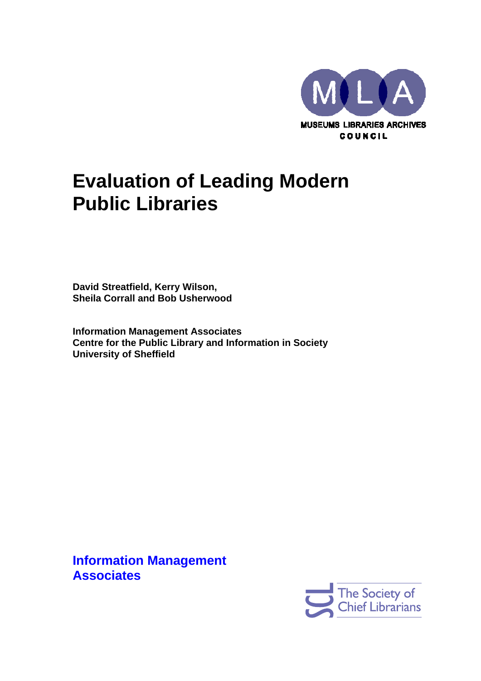

# **Evaluation of Leading Modern Public Libraries**

**David Streatfield, Kerry Wilson, Sheila Corrall and Bob Usherwood** 

**Information Management Associates Centre for the Public Library and Information in Society University of Sheffield** 

**Information Management Associates** 

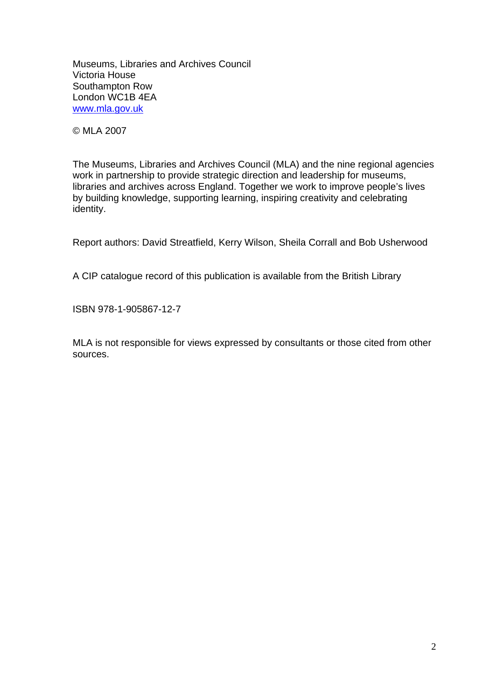Museums, Libraries and Archives Council Victoria House Southampton Row London WC1B 4EA [www.mla.gov.uk](http://www.mla.gov.uk/)

© MLA 2007

The Museums, Libraries and Archives Council (MLA) and the nine regional agencies work in partnership to provide strategic direction and leadership for museums, libraries and archives across England. Together we work to improve people's lives by building knowledge, supporting learning, inspiring creativity and celebrating identity.

Report authors: David Streatfield, Kerry Wilson, Sheila Corrall and Bob Usherwood

A CIP catalogue record of this publication is available from the British Library

ISBN 978-1-905867-12-7

MLA is not responsible for views expressed by consultants or those cited from other sources.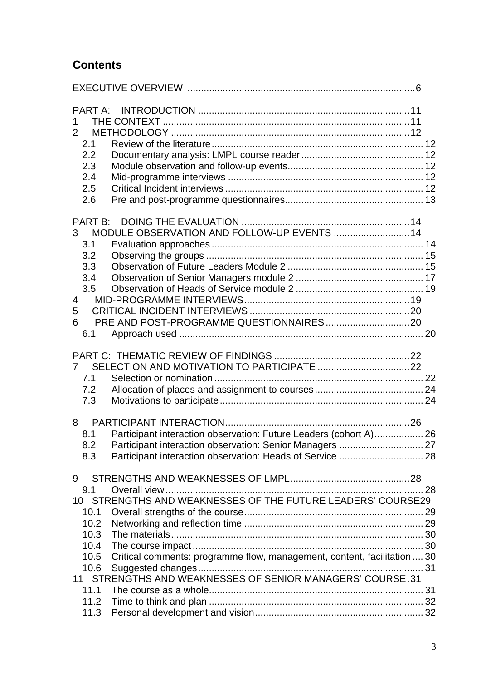# **Contents**

| <b>PART A:</b><br>2<br>2.1<br>2.2<br>2.3<br>2.4<br>2.5<br>2.6                                                                                                                                                                                                            |  |
|--------------------------------------------------------------------------------------------------------------------------------------------------------------------------------------------------------------------------------------------------------------------------|--|
| PART B:<br>MODULE OBSERVATION AND FOLLOW-UP EVENTS  14<br>3 <sup>1</sup><br>3.1<br>3.2<br>3.3<br>3.4<br>3.5<br>$\overline{4}$<br>5<br>6<br>6.1                                                                                                                           |  |
| 7.1<br>7.2<br>7.3                                                                                                                                                                                                                                                        |  |
| Participant interaction observation: Future Leaders (cohort A) 26<br>8.1<br>8.2<br>8.3                                                                                                                                                                                   |  |
| 9<br>9.1<br>10 STRENGTHS AND WEAKNESSES OF THE FUTURE LEADERS' COURSE29<br>10.1<br>10.2<br>10.3<br>10.4<br>Critical comments: programme flow, management, content, facilitation  30<br>10.5<br>10.6<br>11 STRENGTHS AND WEAKNESSES OF SENIOR MANAGERS' COURSE.31<br>11.1 |  |
| 11.2<br>11.3                                                                                                                                                                                                                                                             |  |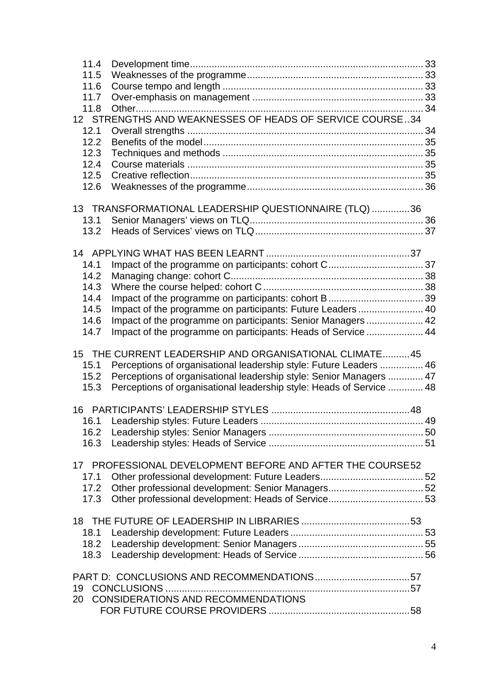| 11.4 |                                                                      |  |
|------|----------------------------------------------------------------------|--|
| 11.5 |                                                                      |  |
| 11.6 |                                                                      |  |
| 11.7 |                                                                      |  |
| 11.8 |                                                                      |  |
|      | 12 STRENGTHS AND WEAKNESSES OF HEADS OF SERVICE COURSE34             |  |
| 12.1 |                                                                      |  |
| 12.2 |                                                                      |  |
| 12.3 |                                                                      |  |
| 12.4 |                                                                      |  |
| 12.5 |                                                                      |  |
| 12.6 |                                                                      |  |
|      | 13 TRANSFORMATIONAL LEADERSHIP QUESTIONNAIRE (TLQ) 36                |  |
| 13.1 |                                                                      |  |
| 13.2 |                                                                      |  |
|      |                                                                      |  |
|      |                                                                      |  |
| 14.1 |                                                                      |  |
| 14.2 |                                                                      |  |
| 14.3 |                                                                      |  |
| 14.4 |                                                                      |  |
| 14.5 | Impact of the programme on participants: Future Leaders 40           |  |
| 14.6 | Impact of the programme on participants: Senior Managers  42         |  |
| 14.7 | Impact of the programme on participants: Heads of Service  44        |  |
|      |                                                                      |  |
|      | 15 THE CURRENT LEADERSHIP AND ORGANISATIONAL CLIMATE45               |  |
| 15.1 | Perceptions of organisational leadership style: Future Leaders  46   |  |
| 15.2 | Perceptions of organisational leadership style: Senior Managers  47  |  |
| 15.3 | Perceptions of organisational leadership style: Heads of Service  48 |  |
|      |                                                                      |  |
|      |                                                                      |  |
| 16.1 |                                                                      |  |
| 16.2 |                                                                      |  |
| 16.3 |                                                                      |  |
|      |                                                                      |  |
|      | 17 PROFESSIONAL DEVELOPMENT BEFORE AND AFTER THE COURSE52            |  |
| 17.1 |                                                                      |  |
| 17.2 |                                                                      |  |
| 17.3 |                                                                      |  |
|      |                                                                      |  |
|      |                                                                      |  |
| 18.1 |                                                                      |  |
| 18.2 |                                                                      |  |
| 18.3 |                                                                      |  |
|      |                                                                      |  |
| 19   | <b>CONCLUSIONS</b>                                                   |  |
| 20   | CONSIDERATIONS AND RECOMMENDATIONS                                   |  |
|      |                                                                      |  |
|      |                                                                      |  |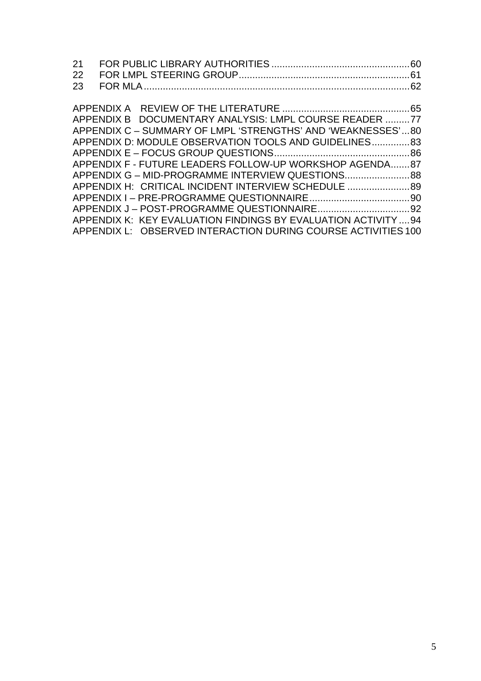| APPENDIX B DOCUMENTARY ANALYSIS: LMPL COURSE READER 77         |  |
|----------------------------------------------------------------|--|
| APPENDIX C – SUMMARY OF LMPL 'STRENGTHS' AND 'WEAKNESSES'80    |  |
| APPENDIX D: MODULE OBSERVATION TOOLS AND GUIDELINES 83         |  |
|                                                                |  |
| APPENDIX F - FUTURE LEADERS FOLLOW-UP WORKSHOP AGENDA87        |  |
| APPENDIX G - MID-PROGRAMME INTERVIEW QUESTIONS88               |  |
| APPENDIX H: CRITICAL INCIDENT INTERVIEW SCHEDULE               |  |
|                                                                |  |
|                                                                |  |
| APPENDIX K: KEY EVALUATION FINDINGS BY EVALUATION ACTIVITY  94 |  |
| APPENDIX L: OBSERVED INTERACTION DURING COURSE ACTIVITIES 100  |  |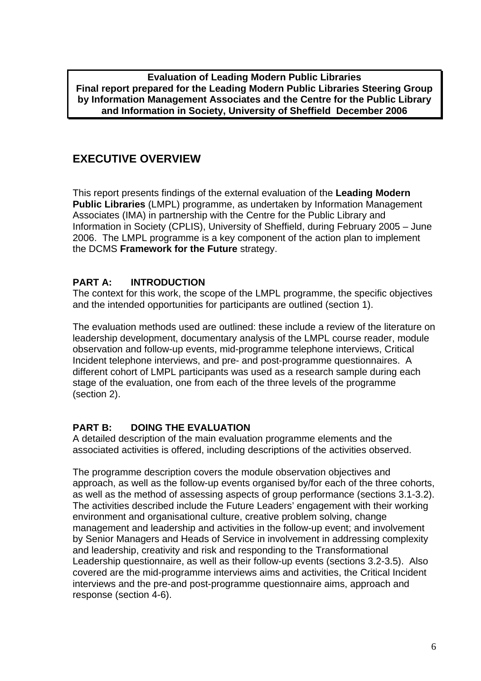<span id="page-5-0"></span>**Evaluation of Leading Modern Public Libraries Final report prepared for the Leading Modern Public Libraries Steering Group by Information Management Associates and the Centre for the Public Library and Information in Society, University of Sheffield December 2006** 

## **EXECUTIVE OVERVIEW**

This report presents findings of the external evaluation of the **Leading Modern Public Libraries** (LMPL) programme, as undertaken by Information Management Associates (IMA) in partnership with the Centre for the Public Library and Information in Society (CPLIS), University of Sheffield, during February 2005 – June 2006. The LMPL programme is a key component of the action plan to implement the DCMS **Framework for the Future** strategy.

## **PART A: INTRODUCTION**

The context for this work, the scope of the LMPL programme, the specific objectives and the intended opportunities for participants are outlined (section 1).

The evaluation methods used are outlined: these include a review of the literature on leadership development, documentary analysis of the LMPL course reader, module observation and follow-up events, mid-programme telephone interviews, Critical Incident telephone interviews, and pre- and post-programme questionnaires. A different cohort of LMPL participants was used as a research sample during each stage of the evaluation, one from each of the three levels of the programme (section 2).

## **PART B: DOING THE EVALUATION**

A detailed description of the main evaluation programme elements and the associated activities is offered, including descriptions of the activities observed.

The programme description covers the module observation objectives and approach, as well as the follow-up events organised by/for each of the three cohorts, as well as the method of assessing aspects of group performance (sections 3.1-3.2). The activities described include the Future Leaders' engagement with their working environment and organisational culture, creative problem solving, change management and leadership and activities in the follow-up event; and involvement by Senior Managers and Heads of Service in involvement in addressing complexity and leadership, creativity and risk and responding to the Transformational Leadership questionnaire, as well as their follow-up events (sections 3.2-3.5). Also covered are the mid-programme interviews aims and activities, the Critical Incident interviews and the pre-and post-programme questionnaire aims, approach and response (section 4-6).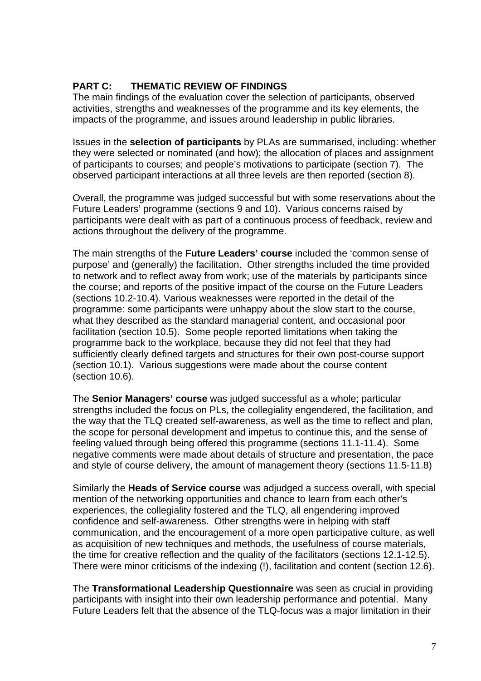## **PART C: THEMATIC REVIEW OF FINDINGS**

The main findings of the evaluation cover the selection of participants, observed activities, strengths and weaknesses of the programme and its key elements, the impacts of the programme, and issues around leadership in public libraries.

Issues in the **selection of participants** by PLAs are summarised, including: whether they were selected or nominated (and how); the allocation of places and assignment of participants to courses; and people's motivations to participate (section 7). The observed participant interactions at all three levels are then reported (section 8).

Overall, the programme was judged successful but with some reservations about the Future Leaders' programme (sections 9 and 10). Various concerns raised by participants were dealt with as part of a continuous process of feedback, review and actions throughout the delivery of the programme.

The main strengths of the **Future Leaders' course** included the 'common sense of purpose' and (generally) the facilitation. Other strengths included the time provided to network and to reflect away from work; use of the materials by participants since the course; and reports of the positive impact of the course on the Future Leaders (sections 10.2-10.4). Various weaknesses were reported in the detail of the programme: some participants were unhappy about the slow start to the course, what they described as the standard managerial content, and occasional poor facilitation (section 10.5). Some people reported limitations when taking the programme back to the workplace, because they did not feel that they had sufficiently clearly defined targets and structures for their own post-course support (section 10.1). Various suggestions were made about the course content (section 10.6).

The **Senior Managers' course** was judged successful as a whole; particular strengths included the focus on PLs, the collegiality engendered, the facilitation, and the way that the TLQ created self-awareness, as well as the time to reflect and plan, the scope for personal development and impetus to continue this, and the sense of feeling valued through being offered this programme (sections 11.1-11.4). Some negative comments were made about details of structure and presentation, the pace and style of course delivery, the amount of management theory (sections 11.5-11.8)

Similarly the **Heads of Service course** was adjudged a success overall, with special mention of the networking opportunities and chance to learn from each other's experiences, the collegiality fostered and the TLQ, all engendering improved confidence and self-awareness. Other strengths were in helping with staff communication, and the encouragement of a more open participative culture, as well as acquisition of new techniques and methods, the usefulness of course materials, the time for creative reflection and the quality of the facilitators (sections 12.1-12.5). There were minor criticisms of the indexing (!), facilitation and content (section 12.6).

The **Transformational Leadership Questionnaire** was seen as crucial in providing participants with insight into their own leadership performance and potential. Many Future Leaders felt that the absence of the TLQ-focus was a major limitation in their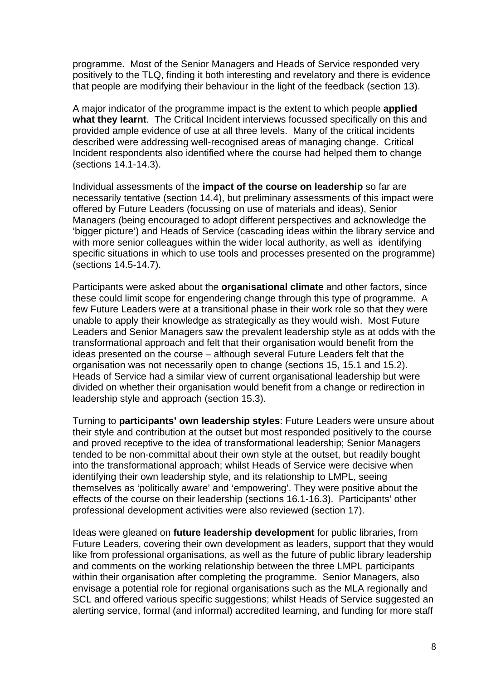programme. Most of the Senior Managers and Heads of Service responded very positively to the TLQ, finding it both interesting and revelatory and there is evidence that people are modifying their behaviour in the light of the feedback (section 13).

A major indicator of the programme impact is the extent to which people **applied what they learnt**. The Critical Incident interviews focussed specifically on this and provided ample evidence of use at all three levels. Many of the critical incidents described were addressing well-recognised areas of managing change. Critical Incident respondents also identified where the course had helped them to change (sections 14.1-14.3).

Individual assessments of the **impact of the course on leadership** so far are necessarily tentative (section 14.4), but preliminary assessments of this impact were offered by Future Leaders (focussing on use of materials and ideas), Senior Managers (being encouraged to adopt different perspectives and acknowledge the 'bigger picture') and Heads of Service (cascading ideas within the library service and with more senior colleagues within the wider local authority, as well as identifying specific situations in which to use tools and processes presented on the programme) (sections 14.5-14.7).

Participants were asked about the **organisational climate** and other factors, since these could limit scope for engendering change through this type of programme. A few Future Leaders were at a transitional phase in their work role so that they were unable to apply their knowledge as strategically as they would wish. Most Future Leaders and Senior Managers saw the prevalent leadership style as at odds with the transformational approach and felt that their organisation would benefit from the ideas presented on the course – although several Future Leaders felt that the organisation was not necessarily open to change (sections 15, 15.1 and 15.2). Heads of Service had a similar view of current organisational leadership but were divided on whether their organisation would benefit from a change or redirection in leadership style and approach (section 15.3).

Turning to **participants' own leadership styles**: Future Leaders were unsure about their style and contribution at the outset but most responded positively to the course and proved receptive to the idea of transformational leadership; Senior Managers tended to be non-committal about their own style at the outset, but readily bought into the transformational approach; whilst Heads of Service were decisive when identifying their own leadership style, and its relationship to LMPL, seeing themselves as 'politically aware' and 'empowering'. They were positive about the effects of the course on their leadership (sections 16.1-16.3). Participants' other professional development activities were also reviewed (section 17).

Ideas were gleaned on **future leadership development** for public libraries, from Future Leaders, covering their own development as leaders, support that they would like from professional organisations, as well as the future of public library leadership and comments on the working relationship between the three LMPL participants within their organisation after completing the programme. Senior Managers, also envisage a potential role for regional organisations such as the MLA regionally and SCL and offered various specific suggestions; whilst Heads of Service suggested an alerting service, formal (and informal) accredited learning, and funding for more staff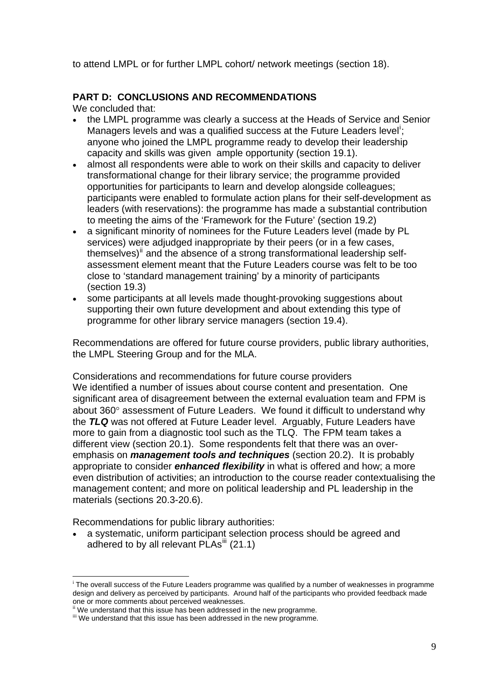<span id="page-8-0"></span>to attend LMPL or for further LMPL cohort/ network meetings (section 18).

## **PART D: CONCLUSIONS AND RECOMMENDATIONS**

We concluded that:

- the LMPL programme was clearly a success at the Heads of Service and Senior Managers levels and was a qual[i](#page-8-0)fied success at the Future Leaders level<sup>i</sup>; anyone who joined the LMPL programme ready to develop their leadership capacity and skills was given ample opportunity (section 19.1).
- almost all respondents were able to work on their skills and capacity to deliver transformational change for their library service; the programme provided opportunities for participants to learn and develop alongside colleagues; participants were enabled to formulate action plans for their self-development as leaders (with reservations): the programme has made a substantial contribution to meeting the aims of the 'Framework for the Future' (section 19.2)
- a significant minority of nominees for the Future Leaders level (made by PL services) were adjudged inappropriate by their peers (or in a few cases, themselves)<sup>[ii](#page-8-0)</sup> and the absence of a strong transformational leadership selfassessment element meant that the Future Leaders course was felt to be too close to 'standard management training' by a minority of participants (section 19.3)
- some participants at all levels made thought-provoking suggestions about supporting their own future development and about extending this type of programme for other library service managers (section 19.4).

Recommendations are offered for future course providers, public library authorities, the LMPL Steering Group and for the MLA.

Considerations and recommendations for future course providers We identified a number of issues about course content and presentation. One significant area of disagreement between the external evaluation team and FPM is about 360° assessment of Future Leaders. We found it difficult to understand why the *TLQ* was not offered at Future Leader level. Arguably, Future Leaders have more to gain from a diagnostic tool such as the TLQ. The FPM team takes a different view (section 20.1). Some respondents felt that there was an overemphasis on *management tools and techniques* (section 20.2). It is probably appropriate to consider *enhanced flexibility* in what is offered and how; a more even distribution of activities; an introduction to the course reader contextualising the management content; and more on political leadership and PL leadership in the materials (sections 20.3-20.6).

Recommendations for public library authorities:

<u>.</u>

• a systematic, uniform participant selection process should be agreed and adhered to by all relevant PLAs<sup>[iii](#page-8-0)</sup> (21.1)

<sup>&</sup>lt;sup>i</sup> The overall success of the Future Leaders programme was qualified by a number of weaknesses in programme design and delivery as perceived by participants. Around half of the participants who provided feedback made one or more comments about perceived weaknesses.<br>ii We understand that this issue has been addressed in the new programme.

iii We understand that this issue has been addressed in the new programme.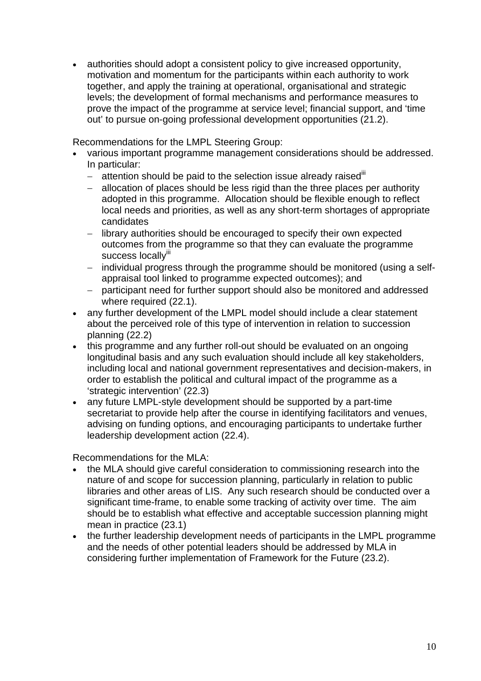• authorities should adopt a consistent policy to give increased opportunity, motivation and momentum for the participants within each authority to work together, and apply the training at operational, organisational and strategic levels; the development of formal mechanisms and performance measures to prove the impact of the programme at service level; financial support, and 'time out' to pursue on-going professional development opportunities (21.2).

Recommendations for the LMPL Steering Group:

- various important programme management considerations should be addressed. In particular:
	- − attention should be paid to the selection issue already raised iii
	- − allocation of places should be less rigid than the three places per authority adopted in this programme. Allocation should be flexible enough to reflect local needs and priorities, as well as any short-term shortages of appropriate candidates
	- − library authorities should be encouraged to specify their own expected outcomes from the programme so that they can evaluate the programme success locallyiii
	- − individual progress through the programme should be monitored (using a selfappraisal tool linked to programme expected outcomes); and
	- − participant need for further support should also be monitored and addressed where required (22.1).
- any further development of the LMPL model should include a clear statement about the perceived role of this type of intervention in relation to succession planning (22.2)
- this programme and any further roll-out should be evaluated on an ongoing longitudinal basis and any such evaluation should include all key stakeholders, including local and national government representatives and decision-makers, in order to establish the political and cultural impact of the programme as a 'strategic intervention' (22.3)
- any future LMPL-style development should be supported by a part-time secretariat to provide help after the course in identifying facilitators and venues, advising on funding options, and encouraging participants to undertake further leadership development action (22.4).

Recommendations for the MLA:

- the MLA should give careful consideration to commissioning research into the nature of and scope for succession planning, particularly in relation to public libraries and other areas of LIS. Any such research should be conducted over a significant time-frame, to enable some tracking of activity over time. The aim should be to establish what effective and acceptable succession planning might mean in practice (23.1)
- the further leadership development needs of participants in the LMPL programme and the needs of other potential leaders should be addressed by MLA in considering further implementation of Framework for the Future (23.2).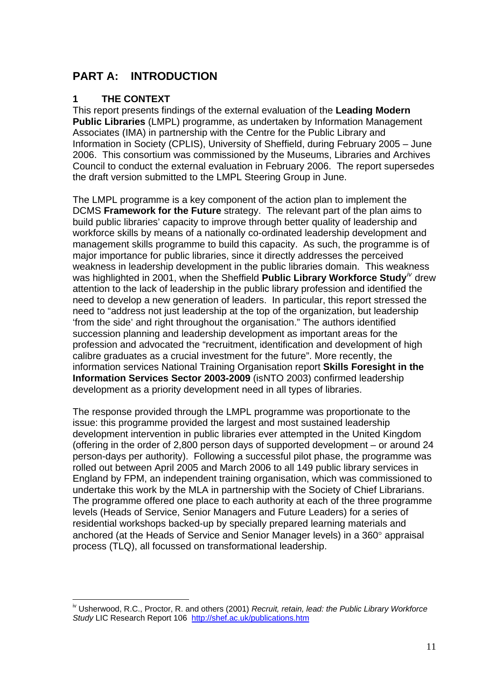# <span id="page-10-0"></span>**PART A: INTRODUCTION**

## **1 THE CONTEXT**

This report presents findings of the external evaluation of the **Leading Modern Public Libraries** (LMPL) programme, as undertaken by Information Management Associates (IMA) in partnership with the Centre for the Public Library and Information in Society (CPLIS), University of Sheffield, during February 2005 – June 2006. This consortium was commissioned by the Museums, Libraries and Archives Council to conduct the external evaluation in February 2006. The report supersedes the draft version submitted to the LMPL Steering Group in June.

The LMPL programme is a key component of the action plan to implement the DCMS **Framework for the Future** strategy. The relevant part of the plan aims to build public libraries' capacity to improve through better quality of leadership and workforce skills by means of a nationally co-ordinated leadership development and management skills programme to build this capacity. As such, the programme is of major importance for public libraries, since it directly addresses the perceived weakness in leadership development in the public libraries domain. This weakness was highlighted in 2001, when the Sheffield **Public Library Workforce Study**<sup>*IV*</sup> drew attention to the lack of leadership in the public library profession and identified the need to develop a new generation of leaders. In particular, this report stressed the need to "address not just leadership at the top of the organization, but leadership 'from the side' and right throughout the organisation." The authors identified succession planning and leadership development as important areas for the profession and advocated the "recruitment, identification and development of high calibre graduates as a crucial investment for the future". More recently, the information services National Training Organisation report **Skills Foresight in the Information Services Sector 2003-2009** (isNTO 2003) confirmed leadership development as a priority development need in all types of libraries.

The response provided through the LMPL programme was proportionate to the issue: this programme provided the largest and most sustained leadership development intervention in public libraries ever attempted in the United Kingdom (offering in the order of 2,800 person days of supported development – or around 24 person-days per authority). Following a successful pilot phase, the programme was rolled out between April 2005 and March 2006 to all 149 public library services in England by FPM, an independent training organisation, which was commissioned to undertake this work by the MLA in partnership with the Society of Chief Librarians. The programme offered one place to each authority at each of the three programme levels (Heads of Service, Senior Managers and Future Leaders) for a series of residential workshops backed-up by specially prepared learning materials and anchored (at the Heads of Service and Senior Manager levels) in a 360° appraisal process (TLQ), all focussed on transformational leadership.

<sup>&</sup>lt;u>.</u> iv Usherwood, R.C., Proctor, R. and others (2001) *Recruit, retain, lead: the Public Library Workforce Study* LIC Research Report 106 <http://shef.ac.uk/publications.htm>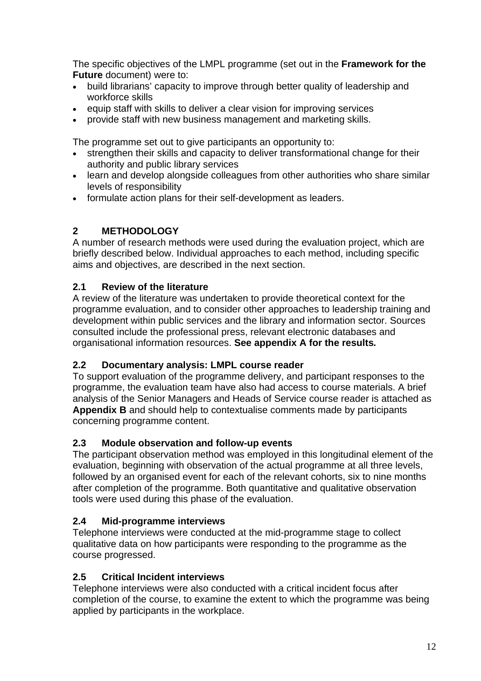<span id="page-11-0"></span>The specific objectives of the LMPL programme (set out in the **Framework for the Future** document) were to:

- build librarians' capacity to improve through better quality of leadership and workforce skills
- equip staff with skills to deliver a clear vision for improving services
- provide staff with new business management and marketing skills.

The programme set out to give participants an opportunity to:

- strengthen their skills and capacity to deliver transformational change for their authority and public library services
- learn and develop alongside colleagues from other authorities who share similar levels of responsibility
- formulate action plans for their self-development as leaders.

## **2 METHODOLOGY**

A number of research methods were used during the evaluation project, which are briefly described below. Individual approaches to each method, including specific aims and objectives, are described in the next section.

## **2.1 Review of the literature**

A review of the literature was undertaken to provide theoretical context for the programme evaluation, and to consider other approaches to leadership training and development within public services and the library and information sector. Sources consulted include the professional press, relevant electronic databases and organisational information resources. **See appendix A for the results***.* 

## **2.2 Documentary analysis: LMPL course reader**

To support evaluation of the programme delivery, and participant responses to the programme, the evaluation team have also had access to course materials. A brief analysis of the Senior Managers and Heads of Service course reader is attached as **Appendix B** and should help to contextualise comments made by participants concerning programme content.

## **2.3 Module observation and follow-up events**

The participant observation method was employed in this longitudinal element of the evaluation, beginning with observation of the actual programme at all three levels, followed by an organised event for each of the relevant cohorts, six to nine months after completion of the programme. Both quantitative and qualitative observation tools were used during this phase of the evaluation.

## **2.4 Mid-programme interviews**

Telephone interviews were conducted at the mid-programme stage to collect qualitative data on how participants were responding to the programme as the course progressed.

## **2.5 Critical Incident interviews**

Telephone interviews were also conducted with a critical incident focus after completion of the course, to examine the extent to which the programme was being applied by participants in the workplace.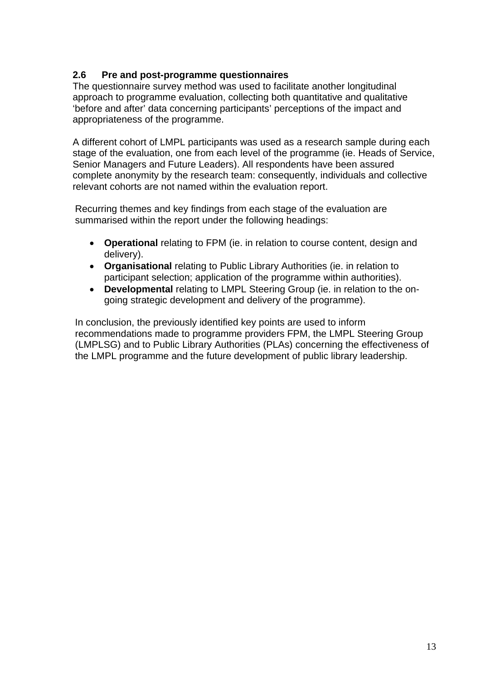## <span id="page-12-0"></span>**2.6 Pre and post-programme questionnaires**

The questionnaire survey method was used to facilitate another longitudinal approach to programme evaluation, collecting both quantitative and qualitative 'before and after' data concerning participants' perceptions of the impact and appropriateness of the programme.

A different cohort of LMPL participants was used as a research sample during each stage of the evaluation, one from each level of the programme (ie. Heads of Service, Senior Managers and Future Leaders). All respondents have been assured complete anonymity by the research team: consequently, individuals and collective relevant cohorts are not named within the evaluation report.

Recurring themes and key findings from each stage of the evaluation are summarised within the report under the following headings:

- **Operational** relating to FPM (ie. in relation to course content, design and delivery).
- **Organisational** relating to Public Library Authorities (ie. in relation to participant selection; application of the programme within authorities).
- **Developmental** relating to LMPL Steering Group (ie. in relation to the ongoing strategic development and delivery of the programme).

In conclusion, the previously identified key points are used to inform recommendations made to programme providers FPM, the LMPL Steering Group (LMPLSG) and to Public Library Authorities (PLAs) concerning the effectiveness of the LMPL programme and the future development of public library leadership.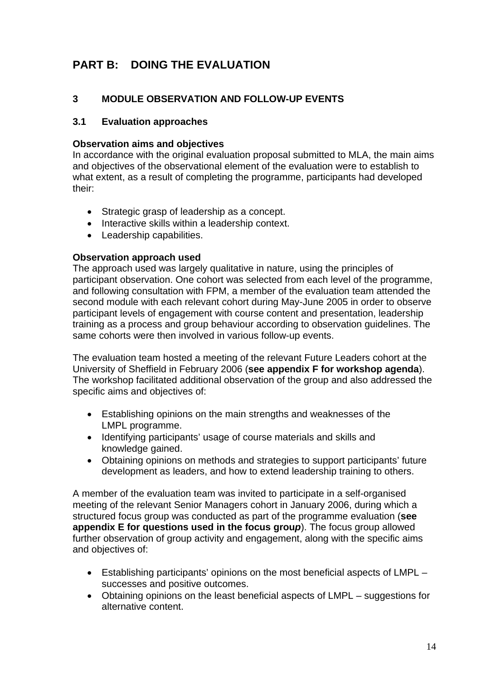# <span id="page-13-0"></span>**PART B: DOING THE EVALUATION**

## **3 MODULE OBSERVATION AND FOLLOW-UP EVENTS**

#### **3.1 Evaluation approaches**

#### **Observation aims and objectives**

In accordance with the original evaluation proposal submitted to MLA, the main aims and objectives of the observational element of the evaluation were to establish to what extent, as a result of completing the programme, participants had developed their:

- Strategic grasp of leadership as a concept.
- Interactive skills within a leadership context.
- Leadership capabilities.

#### **Observation approach used**

The approach used was largely qualitative in nature, using the principles of participant observation. One cohort was selected from each level of the programme, and following consultation with FPM, a member of the evaluation team attended the second module with each relevant cohort during May-June 2005 in order to observe participant levels of engagement with course content and presentation, leadership training as a process and group behaviour according to observation guidelines. The same cohorts were then involved in various follow-up events.

The evaluation team hosted a meeting of the relevant Future Leaders cohort at the University of Sheffield in February 2006 (**see appendix F for workshop agenda**). The workshop facilitated additional observation of the group and also addressed the specific aims and objectives of:

- Establishing opinions on the main strengths and weaknesses of the LMPL programme.
- Identifying participants' usage of course materials and skills and knowledge gained.
- Obtaining opinions on methods and strategies to support participants' future development as leaders, and how to extend leadership training to others.

A member of the evaluation team was invited to participate in a self-organised meeting of the relevant Senior Managers cohort in January 2006, during which a structured focus group was conducted as part of the programme evaluation (**see appendix E for questions used in the focus grou***p*). The focus group allowed further observation of group activity and engagement, along with the specific aims and objectives of:

- Establishing participants' opinions on the most beneficial aspects of LMPL successes and positive outcomes.
- Obtaining opinions on the least beneficial aspects of LMPL suggestions for alternative content.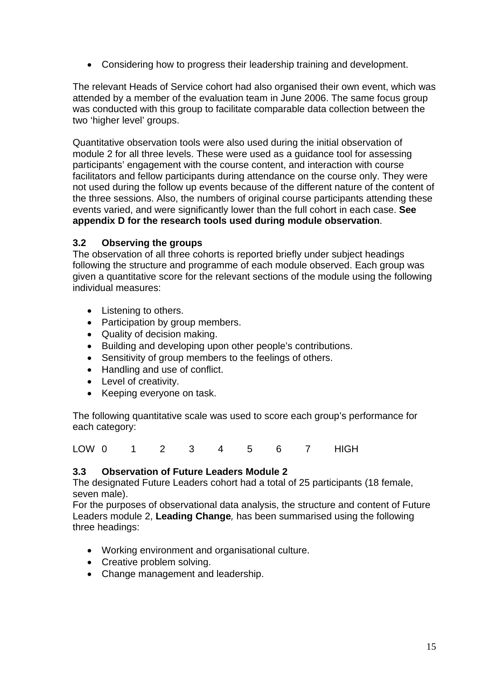<span id="page-14-0"></span>• Considering how to progress their leadership training and development.

The relevant Heads of Service cohort had also organised their own event, which was attended by a member of the evaluation team in June 2006. The same focus group was conducted with this group to facilitate comparable data collection between the two 'higher level' groups.

Quantitative observation tools were also used during the initial observation of module 2 for all three levels. These were used as a guidance tool for assessing participants' engagement with the course content, and interaction with course facilitators and fellow participants during attendance on the course only. They were not used during the follow up events because of the different nature of the content of the three sessions. Also, the numbers of original course participants attending these events varied, and were significantly lower than the full cohort in each case. **See appendix D for the research tools used during module observation**.

#### **3.2 Observing the groups**

The observation of all three cohorts is reported briefly under subject headings following the structure and programme of each module observed. Each group was given a quantitative score for the relevant sections of the module using the following individual measures:

- Listening to others.
- Participation by group members.
- Quality of decision making.
- Building and developing upon other people's contributions.
- Sensitivity of group members to the feelings of others.
- Handling and use of conflict.
- Level of creativity.
- Keeping everyone on task.

The following quantitative scale was used to score each group's performance for each category:

LOW 0 1 2 3 4 5 6 7 HIGH

## **3.3 Observation of Future Leaders Module 2**

The designated Future Leaders cohort had a total of 25 participants (18 female, seven male).

For the purposes of observational data analysis, the structure and content of Future Leaders module 2, **Leading Change***,* has been summarised using the following three headings:

- Working environment and organisational culture.
- Creative problem solving.
- Change management and leadership.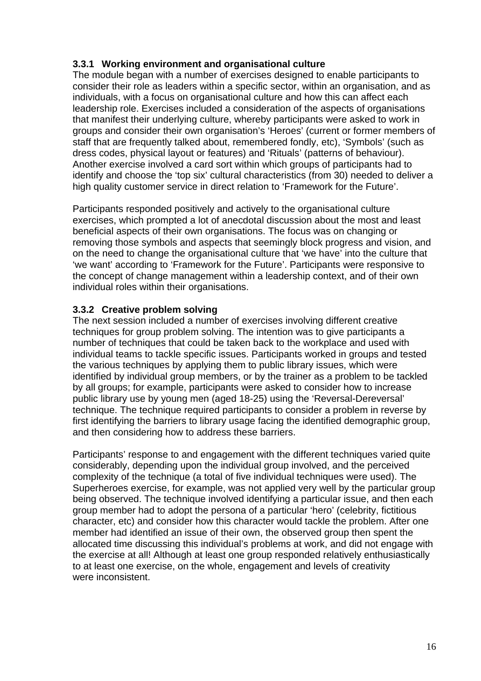## **3.3.1 Working environment and organisational culture**

The module began with a number of exercises designed to enable participants to consider their role as leaders within a specific sector, within an organisation, and as individuals, with a focus on organisational culture and how this can affect each leadership role. Exercises included a consideration of the aspects of organisations that manifest their underlying culture, whereby participants were asked to work in groups and consider their own organisation's 'Heroes' (current or former members of staff that are frequently talked about, remembered fondly, etc), 'Symbols' (such as dress codes, physical layout or features) and 'Rituals' (patterns of behaviour). Another exercise involved a card sort within which groups of participants had to identify and choose the 'top six' cultural characteristics (from 30) needed to deliver a high quality customer service in direct relation to 'Framework for the Future'.

Participants responded positively and actively to the organisational culture exercises, which prompted a lot of anecdotal discussion about the most and least beneficial aspects of their own organisations. The focus was on changing or removing those symbols and aspects that seemingly block progress and vision, and on the need to change the organisational culture that 'we have' into the culture that 'we want' according to 'Framework for the Future'. Participants were responsive to the concept of change management within a leadership context, and of their own individual roles within their organisations.

## **3.3.2 Creative problem solving**

The next session included a number of exercises involving different creative techniques for group problem solving. The intention was to give participants a number of techniques that could be taken back to the workplace and used with individual teams to tackle specific issues. Participants worked in groups and tested the various techniques by applying them to public library issues, which were identified by individual group members, or by the trainer as a problem to be tackled by all groups; for example, participants were asked to consider how to increase public library use by young men (aged 18-25) using the 'Reversal-Dereversal' technique. The technique required participants to consider a problem in reverse by first identifying the barriers to library usage facing the identified demographic group, and then considering how to address these barriers.

Participants' response to and engagement with the different techniques varied quite considerably, depending upon the individual group involved, and the perceived complexity of the technique (a total of five individual techniques were used). The Superheroes exercise, for example, was not applied very well by the particular group being observed. The technique involved identifying a particular issue, and then each group member had to adopt the persona of a particular 'hero' (celebrity, fictitious character, etc) and consider how this character would tackle the problem. After one member had identified an issue of their own, the observed group then spent the allocated time discussing this individual's problems at work, and did not engage with the exercise at all! Although at least one group responded relatively enthusiastically to at least one exercise, on the whole, engagement and levels of creativity were inconsistent.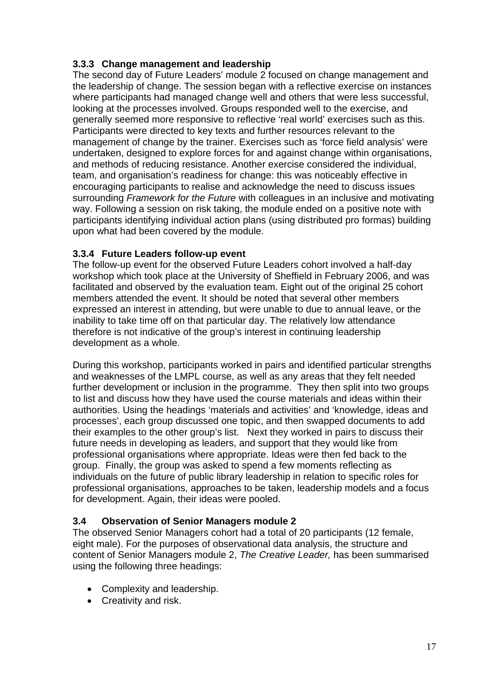## <span id="page-16-0"></span>**3.3.3 Change management and leadership**

The second day of Future Leaders' module 2 focused on change management and the leadership of change. The session began with a reflective exercise on instances where participants had managed change well and others that were less successful, looking at the processes involved. Groups responded well to the exercise, and generally seemed more responsive to reflective 'real world' exercises such as this. Participants were directed to key texts and further resources relevant to the management of change by the trainer. Exercises such as 'force field analysis' were undertaken, designed to explore forces for and against change within organisations, and methods of reducing resistance. Another exercise considered the individual, team, and organisation's readiness for change: this was noticeably effective in encouraging participants to realise and acknowledge the need to discuss issues surrounding *Framework for the Future* with colleagues in an inclusive and motivating way. Following a session on risk taking, the module ended on a positive note with participants identifying individual action plans (using distributed pro formas) building upon what had been covered by the module.

## **3.3.4 Future Leaders follow-up event**

The follow-up event for the observed Future Leaders cohort involved a half-day workshop which took place at the University of Sheffield in February 2006, and was facilitated and observed by the evaluation team. Eight out of the original 25 cohort members attended the event. It should be noted that several other members expressed an interest in attending, but were unable to due to annual leave, or the inability to take time off on that particular day. The relatively low attendance therefore is not indicative of the group's interest in continuing leadership development as a whole.

During this workshop, participants worked in pairs and identified particular strengths and weaknesses of the LMPL course, as well as any areas that they felt needed further development or inclusion in the programme. They then split into two groups to list and discuss how they have used the course materials and ideas within their authorities. Using the headings 'materials and activities' and 'knowledge, ideas and processes', each group discussed one topic, and then swapped documents to add their examples to the other group's list. Next they worked in pairs to discuss their future needs in developing as leaders, and support that they would like from professional organisations where appropriate. Ideas were then fed back to the group. Finally, the group was asked to spend a few moments reflecting as individuals on the future of public library leadership in relation to specific roles for professional organisations, approaches to be taken, leadership models and a focus for development. Again, their ideas were pooled.

## **3.4 Observation of Senior Managers module 2**

The observed Senior Managers cohort had a total of 20 participants (12 female, eight male). For the purposes of observational data analysis, the structure and content of Senior Managers module 2, *The Creative Leader,* has been summarised using the following three headings:

- Complexity and leadership.
- Creativity and risk.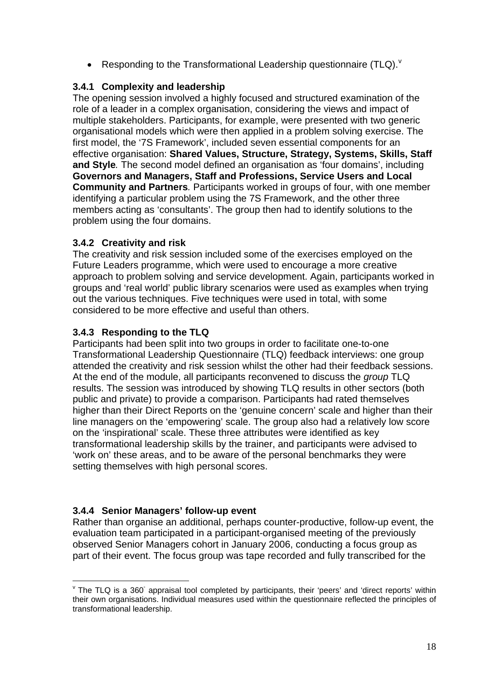<span id="page-17-0"></span>• Responding to the Transformational Leadership questionnaire (TLQ). $V$ 

## **3.4.1 Complexity and leadership**

The opening session involved a highly focused and structured examination of the role of a leader in a complex organisation, considering the views and impact of multiple stakeholders. Participants, for example, were presented with two generic organisational models which were then applied in a problem solving exercise. The first model, the '7S Framework', included seven essential components for an effective organisation: **Shared Values, Structure, Strategy, Systems, Skills, Staff and Style***.* The second model defined an organisation as 'four domains', including **Governors and Managers, Staff and Professions, Service Users and Local Community and Partners***.* Participants worked in groups of four, with one member identifying a particular problem using the 7S Framework, and the other three members acting as 'consultants'. The group then had to identify solutions to the problem using the four domains.

## **3.4.2 Creativity and risk**

The creativity and risk session included some of the exercises employed on the Future Leaders programme, which were used to encourage a more creative approach to problem solving and service development. Again, participants worked in groups and 'real world' public library scenarios were used as examples when trying out the various techniques. Five techniques were used in total, with some considered to be more effective and useful than others.

## **3.4.3 Responding to the TLQ**

Participants had been split into two groups in order to facilitate one-to-one Transformational Leadership Questionnaire (TLQ) feedback interviews: one group attended the creativity and risk session whilst the other had their feedback sessions. At the end of the module, all participants reconvened to discuss the *group* TLQ results. The session was introduced by showing TLQ results in other sectors (both public and private) to provide a comparison. Participants had rated themselves higher than their Direct Reports on the 'genuine concern' scale and higher than their line managers on the 'empowering' scale. The group also had a relatively low score on the 'inspirational' scale. These three attributes were identified as key transformational leadership skills by the trainer, and participants were advised to 'work on' these areas, and to be aware of the personal benchmarks they were setting themselves with high personal scores.

## **3.4.4 Senior Managers' follow-up event**

Rather than organise an additional, perhaps counter-productive, follow-up event, the evaluation team participated in a participant-organised meeting of the previously observed Senior Managers cohort in January 2006, conducting a focus group as part of their event. The focus group was tape recorded and fully transcribed for the

<sup>1</sup>  $\textdegree$  The TLQ is a 360 $\textdegree$  appraisal tool completed by participants, their 'peers' and 'direct reports' within their own organisations. Individual measures used within the questionnaire reflected the principles of transformational leadership.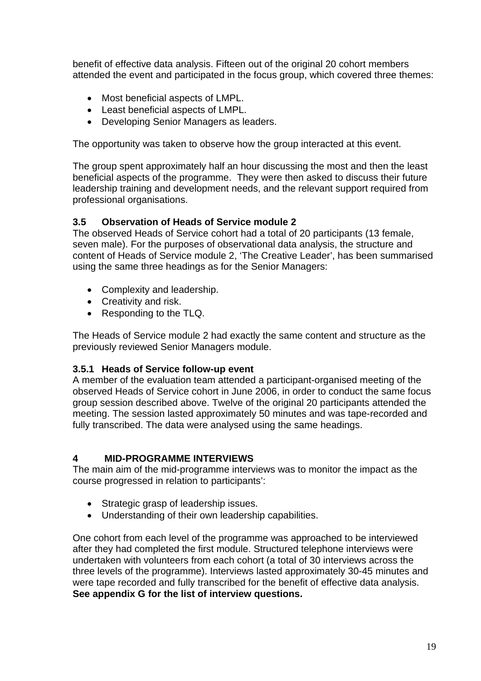<span id="page-18-0"></span>benefit of effective data analysis. Fifteen out of the original 20 cohort members attended the event and participated in the focus group, which covered three themes:

- Most beneficial aspects of LMPL.
- Least beneficial aspects of LMPL.
- Developing Senior Managers as leaders.

The opportunity was taken to observe how the group interacted at this event.

The group spent approximately half an hour discussing the most and then the least beneficial aspects of the programme. They were then asked to discuss their future leadership training and development needs, and the relevant support required from professional organisations.

## **3.5 Observation of Heads of Service module 2**

The observed Heads of Service cohort had a total of 20 participants (13 female, seven male). For the purposes of observational data analysis, the structure and content of Heads of Service module 2, 'The Creative Leader', has been summarised using the same three headings as for the Senior Managers:

- Complexity and leadership.
- Creativity and risk.
- Responding to the TLQ.

The Heads of Service module 2 had exactly the same content and structure as the previously reviewed Senior Managers module.

## **3.5.1 Heads of Service follow-up event**

A member of the evaluation team attended a participant-organised meeting of the observed Heads of Service cohort in June 2006, in order to conduct the same focus group session described above. Twelve of the original 20 participants attended the meeting. The session lasted approximately 50 minutes and was tape-recorded and fully transcribed. The data were analysed using the same headings.

## **4 MID-PROGRAMME INTERVIEWS**

The main aim of the mid-programme interviews was to monitor the impact as the course progressed in relation to participants':

- Strategic grasp of leadership issues.
- Understanding of their own leadership capabilities.

One cohort from each level of the programme was approached to be interviewed after they had completed the first module. Structured telephone interviews were undertaken with volunteers from each cohort (a total of 30 interviews across the three levels of the programme). Interviews lasted approximately 30-45 minutes and were tape recorded and fully transcribed for the benefit of effective data analysis. **See appendix G for the list of interview questions.**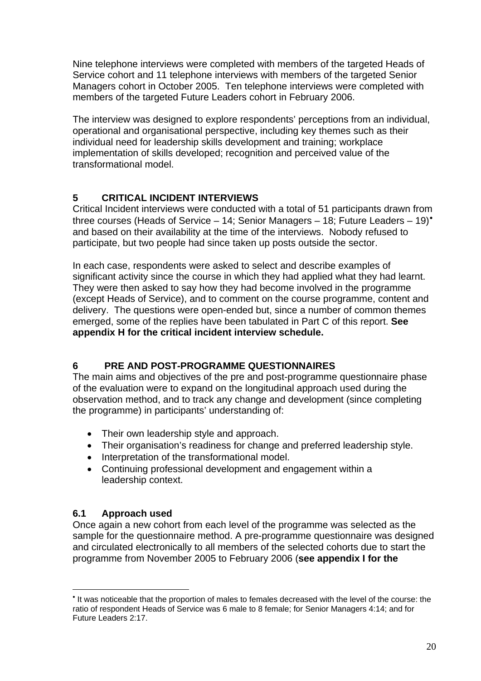<span id="page-19-0"></span>Nine telephone interviews were completed with members of the targeted Heads of Service cohort and 11 telephone interviews with members of the targeted Senior Managers cohort in October 2005. Ten telephone interviews were completed with members of the targeted Future Leaders cohort in February 2006.

The interview was designed to explore respondents' perceptions from an individual, operational and organisational perspective, including key themes such as their individual need for leadership skills development and training; workplace implementation of skills developed; recognition and perceived value of the transformational model.

## **5 CRITICAL INCIDENT INTERVIEWS**

Critical Incident interviews were conducted with a total of 51 participants drawn from three courses (Heads of Service – 14; Senior Managers – 18; Future Leaders – 19)[•](#page-19-0) and based on their availability at the time of the interviews. Nobody refused to participate, but two people had since taken up posts outside the sector.

In each case, respondents were asked to select and describe examples of significant activity since the course in which they had applied what they had learnt. They were then asked to say how they had become involved in the programme (except Heads of Service), and to comment on the course programme, content and delivery. The questions were open-ended but, since a number of common themes emerged, some of the replies have been tabulated in Part C of this report. **See appendix H for the critical incident interview schedule.** 

## **6 PRE AND POST-PROGRAMME QUESTIONNAIRES**

The main aims and objectives of the pre and post-programme questionnaire phase of the evaluation were to expand on the longitudinal approach used during the observation method, and to track any change and development (since completing the programme) in participants' understanding of:

- Their own leadership style and approach.
- Their organisation's readiness for change and preferred leadership style.
- Interpretation of the transformational model.
- Continuing professional development and engagement within a leadership context.

## **6.1 Approach used**

1

Once again a new cohort from each level of the programme was selected as the sample for the questionnaire method. A pre-programme questionnaire was designed and circulated electronically to all members of the selected cohorts due to start the programme from November 2005 to February 2006 (**see appendix I for the** 

<sup>•</sup> It was noticeable that the proportion of males to females decreased with the level of the course: the ratio of respondent Heads of Service was 6 male to 8 female; for Senior Managers 4:14; and for Future Leaders 2:17.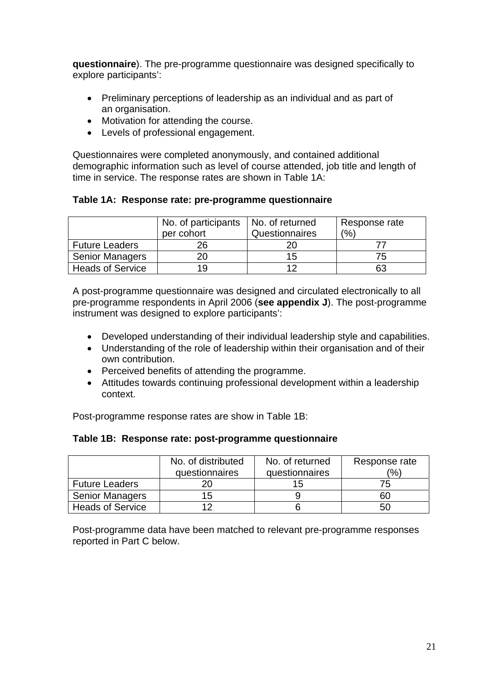**questionnaire**). The pre-programme questionnaire was designed specifically to explore participants':

- Preliminary perceptions of leadership as an individual and as part of an organisation.
- Motivation for attending the course.
- Levels of professional engagement.

Questionnaires were completed anonymously, and contained additional demographic information such as level of course attended, job title and length of time in service. The response rates are shown in Table 1A:

**Table 1A: Response rate: pre-programme questionnaire** 

|                         | No. of participants | No. of returned | Response rate |
|-------------------------|---------------------|-----------------|---------------|
|                         | per cohort          | Questionnaires  | (%)           |
| <b>Future Leaders</b>   | 26                  |                 |               |
| <b>Senior Managers</b>  |                     | 15              | 75            |
| <b>Heads of Service</b> | 19                  | ィつ              | 63            |

A post-programme questionnaire was designed and circulated electronically to all pre-programme respondents in April 2006 (**see appendix J**). The post-programme instrument was designed to explore participants':

- Developed understanding of their individual leadership style and capabilities.
- Understanding of the role of leadership within their organisation and of their own contribution.
- Perceived benefits of attending the programme.
- Attitudes towards continuing professional development within a leadership context.

Post-programme response rates are show in Table 1B:

## **Table 1B: Response rate: post-programme questionnaire**

|                         | No. of distributed | No. of returned | Response rate |
|-------------------------|--------------------|-----------------|---------------|
|                         | questionnaires     | questionnaires  | $\frac{1}{2}$ |
| <b>Future Leaders</b>   |                    | 15              |               |
| <b>Senior Managers</b>  | 15                 |                 | 60            |
| <b>Heads of Service</b> |                    |                 | 50            |

Post-programme data have been matched to relevant pre-programme responses reported in Part C below.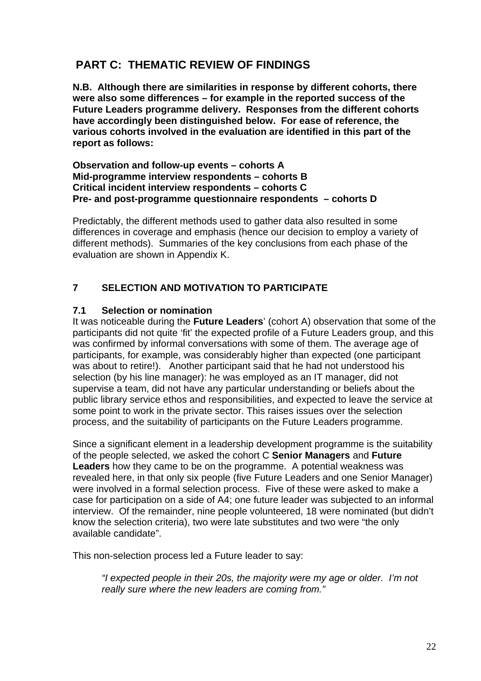# <span id="page-21-0"></span> **PART C: THEMATIC REVIEW OF FINDINGS**

**N.B. Although there are similarities in response by different cohorts, there were also some differences – for example in the reported success of the Future Leaders programme delivery. Responses from the different cohorts have accordingly been distinguished below. For ease of reference, the various cohorts involved in the evaluation are identified in this part of the report as follows:** 

#### **Observation and follow-up events – cohorts A Mid-programme interview respondents – cohorts B Critical incident interview respondents – cohorts C Pre- and post-programme questionnaire respondents – cohorts D**

Predictably, the different methods used to gather data also resulted in some differences in coverage and emphasis (hence our decision to employ a variety of different methods). Summaries of the key conclusions from each phase of the evaluation are shown in Appendix K.

## **7 SELECTION AND MOTIVATION TO PARTICIPATE**

#### **7.1 Selection or nomination**

It was noticeable during the **Future Leaders**' (cohort A) observation that some of the participants did not quite 'fit' the expected profile of a Future Leaders group, and this was confirmed by informal conversations with some of them. The average age of participants, for example, was considerably higher than expected (one participant was about to retire!). Another participant said that he had not understood his selection (by his line manager): he was employed as an IT manager, did not supervise a team, did not have any particular understanding or beliefs about the public library service ethos and responsibilities, and expected to leave the service at some point to work in the private sector. This raises issues over the selection process, and the suitability of participants on the Future Leaders programme.

Since a significant element in a leadership development programme is the suitability of the people selected, we asked the cohort C **Senior Managers** and **Future Leaders** how they came to be on the programme. A potential weakness was revealed here, in that only six people (five Future Leaders and one Senior Manager) were involved in a formal selection process. Five of these were asked to make a case for participation on a side of A4; one future leader was subjected to an informal interview. Of the remainder, nine people volunteered, 18 were nominated (but didn't know the selection criteria), two were late substitutes and two were "the only available candidate".

This non-selection process led a Future leader to say:

*"I expected people in their 20s, the majority were my age or older. I'm not really sure where the new leaders are coming from."*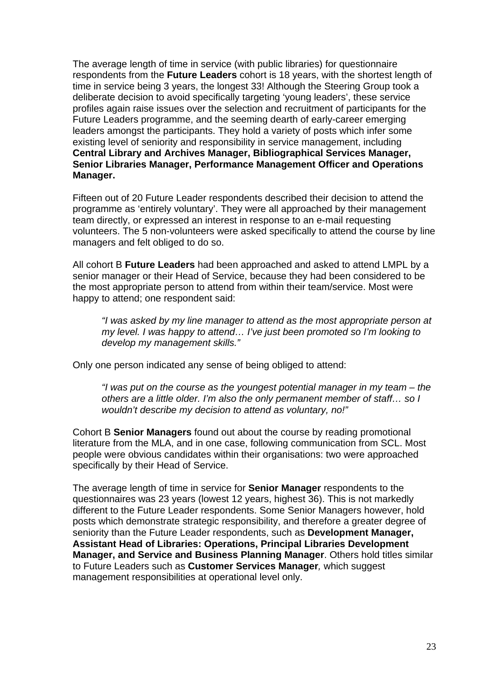The average length of time in service (with public libraries) for questionnaire respondents from the **Future Leaders** cohort is 18 years, with the shortest length of time in service being 3 years, the longest 33! Although the Steering Group took a deliberate decision to avoid specifically targeting 'young leaders', these service profiles again raise issues over the selection and recruitment of participants for the Future Leaders programme, and the seeming dearth of early-career emerging leaders amongst the participants. They hold a variety of posts which infer some existing level of seniority and responsibility in service management, including **Central Library and Archives Manager, Bibliographical Services Manager, Senior Libraries Manager, Performance Management Officer and Operations Manager.** 

Fifteen out of 20 Future Leader respondents described their decision to attend the programme as 'entirely voluntary'. They were all approached by their management team directly, or expressed an interest in response to an e-mail requesting volunteers. The 5 non-volunteers were asked specifically to attend the course by line managers and felt obliged to do so.

All cohort B **Future Leaders** had been approached and asked to attend LMPL by a senior manager or their Head of Service, because they had been considered to be the most appropriate person to attend from within their team/service. Most were happy to attend; one respondent said:

*"I was asked by my line manager to attend as the most appropriate person at my level. I was happy to attend… I've just been promoted so I'm looking to develop my management skills."* 

Only one person indicated any sense of being obliged to attend:

*"I was put on the course as the youngest potential manager in my team – the others are a little older. I'm also the only permanent member of staff… so I wouldn't describe my decision to attend as voluntary, no!"* 

Cohort B **Senior Managers** found out about the course by reading promotional literature from the MLA, and in one case, following communication from SCL. Most people were obvious candidates within their organisations: two were approached specifically by their Head of Service.

The average length of time in service for **Senior Manager** respondents to the questionnaires was 23 years (lowest 12 years, highest 36). This is not markedly different to the Future Leader respondents. Some Senior Managers however, hold posts which demonstrate strategic responsibility, and therefore a greater degree of seniority than the Future Leader respondents, such as **Development Manager, Assistant Head of Libraries: Operations, Principal Libraries Development Manager, and Service and Business Planning Manager**. Others hold titles similar to Future Leaders such as **Customer Services Manager***,* which suggest management responsibilities at operational level only.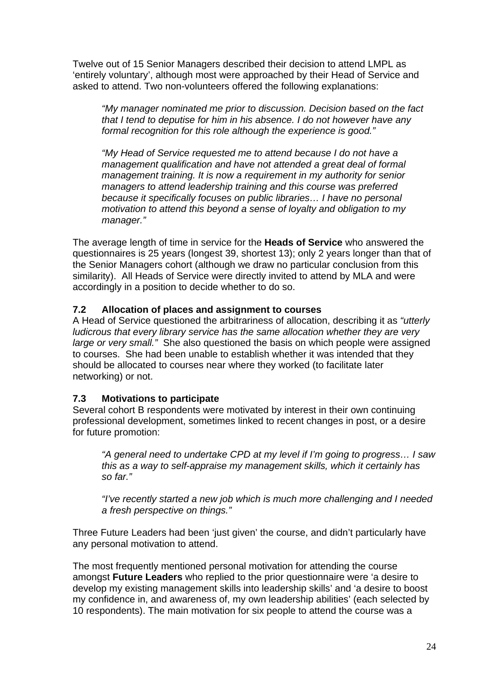<span id="page-23-0"></span>Twelve out of 15 Senior Managers described their decision to attend LMPL as 'entirely voluntary', although most were approached by their Head of Service and asked to attend. Two non-volunteers offered the following explanations:

*"My manager nominated me prior to discussion. Decision based on the fact that I tend to deputise for him in his absence. I do not however have any formal recognition for this role although the experience is good."* 

*"My Head of Service requested me to attend because I do not have a management qualification and have not attended a great deal of formal management training. It is now a requirement in my authority for senior managers to attend leadership training and this course was preferred because it specifically focuses on public libraries… I have no personal motivation to attend this beyond a sense of loyalty and obligation to my manager."* 

The average length of time in service for the **Heads of Service** who answered the questionnaires is 25 years (longest 39, shortest 13); only 2 years longer than that of the Senior Managers cohort (although we draw no particular conclusion from this similarity). All Heads of Service were directly invited to attend by MLA and were accordingly in a position to decide whether to do so.

## **7.2 Allocation of places and assignment to courses**

A Head of Service questioned the arbitrariness of allocation, describing it as *"utterly ludicrous that every library service has the same allocation whether they are very large or very small."* She also questioned the basis on which people were assigned to courses. She had been unable to establish whether it was intended that they should be allocated to courses near where they worked (to facilitate later networking) or not.

## **7.3 Motivations to participate**

Several cohort B respondents were motivated by interest in their own continuing professional development, sometimes linked to recent changes in post, or a desire for future promotion:

*"A general need to undertake CPD at my level if I'm going to progress… I saw this as a way to self-appraise my management skills, which it certainly has so far."* 

*"I've recently started a new job which is much more challenging and I needed a fresh perspective on things."* 

Three Future Leaders had been 'just given' the course, and didn't particularly have any personal motivation to attend.

The most frequently mentioned personal motivation for attending the course amongst **Future Leaders** who replied to the prior questionnaire were 'a desire to develop my existing management skills into leadership skills' and 'a desire to boost my confidence in, and awareness of, my own leadership abilities' (each selected by 10 respondents). The main motivation for six people to attend the course was a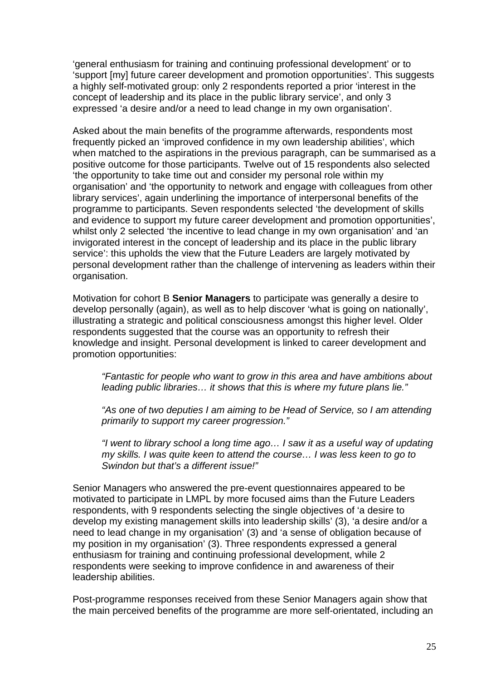'general enthusiasm for training and continuing professional development' or to 'support [my] future career development and promotion opportunities'. This suggests a highly self-motivated group: only 2 respondents reported a prior 'interest in the concept of leadership and its place in the public library service', and only 3 expressed 'a desire and/or a need to lead change in my own organisation'.

Asked about the main benefits of the programme afterwards, respondents most frequently picked an 'improved confidence in my own leadership abilities', which when matched to the aspirations in the previous paragraph, can be summarised as a positive outcome for those participants. Twelve out of 15 respondents also selected 'the opportunity to take time out and consider my personal role within my organisation' and 'the opportunity to network and engage with colleagues from other library services', again underlining the importance of interpersonal benefits of the programme to participants. Seven respondents selected 'the development of skills and evidence to support my future career development and promotion opportunities', whilst only 2 selected 'the incentive to lead change in my own organisation' and 'an invigorated interest in the concept of leadership and its place in the public library service': this upholds the view that the Future Leaders are largely motivated by personal development rather than the challenge of intervening as leaders within their organisation.

Motivation for cohort B **Senior Managers** to participate was generally a desire to develop personally (again), as well as to help discover 'what is going on nationally', illustrating a strategic and political consciousness amongst this higher level. Older respondents suggested that the course was an opportunity to refresh their knowledge and insight. Personal development is linked to career development and promotion opportunities:

*"Fantastic for people who want to grow in this area and have ambitions about leading public libraries… it shows that this is where my future plans lie."* 

*"As one of two deputies I am aiming to be Head of Service, so I am attending primarily to support my career progression."* 

*"I went to library school a long time ago… I saw it as a useful way of updating my skills. I was quite keen to attend the course… I was less keen to go to Swindon but that's a different issue!"* 

Senior Managers who answered the pre-event questionnaires appeared to be motivated to participate in LMPL by more focused aims than the Future Leaders respondents, with 9 respondents selecting the single objectives of 'a desire to develop my existing management skills into leadership skills' (3), 'a desire and/or a need to lead change in my organisation' (3) and 'a sense of obligation because of my position in my organisation' (3). Three respondents expressed a general enthusiasm for training and continuing professional development, while 2 respondents were seeking to improve confidence in and awareness of their leadership abilities.

Post-programme responses received from these Senior Managers again show that the main perceived benefits of the programme are more self-orientated, including an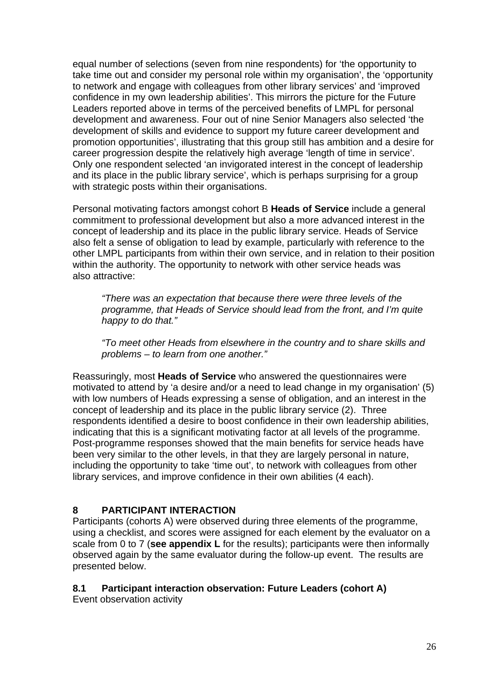<span id="page-25-0"></span>equal number of selections (seven from nine respondents) for 'the opportunity to take time out and consider my personal role within my organisation', the 'opportunity to network and engage with colleagues from other library services' and 'improved confidence in my own leadership abilities'. This mirrors the picture for the Future Leaders reported above in terms of the perceived benefits of LMPL for personal development and awareness. Four out of nine Senior Managers also selected 'the development of skills and evidence to support my future career development and promotion opportunities', illustrating that this group still has ambition and a desire for career progression despite the relatively high average 'length of time in service'. Only one respondent selected 'an invigorated interest in the concept of leadership and its place in the public library service', which is perhaps surprising for a group with strategic posts within their organisations.

Personal motivating factors amongst cohort B **Heads of Service** include a general commitment to professional development but also a more advanced interest in the concept of leadership and its place in the public library service. Heads of Service also felt a sense of obligation to lead by example, particularly with reference to the other LMPL participants from within their own service, and in relation to their position within the authority. The opportunity to network with other service heads was also attractive:

*"There was an expectation that because there were three levels of the programme, that Heads of Service should lead from the front, and I'm quite happy to do that."* 

*"To meet other Heads from elsewhere in the country and to share skills and problems – to learn from one another."* 

Reassuringly, most **Heads of Service** who answered the questionnaires were motivated to attend by 'a desire and/or a need to lead change in my organisation' (5) with low numbers of Heads expressing a sense of obligation, and an interest in the concept of leadership and its place in the public library service (2). Three respondents identified a desire to boost confidence in their own leadership abilities, indicating that this is a significant motivating factor at all levels of the programme. Post-programme responses showed that the main benefits for service heads have been very similar to the other levels, in that they are largely personal in nature, including the opportunity to take 'time out', to network with colleagues from other library services, and improve confidence in their own abilities (4 each).

## **8 PARTICIPANT INTERACTION**

Participants (cohorts A) were observed during three elements of the programme, using a checklist, and scores were assigned for each element by the evaluator on a scale from 0 to 7 (**see appendix L** for the results); participants were then informally observed again by the same evaluator during the follow-up event. The results are presented below.

## **8.1 Participant interaction observation: Future Leaders (cohort A)**

Event observation activity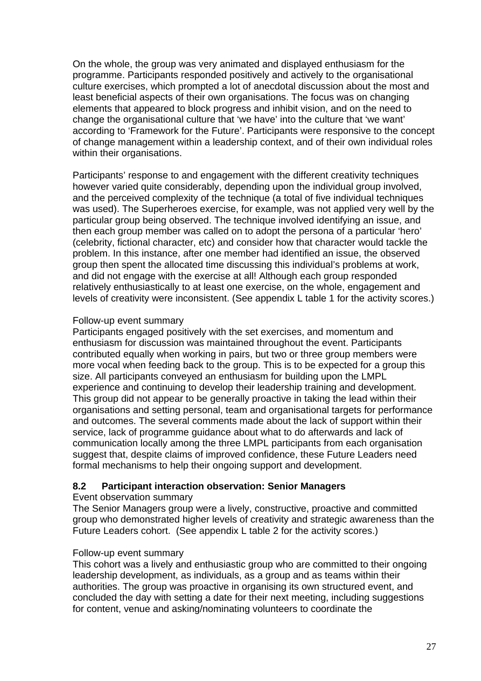<span id="page-26-0"></span>On the whole, the group was very animated and displayed enthusiasm for the programme. Participants responded positively and actively to the organisational culture exercises, which prompted a lot of anecdotal discussion about the most and least beneficial aspects of their own organisations. The focus was on changing elements that appeared to block progress and inhibit vision, and on the need to change the organisational culture that 'we have' into the culture that 'we want' according to 'Framework for the Future'. Participants were responsive to the concept of change management within a leadership context, and of their own individual roles within their organisations.

Participants' response to and engagement with the different creativity techniques however varied quite considerably, depending upon the individual group involved, and the perceived complexity of the technique (a total of five individual techniques was used). The Superheroes exercise, for example, was not applied very well by the particular group being observed. The technique involved identifying an issue, and then each group member was called on to adopt the persona of a particular 'hero' (celebrity, fictional character, etc) and consider how that character would tackle the problem. In this instance, after one member had identified an issue, the observed group then spent the allocated time discussing this individual's problems at work, and did not engage with the exercise at all! Although each group responded relatively enthusiastically to at least one exercise, on the whole, engagement and levels of creativity were inconsistent. (See appendix L table 1 for the activity scores.)

#### Follow-up event summary

Participants engaged positively with the set exercises, and momentum and enthusiasm for discussion was maintained throughout the event. Participants contributed equally when working in pairs, but two or three group members were more vocal when feeding back to the group. This is to be expected for a group this size. All participants conveyed an enthusiasm for building upon the LMPL experience and continuing to develop their leadership training and development. This group did not appear to be generally proactive in taking the lead within their organisations and setting personal, team and organisational targets for performance and outcomes. The several comments made about the lack of support within their service, lack of programme guidance about what to do afterwards and lack of communication locally among the three LMPL participants from each organisation suggest that, despite claims of improved confidence, these Future Leaders need formal mechanisms to help their ongoing support and development.

## **8.2 Participant interaction observation: Senior Managers**

#### Event observation summary

The Senior Managers group were a lively, constructive, proactive and committed group who demonstrated higher levels of creativity and strategic awareness than the Future Leaders cohort. (See appendix L table 2 for the activity scores.)

## Follow-up event summary

This cohort was a lively and enthusiastic group who are committed to their ongoing leadership development, as individuals, as a group and as teams within their authorities. The group was proactive in organising its own structured event, and concluded the day with setting a date for their next meeting, including suggestions for content, venue and asking/nominating volunteers to coordinate the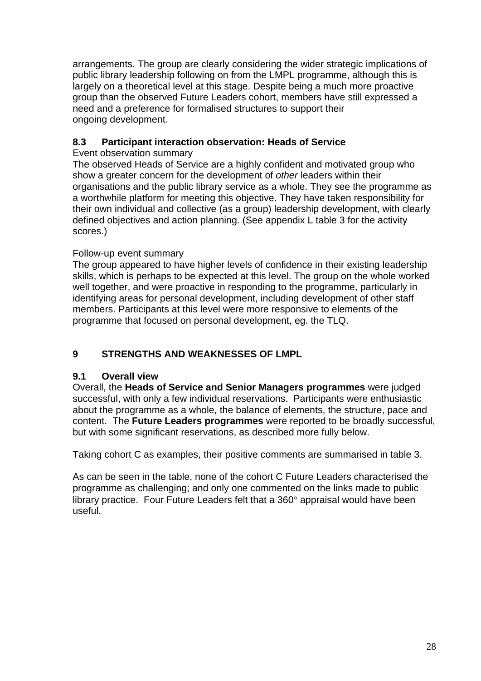<span id="page-27-0"></span>arrangements. The group are clearly considering the wider strategic implications of public library leadership following on from the LMPL programme, although this is largely on a theoretical level at this stage. Despite being a much more proactive group than the observed Future Leaders cohort, members have still expressed a need and a preference for formalised structures to support their ongoing development.

## **8.3 Participant interaction observation: Heads of Service**

Event observation summary

The observed Heads of Service are a highly confident and motivated group who show a greater concern for the development of *other* leaders within their organisations and the public library service as a whole. They see the programme as a worthwhile platform for meeting this objective. They have taken responsibility for their own individual and collective (as a group) leadership development, with clearly defined objectives and action planning. (See appendix L table 3 for the activity scores.)

## Follow-up event summary

The group appeared to have higher levels of confidence in their existing leadership skills, which is perhaps to be expected at this level. The group on the whole worked well together, and were proactive in responding to the programme, particularly in identifying areas for personal development, including development of other staff members. Participants at this level were more responsive to elements of the programme that focused on personal development, eg. the TLQ.

## **9 STRENGTHS AND WEAKNESSES OF LMPL**

## **9.1 Overall view**

Overall, the **Heads of Service and Senior Managers programmes** were judged successful, with only a few individual reservations. Participants were enthusiastic about the programme as a whole, the balance of elements, the structure, pace and content. The **Future Leaders programmes** were reported to be broadly successful, but with some significant reservations, as described more fully below.

Taking cohort C as examples, their positive comments are summarised in table 3.

As can be seen in the table, none of the cohort C Future Leaders characterised the programme as challenging; and only one commented on the links made to public library practice. Four Future Leaders felt that a 360° appraisal would have been useful.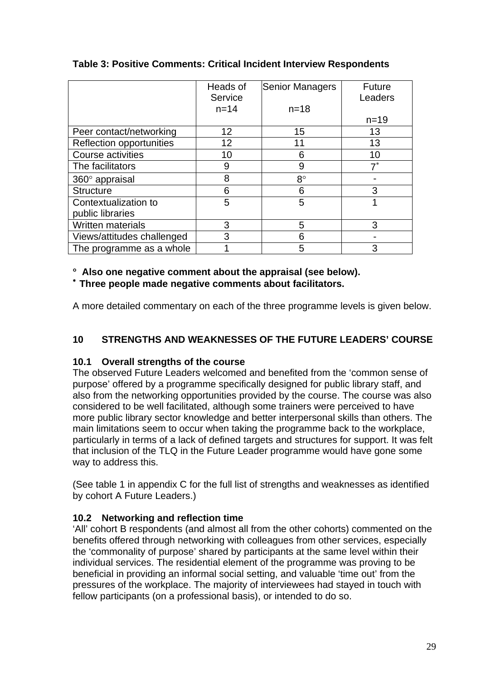|                            | Heads of<br>Service | <b>Senior Managers</b> | <b>Future</b><br>Leaders |
|----------------------------|---------------------|------------------------|--------------------------|
|                            | $n = 14$            | $n = 18$               |                          |
|                            |                     |                        | $n = 19$                 |
| Peer contact/networking    | 12                  | 15                     | 13                       |
| Reflection opportunities   | 12                  | 11                     | 13                       |
| Course activities          | 10                  | 6                      | 10                       |
| The facilitators           | 9                   | 9                      | $7^*$                    |
| $360^\circ$ appraisal      | 8                   | $8^{\circ}$            |                          |
| <b>Structure</b>           | 6                   | 6                      | 3                        |
| Contextualization to       | 5                   | 5                      |                          |
| public libraries           |                     |                        |                          |
| Written materials          | 3                   | 5                      | 3                        |
| Views/attitudes challenged | 3                   | 6                      |                          |
| The programme as a whole   |                     | 5                      | 3                        |

## <span id="page-28-0"></span>**Table 3: Positive Comments: Critical Incident Interview Respondents**

## ° **Also one negative comment about the appraisal (see below).**

<sup>∗</sup> **Three people made negative comments about facilitators.** 

A more detailed commentary on each of the three programme levels is given below.

## **10 STRENGTHS AND WEAKNESSES OF THE FUTURE LEADERS' COURSE**

## **10.1 Overall strengths of the course**

The observed Future Leaders welcomed and benefited from the 'common sense of purpose' offered by a programme specifically designed for public library staff, and also from the networking opportunities provided by the course. The course was also considered to be well facilitated, although some trainers were perceived to have more public library sector knowledge and better interpersonal skills than others. The main limitations seem to occur when taking the programme back to the workplace, particularly in terms of a lack of defined targets and structures for support. It was felt that inclusion of the TLQ in the Future Leader programme would have gone some way to address this.

(See table 1 in appendix C for the full list of strengths and weaknesses as identified by cohort A Future Leaders.)

## **10.2 Networking and reflection time**

'All' cohort B respondents (and almost all from the other cohorts) commented on the benefits offered through networking with colleagues from other services, especially the 'commonality of purpose' shared by participants at the same level within their individual services. The residential element of the programme was proving to be beneficial in providing an informal social setting, and valuable 'time out' from the pressures of the workplace. The majority of interviewees had stayed in touch with fellow participants (on a professional basis), or intended to do so.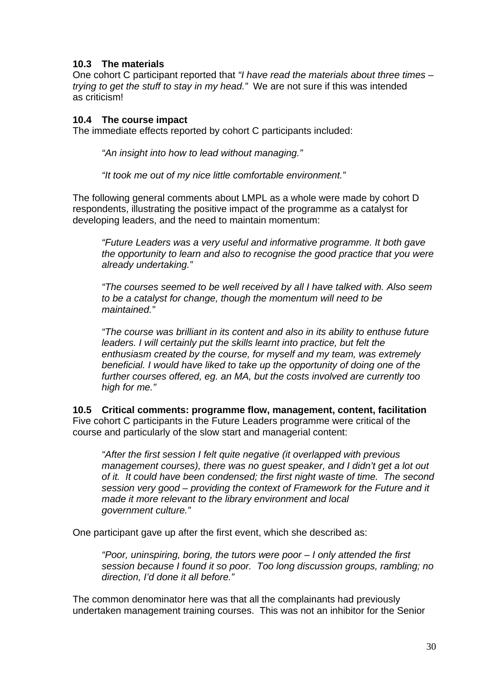## <span id="page-29-0"></span>**10.3 The materials**

One cohort C participant reported that *"I have read the materials about three times – trying to get the stuff to stay in my head."* We are not sure if this was intended as criticism!

## **10.4 The course impact**

The immediate effects reported by cohort C participants included:

*"An insight into how to lead without managing."*

*"It took me out of my nice little comfortable environment."* 

The following general comments about LMPL as a whole were made by cohort D respondents, illustrating the positive impact of the programme as a catalyst for developing leaders, and the need to maintain momentum:

*"Future Leaders was a very useful and informative programme. It both gave the opportunity to learn and also to recognise the good practice that you were already undertaking."* 

*"The courses seemed to be well received by all I have talked with. Also seem to be a catalyst for change, though the momentum will need to be maintained."* 

*"The course was brilliant in its content and also in its ability to enthuse future leaders. I will certainly put the skills learnt into practice, but felt the enthusiasm created by the course, for myself and my team, was extremely beneficial. I would have liked to take up the opportunity of doing one of the further courses offered, eg. an MA, but the costs involved are currently too high for me."* 

**10.5 Critical comments: programme flow, management, content, facilitation**  Five cohort C participants in the Future Leaders programme were critical of the course and particularly of the slow start and managerial content:

*"After the first session I felt quite negative (it overlapped with previous management courses), there was no guest speaker, and I didn't get a lot out of it. It could have been condensed; the first night waste of time. The second session very good – providing the context of Framework for the Future and it made it more relevant to the library environment and local government culture."* 

One participant gave up after the first event, which she described as:

*"Poor, uninspiring, boring, the tutors were poor – I only attended the first session because I found it so poor. Too long discussion groups, rambling; no direction, I'd done it all before."* 

The common denominator here was that all the complainants had previously undertaken management training courses. This was not an inhibitor for the Senior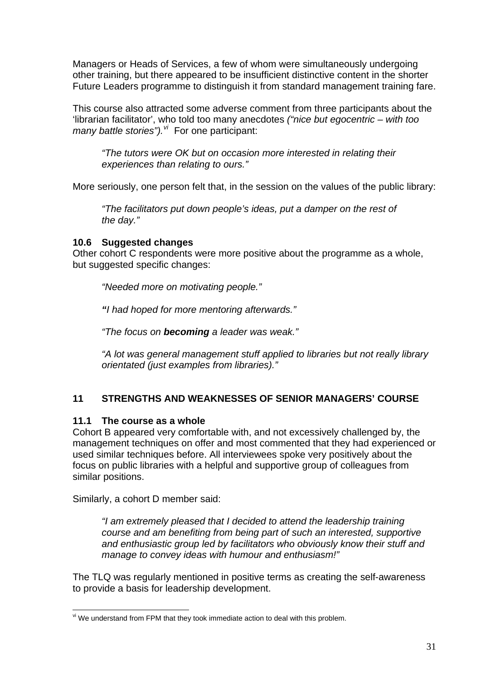<span id="page-30-0"></span>Managers or Heads of Services, a few of whom were simultaneously undergoing other training, but there appeared to be insufficient distinctive content in the shorter Future Leaders programme to distinguish it from standard management training fare.

This course also attracted some adverse comment from three participants about the 'librarian facilitator', who told too many anecdotes *("nice but egocentric – with too many battle stories").[vi](#page-30-0)* For one participant:

*"The tutors were OK but on occasion more interested in relating their experiences than relating to ours."* 

More seriously, one person felt that, in the session on the values of the public library:

*"The facilitators put down people's ideas, put a damper on the rest of the day."* 

#### **10.6 Suggested changes**

Other cohort C respondents were more positive about the programme as a whole, but suggested specific changes:

*"Needed more on motivating people."* 

*"I had hoped for more mentoring afterwards."* 

*"The focus on becoming a leader was weak."* 

*"A lot was general management stuff applied to libraries but not really library orientated (just examples from libraries)."* 

## **11 STRENGTHS AND WEAKNESSES OF SENIOR MANAGERS' COURSE**

## **11.1 The course as a whole**

Cohort B appeared very comfortable with, and not excessively challenged by, the management techniques on offer and most commented that they had experienced or used similar techniques before. All interviewees spoke very positively about the focus on public libraries with a helpful and supportive group of colleagues from similar positions.

Similarly, a cohort D member said:

*"I am extremely pleased that I decided to attend the leadership training course and am benefiting from being part of such an interested, supportive and enthusiastic group led by facilitators who obviously know their stuff and manage to convey ideas with humour and enthusiasm!"*

The TLQ was regularly mentioned in positive terms as creating the self-awareness to provide a basis for leadership development.

<sup>1</sup>  $\theta$ <sup>vi</sup> We understand from FPM that they took immediate action to deal with this problem.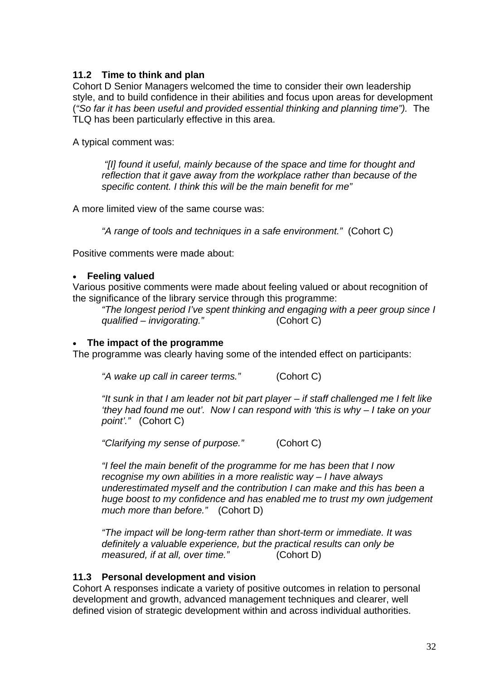## <span id="page-31-0"></span>**11.2 Time to think and plan**

Cohort D Senior Managers welcomed the time to consider their own leadership style, and to build confidence in their abilities and focus upon areas for development (*"So far it has been useful and provided essential thinking and planning time").* The TLQ has been particularly effective in this area.

A typical comment was:

 *"[I] found it useful, mainly because of the space and time for thought and reflection that it gave away from the workplace rather than because of the specific content. I think this will be the main benefit for me"* 

A more limited view of the same course was:

*"A range of tools and techniques in a safe environment."* (Cohort C)

Positive comments were made about:

#### • **Feeling valued**

Various positive comments were made about feeling valued or about recognition of the significance of the library service through this programme:

*"The longest period I've spent thinking and engaging with a peer group since I qualified – invigorating."* (Cohort C)

#### • **The impact of the programme**

The programme was clearly having some of the intended effect on participants:

*"A wake up call in career terms."* (Cohort C)

*"It sunk in that I am leader not bit part player – if staff challenged me I felt like 'they had found me out'. Now I can respond with 'this is why – I take on your point'."* (Cohort C)

*"Clarifying my sense of purpose."* (Cohort C)

*"I feel the main benefit of the programme for me has been that I now recognise my own abilities in a more realistic way – I have always underestimated myself and the contribution I can make and this has been a huge boost to my confidence and has enabled me to trust my own judgement much more than before."* (Cohort D)

*"The impact will be long-term rather than short-term or immediate. It was definitely a valuable experience, but the practical results can only be measured, if at all, over time."* (Cohort D)

#### **11.3 Personal development and vision**

Cohort A responses indicate a variety of positive outcomes in relation to personal development and growth, advanced management techniques and clearer, well defined vision of strategic development within and across individual authorities.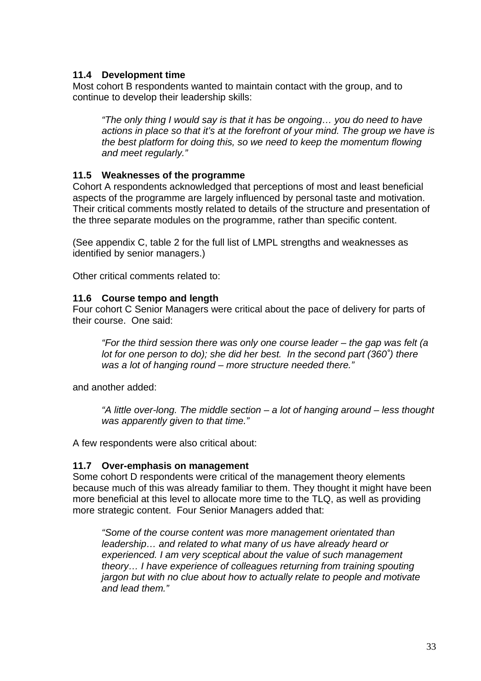## <span id="page-32-0"></span>**11.4 Development time**

Most cohort B respondents wanted to maintain contact with the group, and to continue to develop their leadership skills:

*"The only thing I would say is that it has be ongoing… you do need to have actions in place so that it's at the forefront of your mind. The group we have is the best platform for doing this, so we need to keep the momentum flowing and meet regularly."* 

## **11.5 Weaknesses of the programme**

Cohort A respondents acknowledged that perceptions of most and least beneficial aspects of the programme are largely influenced by personal taste and motivation. Their critical comments mostly related to details of the structure and presentation of the three separate modules on the programme, rather than specific content.

(See appendix C, table 2 for the full list of LMPL strengths and weaknesses as identified by senior managers.)

Other critical comments related to:

#### **11.6 Course tempo and length**

Four cohort C Senior Managers were critical about the pace of delivery for parts of their course. One said:

*"For the third session there was only one course leader – the gap was felt (a lot for one person to do); she did her best. In the second part (360˚) there was a lot of hanging round – more structure needed there."*

and another added:

*"A little over-long. The middle section – a lot of hanging around – less thought was apparently given to that time."* 

A few respondents were also critical about:

#### **11.7 Over-emphasis on management**

Some cohort D respondents were critical of the management theory elements because much of this was already familiar to them. They thought it might have been more beneficial at this level to allocate more time to the TLQ, as well as providing more strategic content. Four Senior Managers added that:

*"Some of the course content was more management orientated than leadership… and related to what many of us have already heard or experienced. I am very sceptical about the value of such management theory… I have experience of colleagues returning from training spouting jargon but with no clue about how to actually relate to people and motivate and lead them."*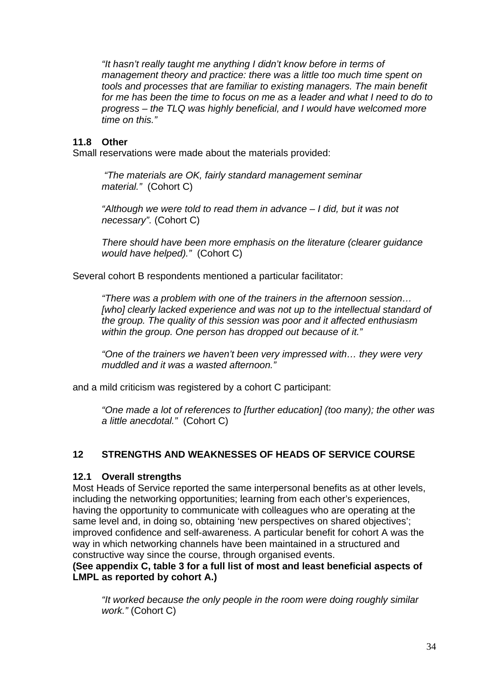<span id="page-33-0"></span>*"It hasn't really taught me anything I didn't know before in terms of management theory and practice: there was a little too much time spent on tools and processes that are familiar to existing managers. The main benefit*  for me has been the time to focus on me as a leader and what I need to do to *progress – the TLQ was highly beneficial, and I would have welcomed more time on this."* 

#### **11.8 Other**

Small reservations were made about the materials provided:

*"The materials are OK, fairly standard management seminar material."* (Cohort C)

*"Although we were told to read them in advance – I did, but it was not necessary".* (Cohort C)

*There should have been more emphasis on the literature (clearer guidance would have helped)."* (Cohort C)

Several cohort B respondents mentioned a particular facilitator:

*"There was a problem with one of the trainers in the afternoon session… [who] clearly lacked experience and was not up to the intellectual standard of the group. The quality of this session was poor and it affected enthusiasm within the group. One person has dropped out because of it."* 

*"One of the trainers we haven't been very impressed with… they were very muddled and it was a wasted afternoon."* 

and a mild criticism was registered by a cohort C participant:

*"One made a lot of references to [further education] (too many); the other was a little anecdotal."* (Cohort C)

#### **12 STRENGTHS AND WEAKNESSES OF HEADS OF SERVICE COURSE**

#### **12.1 Overall strengths**

Most Heads of Service reported the same interpersonal benefits as at other levels, including the networking opportunities; learning from each other's experiences, having the opportunity to communicate with colleagues who are operating at the same level and, in doing so, obtaining 'new perspectives on shared objectives'; improved confidence and self-awareness. A particular benefit for cohort A was the way in which networking channels have been maintained in a structured and constructive way since the course, through organised events.

**(See appendix C, table 3 for a full list of most and least beneficial aspects of LMPL as reported by cohort A.)** 

*"It worked because the only people in the room were doing roughly similar work."* (Cohort C)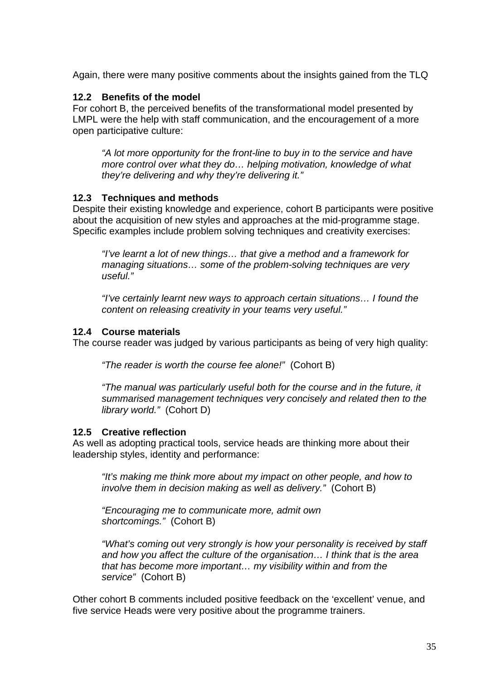<span id="page-34-0"></span>Again, there were many positive comments about the insights gained from the TLQ

#### **12.2 Benefits of the model**

For cohort B, the perceived benefits of the transformational model presented by LMPL were the help with staff communication, and the encouragement of a more open participative culture:

*"A lot more opportunity for the front-line to buy in to the service and have more control over what they do… helping motivation, knowledge of what they're delivering and why they're delivering it."* 

#### **12.3 Techniques and methods**

Despite their existing knowledge and experience, cohort B participants were positive about the acquisition of new styles and approaches at the mid-programme stage. Specific examples include problem solving techniques and creativity exercises:

*"I've learnt a lot of new things… that give a method and a framework for managing situations… some of the problem-solving techniques are very useful."* 

*"I've certainly learnt new ways to approach certain situations… I found the content on releasing creativity in your teams very useful."* 

#### **12.4 Course materials**

The course reader was judged by various participants as being of very high quality:

*"The reader is worth the course fee alone!"* (Cohort B)

*"The manual was particularly useful both for the course and in the future, it summarised management techniques very concisely and related then to the library world."* (Cohort D)

#### **12.5 Creative reflection**

As well as adopting practical tools, service heads are thinking more about their leadership styles, identity and performance:

*"It's making me think more about my impact on other people, and how to involve them in decision making as well as delivery."* (Cohort B)

*"Encouraging me to communicate more, admit own shortcomings."* (Cohort B)

*"What's coming out very strongly is how your personality is received by staff and how you affect the culture of the organisation… I think that is the area that has become more important… my visibility within and from the service"* (Cohort B)

Other cohort B comments included positive feedback on the 'excellent' venue, and five service Heads were very positive about the programme trainers.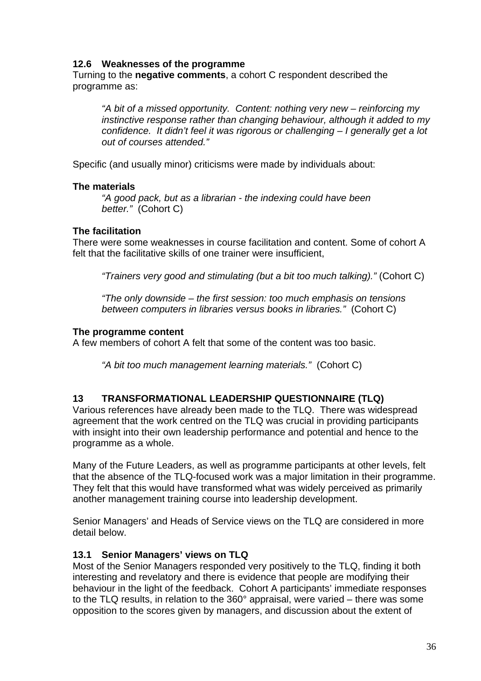## <span id="page-35-0"></span>**12.6 Weaknesses of the programme**

Turning to the **negative comments**, a cohort C respondent described the programme as:

*"A bit of a missed opportunity. Content: nothing very new – reinforcing my instinctive response rather than changing behaviour, although it added to my confidence. It didn't feel it was rigorous or challenging – I generally get a lot out of courses attended."* 

Specific (and usually minor) criticisms were made by individuals about:

#### **The materials**

*"A good pack, but as a librarian - the indexing could have been better."* (Cohort C)

#### **The facilitation**

There were some weaknesses in course facilitation and content. Some of cohort A felt that the facilitative skills of one trainer were insufficient,

*"Trainers very good and stimulating (but a bit too much talking)."* (Cohort C)

*"The only downside – the first session: too much emphasis on tensions between computers in libraries versus books in libraries."* (Cohort C)

#### **The programme content**

A few members of cohort A felt that some of the content was too basic.

*"A bit too much management learning materials."* (Cohort C)

## **13 TRANSFORMATIONAL LEADERSHIP QUESTIONNAIRE (TLQ)**

Various references have already been made to the TLQ. There was widespread agreement that the work centred on the TLQ was crucial in providing participants with insight into their own leadership performance and potential and hence to the programme as a whole.

Many of the Future Leaders, as well as programme participants at other levels, felt that the absence of the TLQ-focused work was a major limitation in their programme. They felt that this would have transformed what was widely perceived as primarily another management training course into leadership development.

Senior Managers' and Heads of Service views on the TLQ are considered in more detail below.

#### **13.1 Senior Managers' views on TLQ**

Most of the Senior Managers responded very positively to the TLQ, finding it both interesting and revelatory and there is evidence that people are modifying their behaviour in the light of the feedback. Cohort A participants' immediate responses to the TLQ results, in relation to the 360° appraisal, were varied – there was some opposition to the scores given by managers, and discussion about the extent of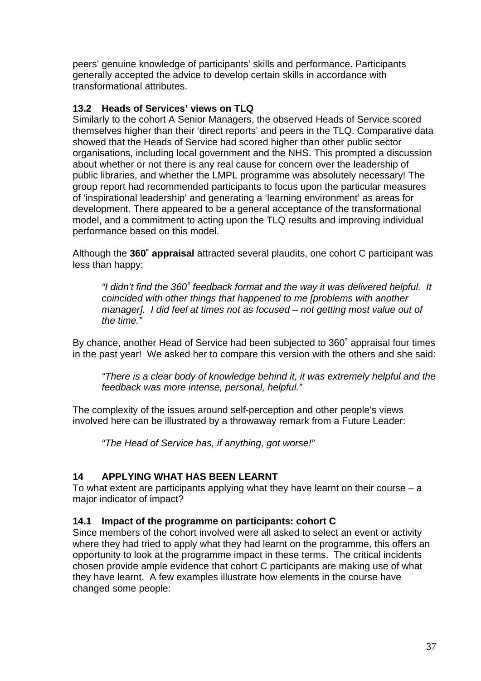peers' genuine knowledge of participants' skills and performance. Participants generally accepted the advice to develop certain skills in accordance with transformational attributes.

# **13.2 Heads of Services' views on TLQ**

Similarly to the cohort A Senior Managers, the observed Heads of Service scored themselves higher than their 'direct reports' and peers in the TLQ. Comparative data showed that the Heads of Service had scored higher than other public sector organisations, including local government and the NHS. This prompted a discussion about whether or not there is any real cause for concern over the leadership of public libraries, and whether the LMPL programme was absolutely necessary! The group report had recommended participants to focus upon the particular measures of 'inspirational leadership' and generating a 'learning environment' as areas for development. There appeared to be a general acceptance of the transformational model, and a commitment to acting upon the TLQ results and improving individual performance based on this model.

Although the **360˚ appraisal** attracted several plaudits, one cohort C participant was less than happy:

*"I didn't find the 360˚ feedback format and the way it was delivered helpful. It coincided with other things that happened to me [problems with another manager]. I did feel at times not as focused – not getting most value out of the time."* 

By chance, another Head of Service had been subjected to 360˚ appraisal four times in the past year! We asked her to compare this version with the others and she said:

*"There is a clear body of knowledge behind it, it was extremely helpful and the feedback was more intense, personal, helpful."* 

The complexity of the issues around self-perception and other people's views involved here can be illustrated by a throwaway remark from a Future Leader:

*"The Head of Service has, if anything, got worse!"*

# **14 APPLYING WHAT HAS BEEN LEARNT**

To what extent are participants applying what they have learnt on their course  $- a$ major indicator of impact?

# **14.1 Impact of the programme on participants: cohort C**

Since members of the cohort involved were all asked to select an event or activity where they had tried to apply what they had learnt on the programme, this offers an opportunity to look at the programme impact in these terms. The critical incidents chosen provide ample evidence that cohort C participants are making use of what they have learnt. A few examples illustrate how elements in the course have changed some people: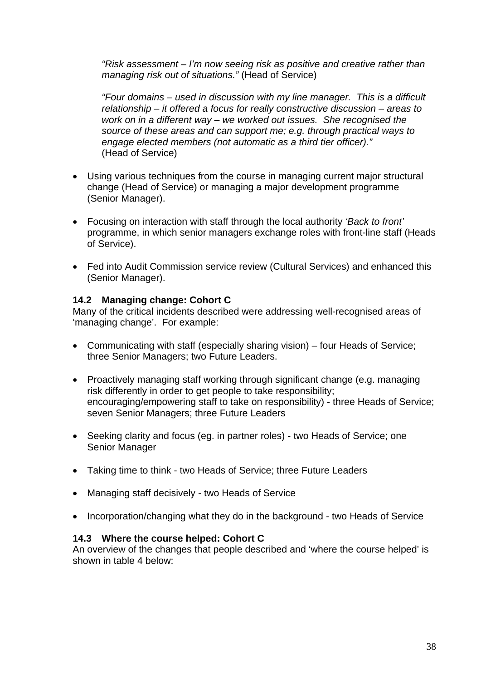*"Risk assessment – I'm now seeing risk as positive and creative rather than managing risk out of situations."* (Head of Service)

*"Four domains – used in discussion with my line manager. This is a difficult relationship – it offered a focus for really constructive discussion – areas to work on in a different way – we worked out issues. She recognised the source of these areas and can support me; e.g. through practical ways to engage elected members (not automatic as a third tier officer)."*  (Head of Service)

- Using various techniques from the course in managing current major structural change (Head of Service) or managing a major development programme (Senior Manager).
- Focusing on interaction with staff through the local authority *'Back to front'* programme, in which senior managers exchange roles with front-line staff (Heads of Service).
- Fed into Audit Commission service review (Cultural Services) and enhanced this (Senior Manager).

# **14.2 Managing change: Cohort C**

Many of the critical incidents described were addressing well-recognised areas of 'managing change'. For example:

- Communicating with staff (especially sharing vision) *–* four Heads of Service; three Senior Managers; two Future Leaders.
- Proactively managing staff working through significant change (e.g. managing risk differently in order to get people to take responsibility; encouraging/empowering staff to take on responsibility) - three Heads of Service; seven Senior Managers; three Future Leaders
- Seeking clarity and focus (eg. in partner roles) two Heads of Service; one Senior Manager
- Taking time to think two Heads of Service; three Future Leaders
- Managing staff decisively two Heads of Service
- Incorporation/changing what they do in the background two Heads of Service

# **14.3 Where the course helped: Cohort C**

An overview of the changes that people described and 'where the course helped' is shown in table 4 below: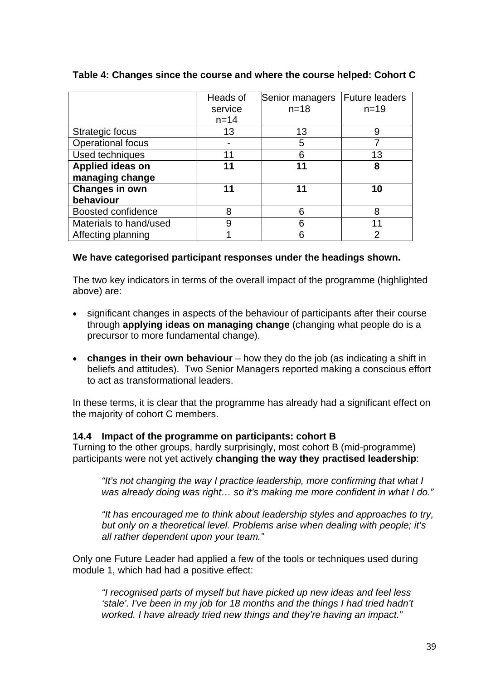|                          | Heads of | Senior managers | <b>Future leaders</b> |
|--------------------------|----------|-----------------|-----------------------|
|                          | service  | $n = 18$        | $n = 19$              |
|                          | $n = 14$ |                 |                       |
| Strategic focus          | 13       | 13              | 9                     |
| <b>Operational focus</b> |          | 5               |                       |
| Used techniques          | 11       | 6               | 13                    |
| Applied ideas on         | 11       | 11              | 8                     |
| managing change          |          |                 |                       |
| <b>Changes in own</b>    | 11       | 11              | 10                    |
| behaviour                |          |                 |                       |
| Boosted confidence       | 8        | 6               | 8                     |
| Materials to hand/used   | 9        | 6               | 11                    |
| Affecting planning       |          | Բ               |                       |

#### **Table 4: Changes since the course and where the course helped: Cohort C**

#### **We have categorised participant responses under the headings shown.**

The two key indicators in terms of the overall impact of the programme (highlighted above) are:

- significant changes in aspects of the behaviour of participants after their course through **applying ideas on managing change** (changing what people do is a precursor to more fundamental change).
- **changes in their own behaviour** how they do the job (as indicating a shift in beliefs and attitudes). Two Senior Managers reported making a conscious effort to act as transformational leaders.

In these terms, it is clear that the programme has already had a significant effect on the majority of cohort C members.

#### **14.4 Impact of the programme on participants: cohort B**

Turning to the other groups, hardly surprisingly, most cohort B (mid-programme) participants were not yet actively **changing the way they practised leadership**:

*"It's not changing the way I practice leadership, more confirming that what I was already doing was right… so it's making me more confident in what I do."* 

*"It has encouraged me to think about leadership styles and approaches to try, but only on a theoretical level. Problems arise when dealing with people; it's all rather dependent upon your team."* 

Only one Future Leader had applied a few of the tools or techniques used during module 1, which had had a positive effect:

*"I recognised parts of myself but have picked up new ideas and feel less 'stale'. I've been in my job for 18 months and the things I had tried hadn't worked. I have already tried new things and they're having an impact."*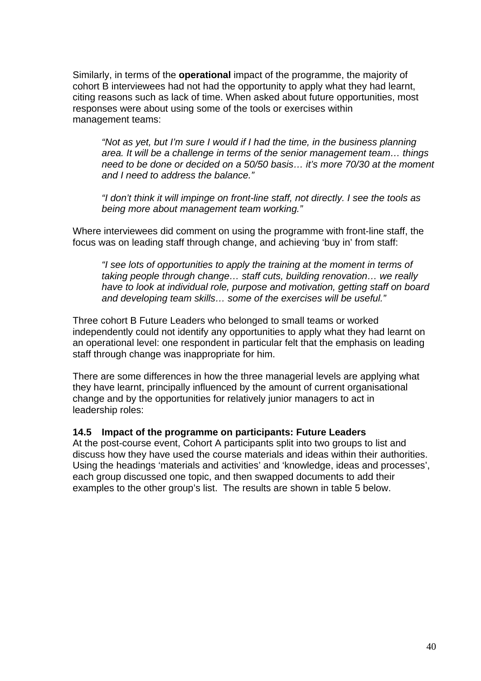Similarly, in terms of the **operational** impact of the programme, the majority of cohort B interviewees had not had the opportunity to apply what they had learnt, citing reasons such as lack of time. When asked about future opportunities, most responses were about using some of the tools or exercises within management teams:

*"Not as yet, but I'm sure I would if I had the time, in the business planning area. It will be a challenge in terms of the senior management team… things need to be done or decided on a 50/50 basis… it's more 70/30 at the moment and I need to address the balance."* 

*"I don't think it will impinge on front-line staff, not directly. I see the tools as being more about management team working."* 

Where interviewees did comment on using the programme with front-line staff, the focus was on leading staff through change, and achieving 'buy in' from staff:

*"I see lots of opportunities to apply the training at the moment in terms of taking people through change… staff cuts, building renovation… we really have to look at individual role, purpose and motivation, getting staff on board and developing team skills… some of the exercises will be useful."* 

Three cohort B Future Leaders who belonged to small teams or worked independently could not identify any opportunities to apply what they had learnt on an operational level: one respondent in particular felt that the emphasis on leading staff through change was inappropriate for him.

There are some differences in how the three managerial levels are applying what they have learnt, principally influenced by the amount of current organisational change and by the opportunities for relatively junior managers to act in leadership roles:

#### **14.5 Impact of the programme on participants: Future Leaders**

At the post-course event, Cohort A participants split into two groups to list and discuss how they have used the course materials and ideas within their authorities. Using the headings 'materials and activities' and 'knowledge, ideas and processes', each group discussed one topic, and then swapped documents to add their examples to the other group's list. The results are shown in table 5 below.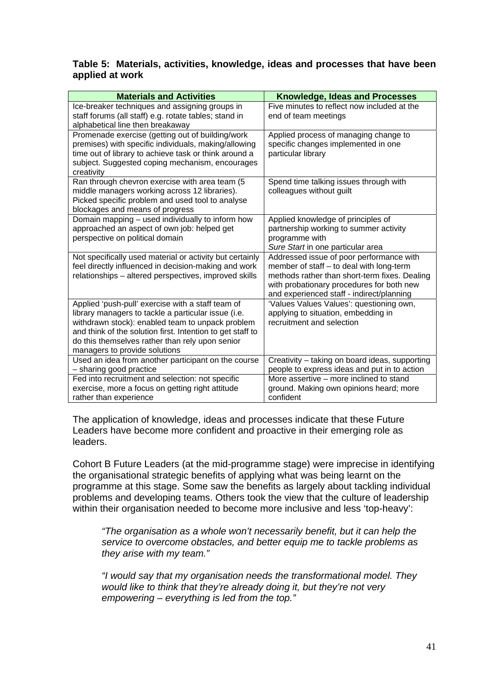#### **Table 5: Materials, activities, knowledge, ideas and processes that have been applied at work**

| <b>Materials and Activities</b>                                                                                | Knowledge, Ideas and Processes                                   |  |
|----------------------------------------------------------------------------------------------------------------|------------------------------------------------------------------|--|
| Ice-breaker techniques and assigning groups in                                                                 | Five minutes to reflect now included at the                      |  |
| staff forums (all staff) e.g. rotate tables; stand in                                                          | end of team meetings                                             |  |
| alphabetical line then breakaway                                                                               |                                                                  |  |
| Promenade exercise (getting out of building/work                                                               | Applied process of managing change to                            |  |
| premises) with specific individuals, making/allowing                                                           | specific changes implemented in one                              |  |
| time out of library to achieve task or think around a                                                          | particular library                                               |  |
| subject. Suggested coping mechanism, encourages                                                                |                                                                  |  |
| creativity<br>Ran through chevron exercise with area team (5                                                   | Spend time talking issues through with                           |  |
| middle managers working across 12 libraries).                                                                  | colleagues without guilt                                         |  |
| Picked specific problem and used tool to analyse                                                               |                                                                  |  |
| blockages and means of progress                                                                                |                                                                  |  |
| Domain mapping - used individually to inform how                                                               | Applied knowledge of principles of                               |  |
| approached an aspect of own job: helped get                                                                    | partnership working to summer activity                           |  |
| perspective on political domain                                                                                | programme with                                                   |  |
|                                                                                                                | Sure Start in one particular area                                |  |
| Not specifically used material or activity but certainly                                                       | Addressed issue of poor performance with                         |  |
| feel directly influenced in decision-making and work                                                           | member of staff - to deal with long-term                         |  |
| relationships - altered perspectives, improved skills                                                          | methods rather than short-term fixes. Dealing                    |  |
|                                                                                                                | with probationary procedures for both new                        |  |
|                                                                                                                | and experienced staff - indirect/planning                        |  |
| Applied 'push-pull' exercise with a staff team of                                                              | 'Values Values Values': questioning own,                         |  |
| library managers to tackle a particular issue (i.e.                                                            | applying to situation, embedding in<br>recruitment and selection |  |
| withdrawn stock): enabled team to unpack problem<br>and think of the solution first. Intention to get staff to |                                                                  |  |
| do this themselves rather than rely upon senior                                                                |                                                                  |  |
| managers to provide solutions                                                                                  |                                                                  |  |
| Used an idea from another participant on the course                                                            | Creativity - taking on board ideas, supporting                   |  |
| - sharing good practice                                                                                        | people to express ideas and put in to action                     |  |
| Fed into recruitment and selection: not specific                                                               | More assertive - more inclined to stand                          |  |
| exercise, more a focus on getting right attitude                                                               | ground. Making own opinions heard; more                          |  |
| rather than experience                                                                                         | confident                                                        |  |

The application of knowledge, ideas and processes indicate that these Future Leaders have become more confident and proactive in their emerging role as leaders.

Cohort B Future Leaders (at the mid-programme stage) were imprecise in identifying the organisational strategic benefits of applying what was being learnt on the programme at this stage. Some saw the benefits as largely about tackling individual problems and developing teams. Others took the view that the culture of leadership within their organisation needed to become more inclusive and less 'top-heavy':

*"The organisation as a whole won't necessarily benefit, but it can help the service to overcome obstacles, and better equip me to tackle problems as they arise with my team."* 

*"I would say that my organisation needs the transformational model. They would like to think that they're already doing it, but they're not very empowering – everything is led from the top."*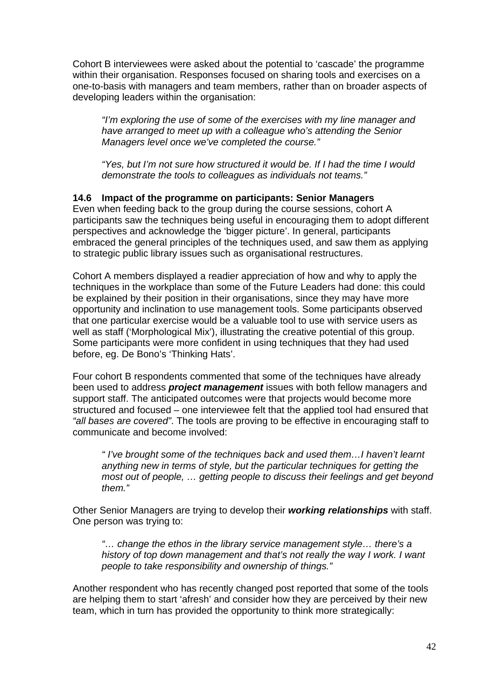Cohort B interviewees were asked about the potential to 'cascade' the programme within their organisation. Responses focused on sharing tools and exercises on a one-to-basis with managers and team members, rather than on broader aspects of developing leaders within the organisation:

*"I'm exploring the use of some of the exercises with my line manager and have arranged to meet up with a colleague who's attending the Senior Managers level once we've completed the course."* 

*"Yes, but I'm not sure how structured it would be. If I had the time I would demonstrate the tools to colleagues as individuals not teams."* 

### **14.6 Impact of the programme on participants: Senior Managers**

Even when feeding back to the group during the course sessions, cohort A participants saw the techniques being useful in encouraging them to adopt different perspectives and acknowledge the 'bigger picture'. In general, participants embraced the general principles of the techniques used, and saw them as applying to strategic public library issues such as organisational restructures.

Cohort A members displayed a readier appreciation of how and why to apply the techniques in the workplace than some of the Future Leaders had done: this could be explained by their position in their organisations, since they may have more opportunity and inclination to use management tools. Some participants observed that one particular exercise would be a valuable tool to use with service users as well as staff ('Morphological Mix'), illustrating the creative potential of this group. Some participants were more confident in using techniques that they had used before, eg. De Bono's 'Thinking Hats'.

Four cohort B respondents commented that some of the techniques have already been used to address *project management* issues with both fellow managers and support staff. The anticipated outcomes were that projects would become more structured and focused – one interviewee felt that the applied tool had ensured that *"all bases are covered"*. The tools are proving to be effective in encouraging staff to communicate and become involved:

*" I've brought some of the techniques back and used them…I haven't learnt anything new in terms of style, but the particular techniques for getting the most out of people, … getting people to discuss their feelings and get beyond them."* 

Other Senior Managers are trying to develop their *working relationships* with staff. One person was trying to:

*"… change the ethos in the library service management style… there's a history of top down management and that's not really the way I work. I want people to take responsibility and ownership of things."* 

Another respondent who has recently changed post reported that some of the tools are helping them to start 'afresh' and consider how they are perceived by their new team, which in turn has provided the opportunity to think more strategically: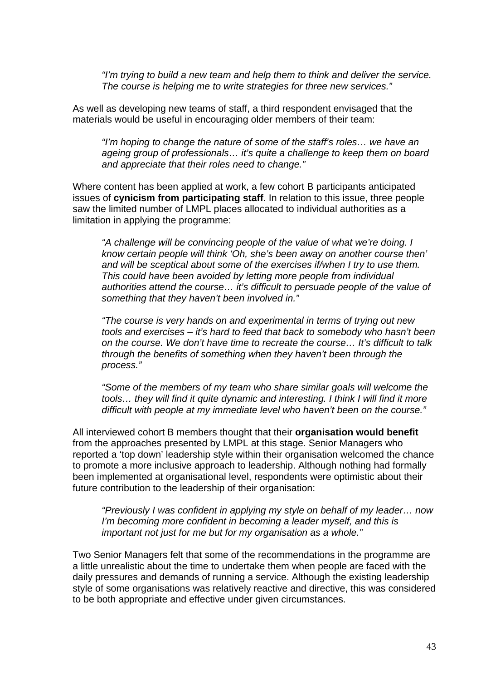*"I'm trying to build a new team and help them to think and deliver the service. The course is helping me to write strategies for three new services."* 

As well as developing new teams of staff, a third respondent envisaged that the materials would be useful in encouraging older members of their team:

*"I'm hoping to change the nature of some of the staff's roles… we have an ageing group of professionals… it's quite a challenge to keep them on board and appreciate that their roles need to change."* 

Where content has been applied at work, a few cohort B participants anticipated issues of **cynicism from participating staff**. In relation to this issue, three people saw the limited number of LMPL places allocated to individual authorities as a limitation in applying the programme:

*"A challenge will be convincing people of the value of what we're doing. I know certain people will think 'Oh, she's been away on another course then' and will be sceptical about some of the exercises if/when I try to use them. This could have been avoided by letting more people from individual authorities attend the course… it's difficult to persuade people of the value of something that they haven't been involved in."* 

*"The course is very hands on and experimental in terms of trying out new tools and exercises – it's hard to feed that back to somebody who hasn't been on the course. We don't have time to recreate the course… It's difficult to talk through the benefits of something when they haven't been through the process."* 

*"Some of the members of my team who share similar goals will welcome the tools… they will find it quite dynamic and interesting. I think I will find it more difficult with people at my immediate level who haven't been on the course."* 

All interviewed cohort B members thought that their **organisation would benefit** from the approaches presented by LMPL at this stage. Senior Managers who reported a 'top down' leadership style within their organisation welcomed the chance to promote a more inclusive approach to leadership. Although nothing had formally been implemented at organisational level, respondents were optimistic about their future contribution to the leadership of their organisation:

*"Previously I was confident in applying my style on behalf of my leader… now I'm becoming more confident in becoming a leader myself, and this is important not just for me but for my organisation as a whole."* 

Two Senior Managers felt that some of the recommendations in the programme are a little unrealistic about the time to undertake them when people are faced with the daily pressures and demands of running a service. Although the existing leadership style of some organisations was relatively reactive and directive, this was considered to be both appropriate and effective under given circumstances.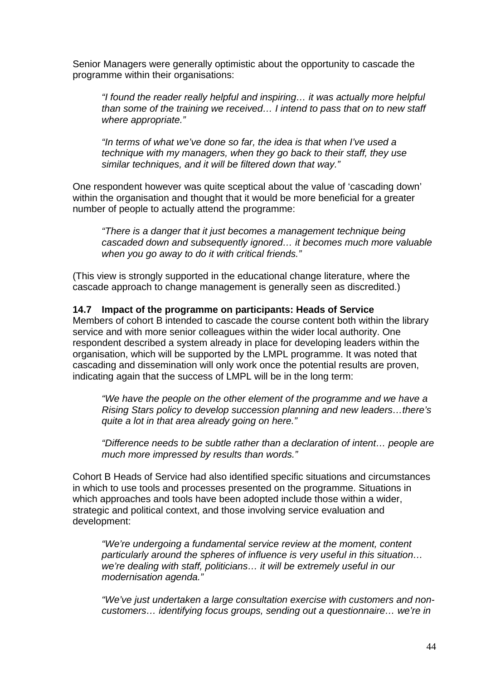Senior Managers were generally optimistic about the opportunity to cascade the programme within their organisations:

*"I found the reader really helpful and inspiring… it was actually more helpful than some of the training we received… I intend to pass that on to new staff where appropriate."* 

*"In terms of what we've done so far, the idea is that when I've used a technique with my managers, when they go back to their staff, they use similar techniques, and it will be filtered down that way."* 

One respondent however was quite sceptical about the value of 'cascading down' within the organisation and thought that it would be more beneficial for a greater number of people to actually attend the programme:

*"There is a danger that it just becomes a management technique being cascaded down and subsequently ignored… it becomes much more valuable when you go away to do it with critical friends."* 

(This view is strongly supported in the educational change literature, where the cascade approach to change management is generally seen as discredited.)

#### **14.7 Impact of the programme on participants: Heads of Service**

Members of cohort B intended to cascade the course content both within the library service and with more senior colleagues within the wider local authority. One respondent described a system already in place for developing leaders within the organisation, which will be supported by the LMPL programme. It was noted that cascading and dissemination will only work once the potential results are proven, indicating again that the success of LMPL will be in the long term:

*"We have the people on the other element of the programme and we have a Rising Stars policy to develop succession planning and new leaders…there's quite a lot in that area already going on here."* 

*"Difference needs to be subtle rather than a declaration of intent… people are much more impressed by results than words."* 

Cohort B Heads of Service had also identified specific situations and circumstances in which to use tools and processes presented on the programme. Situations in which approaches and tools have been adopted include those within a wider, strategic and political context, and those involving service evaluation and development:

*"We're undergoing a fundamental service review at the moment, content particularly around the spheres of influence is very useful in this situation… we're dealing with staff, politicians… it will be extremely useful in our modernisation agenda."* 

*"We've just undertaken a large consultation exercise with customers and noncustomers… identifying focus groups, sending out a questionnaire… we're in*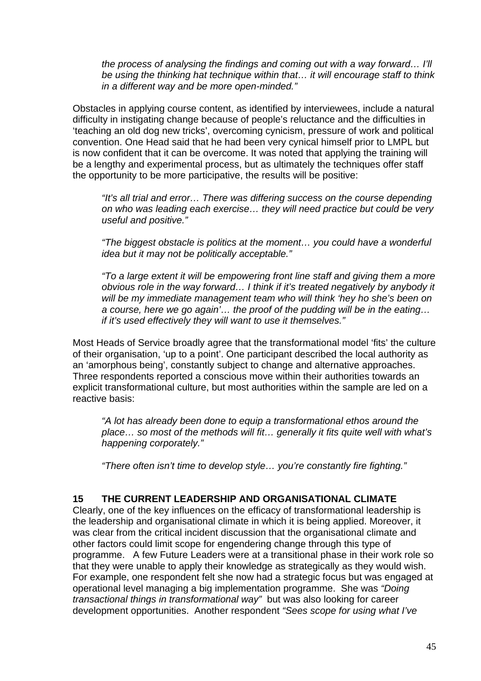*the process of analysing the findings and coming out with a way forward… I'll be using the thinking hat technique within that… it will encourage staff to think in a different way and be more open-minded."* 

Obstacles in applying course content, as identified by interviewees, include a natural difficulty in instigating change because of people's reluctance and the difficulties in 'teaching an old dog new tricks', overcoming cynicism, pressure of work and political convention. One Head said that he had been very cynical himself prior to LMPL but is now confident that it can be overcome. It was noted that applying the training will be a lengthy and experimental process, but as ultimately the techniques offer staff the opportunity to be more participative, the results will be positive:

*"It's all trial and error… There was differing success on the course depending on who was leading each exercise… they will need practice but could be very useful and positive."* 

*"The biggest obstacle is politics at the moment… you could have a wonderful idea but it may not be politically acceptable."* 

*"To a large extent it will be empowering front line staff and giving them a more obvious role in the way forward… I think if it's treated negatively by anybody it will be my immediate management team who will think 'hey ho she's been on a course, here we go again'… the proof of the pudding will be in the eating… if it's used effectively they will want to use it themselves."* 

Most Heads of Service broadly agree that the transformational model 'fits' the culture of their organisation, 'up to a point'. One participant described the local authority as an 'amorphous being', constantly subject to change and alternative approaches. Three respondents reported a conscious move within their authorities towards an explicit transformational culture, but most authorities within the sample are led on a reactive basis:

*"A lot has already been done to equip a transformational ethos around the place… so most of the methods will fit… generally it fits quite well with what's happening corporately."* 

*"There often isn't time to develop style… you're constantly fire fighting."* 

#### **15 THE CURRENT LEADERSHIP AND ORGANISATIONAL CLIMATE**

Clearly, one of the key influences on the efficacy of transformational leadership is the leadership and organisational climate in which it is being applied. Moreover, it was clear from the critical incident discussion that the organisational climate and other factors could limit scope for engendering change through this type of programme. A few Future Leaders were at a transitional phase in their work role so that they were unable to apply their knowledge as strategically as they would wish. For example, one respondent felt she now had a strategic focus but was engaged at operational level managing a big implementation programme. She was *"Doing transactional things in transformational way"* but was also looking for career development opportunities. Another respondent *"Sees scope for using what I've*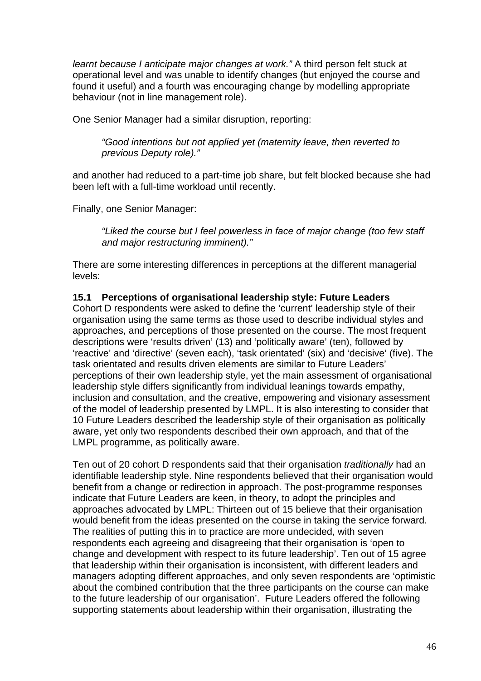*learnt because I anticipate major changes at work."* A third person felt stuck at operational level and was unable to identify changes (but enjoyed the course and found it useful) and a fourth was encouraging change by modelling appropriate behaviour (not in line management role).

One Senior Manager had a similar disruption, reporting:

*"Good intentions but not applied yet (maternity leave, then reverted to previous Deputy role)."* 

and another had reduced to a part-time job share, but felt blocked because she had been left with a full-time workload until recently.

Finally, one Senior Manager:

*"Liked the course but I feel powerless in face of major change (too few staff and major restructuring imminent)."*

There are some interesting differences in perceptions at the different managerial levels:

**15.1 Perceptions of organisational leadership style: Future Leaders**  Cohort D respondents were asked to define the 'current' leadership style of their organisation using the same terms as those used to describe individual styles and approaches, and perceptions of those presented on the course. The most frequent descriptions were 'results driven' (13) and 'politically aware' (ten), followed by 'reactive' and 'directive' (seven each), 'task orientated' (six) and 'decisive' (five). The task orientated and results driven elements are similar to Future Leaders' perceptions of their own leadership style, yet the main assessment of organisational leadership style differs significantly from individual leanings towards empathy, inclusion and consultation, and the creative, empowering and visionary assessment of the model of leadership presented by LMPL. It is also interesting to consider that 10 Future Leaders described the leadership style of their organisation as politically aware, yet only two respondents described their own approach, and that of the LMPL programme, as politically aware.

Ten out of 20 cohort D respondents said that their organisation *traditionally* had an identifiable leadership style. Nine respondents believed that their organisation would benefit from a change or redirection in approach. The post-programme responses indicate that Future Leaders are keen, in theory, to adopt the principles and approaches advocated by LMPL: Thirteen out of 15 believe that their organisation would benefit from the ideas presented on the course in taking the service forward. The realities of putting this in to practice are more undecided, with seven respondents each agreeing and disagreeing that their organisation is 'open to change and development with respect to its future leadership'. Ten out of 15 agree that leadership within their organisation is inconsistent, with different leaders and managers adopting different approaches, and only seven respondents are 'optimistic about the combined contribution that the three participants on the course can make to the future leadership of our organisation'. Future Leaders offered the following supporting statements about leadership within their organisation, illustrating the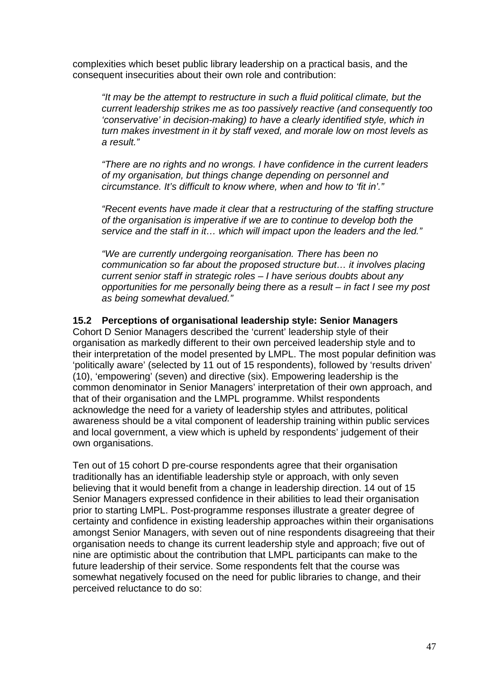complexities which beset public library leadership on a practical basis, and the consequent insecurities about their own role and contribution:

*"It may be the attempt to restructure in such a fluid political climate, but the current leadership strikes me as too passively reactive (and consequently too 'conservative' in decision-making) to have a clearly identified style, which in turn makes investment in it by staff vexed, and morale low on most levels as a result."* 

*"There are no rights and no wrongs. I have confidence in the current leaders of my organisation, but things change depending on personnel and circumstance. It's difficult to know where, when and how to 'fit in'."* 

*"Recent events have made it clear that a restructuring of the staffing structure of the organisation is imperative if we are to continue to develop both the service and the staff in it… which will impact upon the leaders and the led."* 

*"We are currently undergoing reorganisation. There has been no communication so far about the proposed structure but… it involves placing current senior staff in strategic roles – I have serious doubts about any opportunities for me personally being there as a result – in fact I see my post as being somewhat devalued."* 

### **15.2 Perceptions of organisational leadership style: Senior Managers**

Cohort D Senior Managers described the 'current' leadership style of their organisation as markedly different to their own perceived leadership style and to their interpretation of the model presented by LMPL. The most popular definition was 'politically aware' (selected by 11 out of 15 respondents), followed by 'results driven' (10), 'empowering' (seven) and directive (six). Empowering leadership is the common denominator in Senior Managers' interpretation of their own approach, and that of their organisation and the LMPL programme. Whilst respondents acknowledge the need for a variety of leadership styles and attributes, political awareness should be a vital component of leadership training within public services and local government, a view which is upheld by respondents' judgement of their own organisations.

Ten out of 15 cohort D pre-course respondents agree that their organisation traditionally has an identifiable leadership style or approach, with only seven believing that it would benefit from a change in leadership direction. 14 out of 15 Senior Managers expressed confidence in their abilities to lead their organisation prior to starting LMPL. Post-programme responses illustrate a greater degree of certainty and confidence in existing leadership approaches within their organisations amongst Senior Managers, with seven out of nine respondents disagreeing that their organisation needs to change its current leadership style and approach; five out of nine are optimistic about the contribution that LMPL participants can make to the future leadership of their service. Some respondents felt that the course was somewhat negatively focused on the need for public libraries to change, and their perceived reluctance to do so: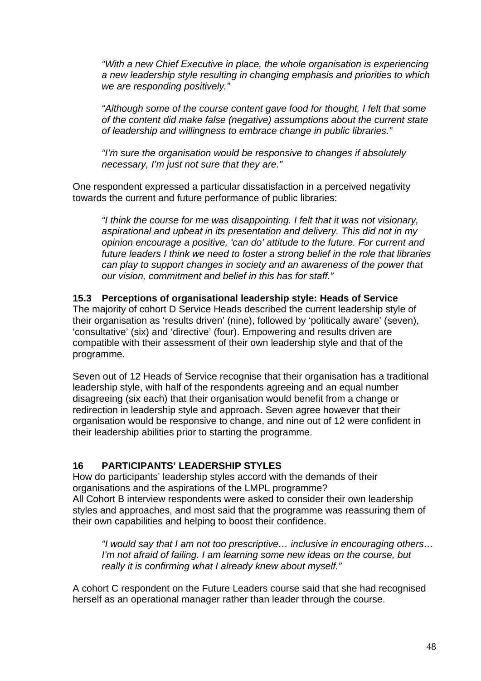*"With a new Chief Executive in place, the whole organisation is experiencing a new leadership style resulting in changing emphasis and priorities to which we are responding positively."* 

*"Although some of the course content gave food for thought, I felt that some of the content did make false (negative) assumptions about the current state of leadership and willingness to embrace change in public libraries."* 

*"I'm sure the organisation would be responsive to changes if absolutely necessary, I'm just not sure that they are."* 

One respondent expressed a particular dissatisfaction in a perceived negativity towards the current and future performance of public libraries:

*"I think the course for me was disappointing. I felt that it was not visionary, aspirational and upbeat in its presentation and delivery. This did not in my opinion encourage a positive, 'can do' attitude to the future. For current and future leaders I think we need to foster a strong belief in the role that libraries can play to support changes in society and an awareness of the power that our vision, commitment and belief in this has for staff."* 

#### **15.3 Perceptions of organisational leadership style: Heads of Service**

The majority of cohort D Service Heads described the current leadership style of their organisation as 'results driven' (nine), followed by 'politically aware' (seven), 'consultative' (six) and 'directive' (four). Empowering and results driven are compatible with their assessment of their own leadership style and that of the programme.

Seven out of 12 Heads of Service recognise that their organisation has a traditional leadership style, with half of the respondents agreeing and an equal number disagreeing (six each) that their organisation would benefit from a change or redirection in leadership style and approach. Seven agree however that their organisation would be responsive to change, and nine out of 12 were confident in their leadership abilities prior to starting the programme.

#### **16 PARTICIPANTS' LEADERSHIP STYLES**

How do participants' leadership styles accord with the demands of their organisations and the aspirations of the LMPL programme? All Cohort B interview respondents were asked to consider their own leadership styles and approaches, and most said that the programme was reassuring them of their own capabilities and helping to boost their confidence.

*"I would say that I am not too prescriptive… inclusive in encouraging others… I'm not afraid of failing. I am learning some new ideas on the course, but really it is confirming what I already knew about myself."* 

A cohort C respondent on the Future Leaders course said that she had recognised herself as an operational manager rather than leader through the course.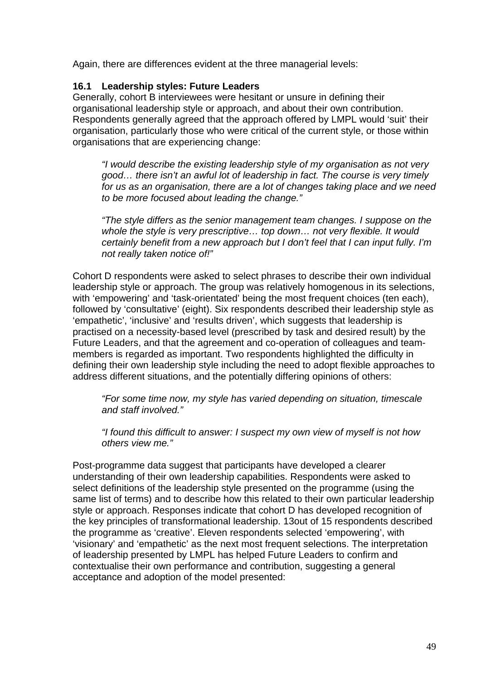Again, there are differences evident at the three managerial levels:

#### **16.1 Leadership styles: Future Leaders**

Generally, cohort B interviewees were hesitant or unsure in defining their organisational leadership style or approach, and about their own contribution. Respondents generally agreed that the approach offered by LMPL would 'suit' their organisation, particularly those who were critical of the current style, or those within organisations that are experiencing change:

*"I would describe the existing leadership style of my organisation as not very good… there isn't an awful lot of leadership in fact. The course is very timely for us as an organisation, there are a lot of changes taking place and we need to be more focused about leading the change."* 

*"The style differs as the senior management team changes. I suppose on the whole the style is very prescriptive… top down… not very flexible. It would certainly benefit from a new approach but I don't feel that I can input fully. I'm not really taken notice of!"* 

Cohort D respondents were asked to select phrases to describe their own individual leadership style or approach. The group was relatively homogenous in its selections, with 'empowering' and 'task-orientated' being the most frequent choices (ten each), followed by 'consultative' (eight). Six respondents described their leadership style as 'empathetic', 'inclusive' and 'results driven', which suggests that leadership is practised on a necessity-based level (prescribed by task and desired result) by the Future Leaders, and that the agreement and co-operation of colleagues and teammembers is regarded as important. Two respondents highlighted the difficulty in defining their own leadership style including the need to adopt flexible approaches to address different situations, and the potentially differing opinions of others:

*"For some time now, my style has varied depending on situation, timescale and staff involved."* 

*"I found this difficult to answer: I suspect my own view of myself is not how others view me."* 

Post-programme data suggest that participants have developed a clearer understanding of their own leadership capabilities. Respondents were asked to select definitions of the leadership style presented on the programme (using the same list of terms) and to describe how this related to their own particular leadership style or approach. Responses indicate that cohort D has developed recognition of the key principles of transformational leadership. 13out of 15 respondents described the programme as 'creative'. Eleven respondents selected 'empowering', with 'visionary' and 'empathetic' as the next most frequent selections. The interpretation of leadership presented by LMPL has helped Future Leaders to confirm and contextualise their own performance and contribution, suggesting a general acceptance and adoption of the model presented: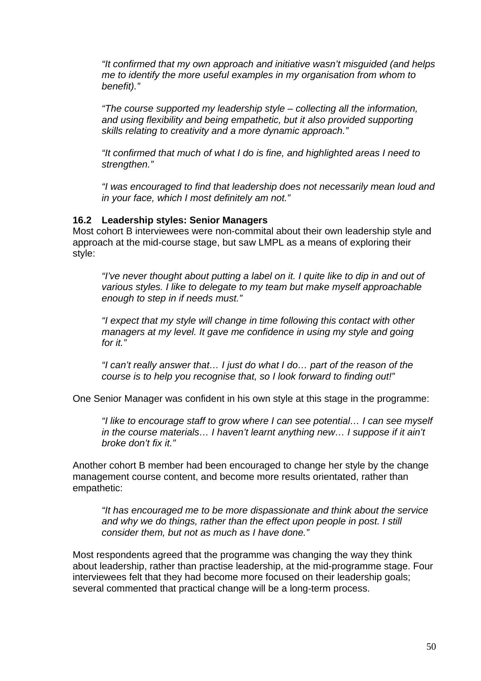*"It confirmed that my own approach and initiative wasn't misguided (and helps me to identify the more useful examples in my organisation from whom to benefit)."* 

*"The course supported my leadership style – collecting all the information, and using flexibility and being empathetic, but it also provided supporting skills relating to creativity and a more dynamic approach."* 

*"It confirmed that much of what I do is fine, and highlighted areas I need to strengthen."* 

*"I was encouraged to find that leadership does not necessarily mean loud and in your face, which I most definitely am not."* 

#### **16.2 Leadership styles: Senior Managers**

Most cohort B interviewees were non-commital about their own leadership style and approach at the mid-course stage, but saw LMPL as a means of exploring their style:

"I've never thought about putting a label on it. I quite like to dip in and out of *various styles. I like to delegate to my team but make myself approachable enough to step in if needs must."* 

*"I expect that my style will change in time following this contact with other*  managers at my level. It gave me confidence in using my style and going *for it."* 

*"I can't really answer that… I just do what I do… part of the reason of the course is to help you recognise that, so I look forward to finding out!"* 

One Senior Manager was confident in his own style at this stage in the programme:

*"I like to encourage staff to grow where I can see potential… I can see myself in the course materials… I haven't learnt anything new… I suppose if it ain't broke don't fix it."* 

Another cohort B member had been encouraged to change her style by the change management course content, and become more results orientated, rather than empathetic:

*"It has encouraged me to be more dispassionate and think about the service and why we do things, rather than the effect upon people in post. I still consider them, but not as much as I have done."* 

Most respondents agreed that the programme was changing the way they think about leadership, rather than practise leadership, at the mid-programme stage. Four interviewees felt that they had become more focused on their leadership goals; several commented that practical change will be a long-term process.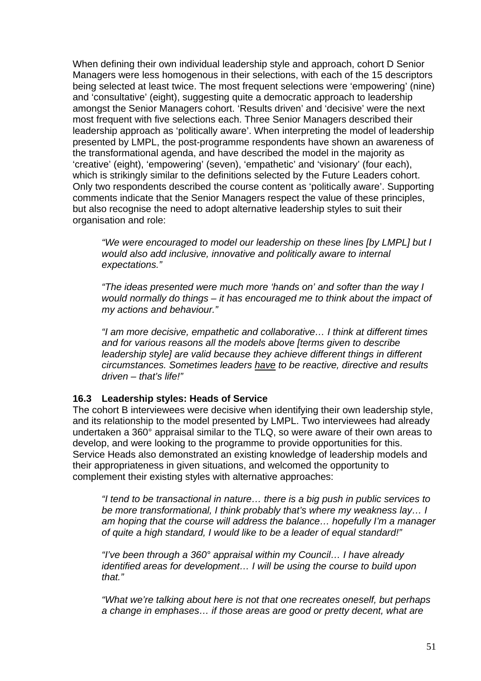When defining their own individual leadership style and approach, cohort D Senior Managers were less homogenous in their selections, with each of the 15 descriptors being selected at least twice. The most frequent selections were 'empowering' (nine) and 'consultative' (eight), suggesting quite a democratic approach to leadership amongst the Senior Managers cohort. 'Results driven' and 'decisive' were the next most frequent with five selections each. Three Senior Managers described their leadership approach as 'politically aware'. When interpreting the model of leadership presented by LMPL, the post-programme respondents have shown an awareness of the transformational agenda, and have described the model in the majority as 'creative' (eight), 'empowering' (seven), 'empathetic' and 'visionary' (four each), which is strikingly similar to the definitions selected by the Future Leaders cohort. Only two respondents described the course content as 'politically aware'. Supporting comments indicate that the Senior Managers respect the value of these principles, but also recognise the need to adopt alternative leadership styles to suit their organisation and role:

*"We were encouraged to model our leadership on these lines [by LMPL] but I would also add inclusive, innovative and politically aware to internal expectations."* 

*"The ideas presented were much more 'hands on' and softer than the way I would normally do things – it has encouraged me to think about the impact of my actions and behaviour."* 

*"I am more decisive, empathetic and collaborative… I think at different times and for various reasons all the models above [terms given to describe leadership style] are valid because they achieve different things in different circumstances. Sometimes leaders have to be reactive, directive and results driven – that's life!"* 

#### **16.3 Leadership styles: Heads of Service**

The cohort B interviewees were decisive when identifying their own leadership style, and its relationship to the model presented by LMPL. Two interviewees had already undertaken a 360° appraisal similar to the TLQ, so were aware of their own areas to develop, and were looking to the programme to provide opportunities for this. Service Heads also demonstrated an existing knowledge of leadership models and their appropriateness in given situations, and welcomed the opportunity to complement their existing styles with alternative approaches:

*"I tend to be transactional in nature… there is a big push in public services to be more transformational, I think probably that's where my weakness lay… I am hoping that the course will address the balance… hopefully I'm a manager of quite a high standard, I would like to be a leader of equal standard!"* 

*"I've been through a 360° appraisal within my Council… I have already identified areas for development… I will be using the course to build upon that."* 

*"What we're talking about here is not that one recreates oneself, but perhaps a change in emphases… if those areas are good or pretty decent, what are*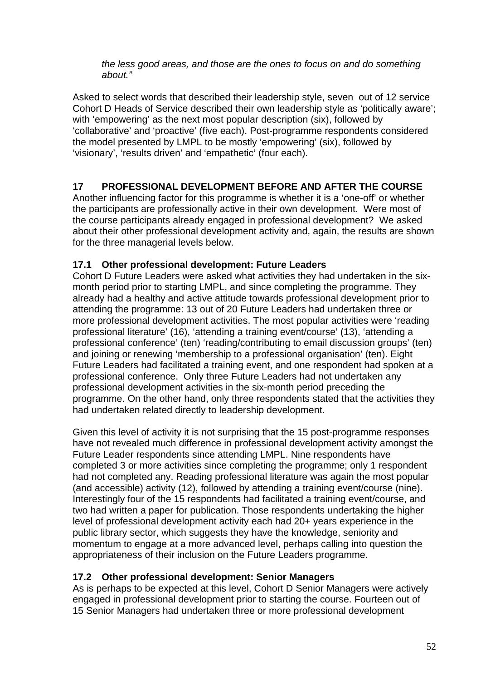*the less good areas, and those are the ones to focus on and do something about."* 

Asked to select words that described their leadership style, seven out of 12 service Cohort D Heads of Service described their own leadership style as 'politically aware'; with 'empowering' as the next most popular description (six), followed by 'collaborative' and 'proactive' (five each). Post-programme respondents considered the model presented by LMPL to be mostly 'empowering' (six), followed by 'visionary', 'results driven' and 'empathetic' (four each).

# **17 PROFESSIONAL DEVELOPMENT BEFORE AND AFTER THE COURSE**

Another influencing factor for this programme is whether it is a 'one-off' or whether the participants are professionally active in their own development. Were most of the course participants already engaged in professional development? We asked about their other professional development activity and, again, the results are shown for the three managerial levels below.

# **17.1 Other professional development: Future Leaders**

Cohort D Future Leaders were asked what activities they had undertaken in the sixmonth period prior to starting LMPL, and since completing the programme. They already had a healthy and active attitude towards professional development prior to attending the programme: 13 out of 20 Future Leaders had undertaken three or more professional development activities. The most popular activities were 'reading professional literature' (16), 'attending a training event/course' (13), 'attending a professional conference' (ten) 'reading/contributing to email discussion groups' (ten) and joining or renewing 'membership to a professional organisation' (ten). Eight Future Leaders had facilitated a training event, and one respondent had spoken at a professional conference. Only three Future Leaders had not undertaken any professional development activities in the six-month period preceding the programme. On the other hand, only three respondents stated that the activities they had undertaken related directly to leadership development.

Given this level of activity it is not surprising that the 15 post-programme responses have not revealed much difference in professional development activity amongst the Future Leader respondents since attending LMPL. Nine respondents have completed 3 or more activities since completing the programme; only 1 respondent had not completed any. Reading professional literature was again the most popular (and accessible) activity (12), followed by attending a training event/course (nine). Interestingly four of the 15 respondents had facilitated a training event/course, and two had written a paper for publication. Those respondents undertaking the higher level of professional development activity each had 20+ years experience in the public library sector, which suggests they have the knowledge, seniority and momentum to engage at a more advanced level, perhaps calling into question the appropriateness of their inclusion on the Future Leaders programme.

# **17.2 Other professional development: Senior Managers**

As is perhaps to be expected at this level, Cohort D Senior Managers were actively engaged in professional development prior to starting the course. Fourteen out of 15 Senior Managers had undertaken three or more professional development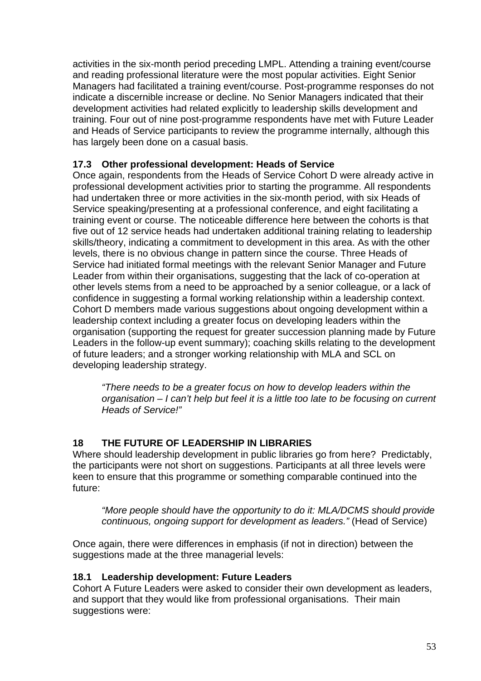activities in the six-month period preceding LMPL. Attending a training event/course and reading professional literature were the most popular activities. Eight Senior Managers had facilitated a training event/course. Post-programme responses do not indicate a discernible increase or decline. No Senior Managers indicated that their development activities had related explicitly to leadership skills development and training. Four out of nine post-programme respondents have met with Future Leader and Heads of Service participants to review the programme internally, although this has largely been done on a casual basis.

# **17.3 Other professional development: Heads of Service**

Once again, respondents from the Heads of Service Cohort D were already active in professional development activities prior to starting the programme. All respondents had undertaken three or more activities in the six-month period, with six Heads of Service speaking/presenting at a professional conference, and eight facilitating a training event or course. The noticeable difference here between the cohorts is that five out of 12 service heads had undertaken additional training relating to leadership skills/theory, indicating a commitment to development in this area. As with the other levels, there is no obvious change in pattern since the course. Three Heads of Service had initiated formal meetings with the relevant Senior Manager and Future Leader from within their organisations, suggesting that the lack of co-operation at other levels stems from a need to be approached by a senior colleague, or a lack of confidence in suggesting a formal working relationship within a leadership context. Cohort D members made various suggestions about ongoing development within a leadership context including a greater focus on developing leaders within the organisation (supporting the request for greater succession planning made by Future Leaders in the follow-up event summary); coaching skills relating to the development of future leaders; and a stronger working relationship with MLA and SCL on developing leadership strategy.

*"There needs to be a greater focus on how to develop leaders within the organisation – I can't help but feel it is a little too late to be focusing on current Heads of Service!"* 

# **18 THE FUTURE OF LEADERSHIP IN LIBRARIES**

Where should leadership development in public libraries go from here? Predictably, the participants were not short on suggestions. Participants at all three levels were keen to ensure that this programme or something comparable continued into the future:

*"More people should have the opportunity to do it: MLA/DCMS should provide continuous, ongoing support for development as leaders."* (Head of Service)

Once again, there were differences in emphasis (if not in direction) between the suggestions made at the three managerial levels:

# **18.1 Leadership development: Future Leaders**

Cohort A Future Leaders were asked to consider their own development as leaders, and support that they would like from professional organisations. Their main suggestions were: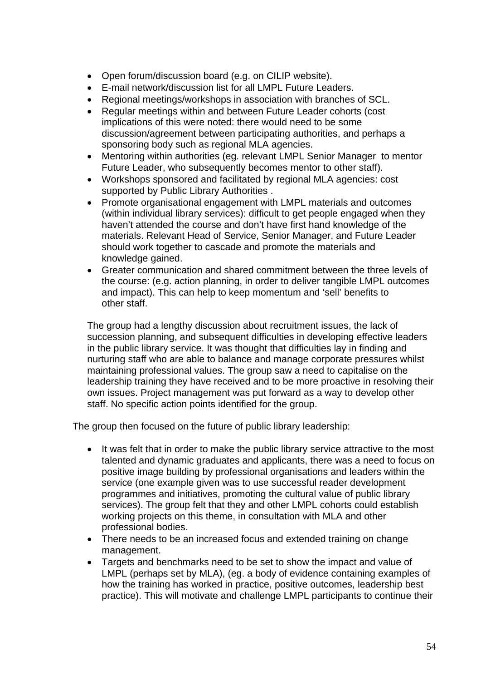- Open forum/discussion board (e.g. on CILIP website).
- E-mail network/discussion list for all LMPL Future Leaders.
- Regional meetings/workshops in association with branches of SCL.
- Regular meetings within and between Future Leader cohorts (cost implications of this were noted: there would need to be some discussion/agreement between participating authorities, and perhaps a sponsoring body such as regional MLA agencies.
- Mentoring within authorities (eg. relevant LMPL Senior Manager to mentor Future Leader, who subsequently becomes mentor to other staff).
- Workshops sponsored and facilitated by regional MLA agencies: cost supported by Public Library Authorities .
- Promote organisational engagement with LMPL materials and outcomes (within individual library services): difficult to get people engaged when they haven't attended the course and don't have first hand knowledge of the materials. Relevant Head of Service, Senior Manager, and Future Leader should work together to cascade and promote the materials and knowledge gained.
- Greater communication and shared commitment between the three levels of the course: (e.g. action planning, in order to deliver tangible LMPL outcomes and impact). This can help to keep momentum and 'sell' benefits to other staff.

The group had a lengthy discussion about recruitment issues, the lack of succession planning, and subsequent difficulties in developing effective leaders in the public library service. It was thought that difficulties lay in finding and nurturing staff who are able to balance and manage corporate pressures whilst maintaining professional values. The group saw a need to capitalise on the leadership training they have received and to be more proactive in resolving their own issues. Project management was put forward as a way to develop other staff. No specific action points identified for the group.

The group then focused on the future of public library leadership:

- It was felt that in order to make the public library service attractive to the most talented and dynamic graduates and applicants, there was a need to focus on positive image building by professional organisations and leaders within the service (one example given was to use successful reader development programmes and initiatives, promoting the cultural value of public library services). The group felt that they and other LMPL cohorts could establish working projects on this theme, in consultation with MLA and other professional bodies.
- There needs to be an increased focus and extended training on change management.
- Targets and benchmarks need to be set to show the impact and value of LMPL (perhaps set by MLA), (eg. a body of evidence containing examples of how the training has worked in practice, positive outcomes, leadership best practice). This will motivate and challenge LMPL participants to continue their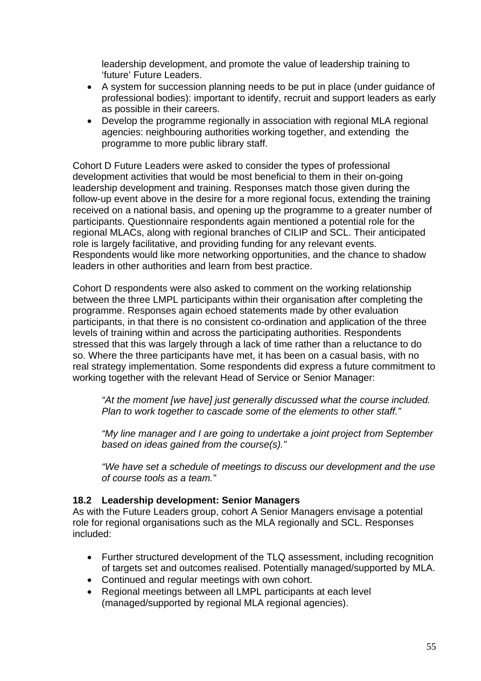leadership development, and promote the value of leadership training to 'future' Future Leaders.

- A system for succession planning needs to be put in place (under guidance of professional bodies): important to identify, recruit and support leaders as early as possible in their careers.
- Develop the programme regionally in association with regional MLA regional agencies: neighbouring authorities working together, and extending the programme to more public library staff.

Cohort D Future Leaders were asked to consider the types of professional development activities that would be most beneficial to them in their on-going leadership development and training. Responses match those given during the follow-up event above in the desire for a more regional focus, extending the training received on a national basis, and opening up the programme to a greater number of participants. Questionnaire respondents again mentioned a potential role for the regional MLACs, along with regional branches of CILIP and SCL. Their anticipated role is largely facilitative, and providing funding for any relevant events. Respondents would like more networking opportunities, and the chance to shadow leaders in other authorities and learn from best practice.

Cohort D respondents were also asked to comment on the working relationship between the three LMPL participants within their organisation after completing the programme. Responses again echoed statements made by other evaluation participants, in that there is no consistent co-ordination and application of the three levels of training within and across the participating authorities. Respondents stressed that this was largely through a lack of time rather than a reluctance to do so. Where the three participants have met, it has been on a casual basis, with no real strategy implementation. Some respondents did express a future commitment to working together with the relevant Head of Service or Senior Manager:

*"At the moment [we have] just generally discussed what the course included. Plan to work together to cascade some of the elements to other staff."* 

*"My line manager and I are going to undertake a joint project from September based on ideas gained from the course(s)."* 

*"We have set a schedule of meetings to discuss our development and the use of course tools as a team."* 

#### **18.2 Leadership development: Senior Managers**

As with the Future Leaders group, cohort A Senior Managers envisage a potential role for regional organisations such as the MLA regionally and SCL. Responses included:

- Further structured development of the TLQ assessment, including recognition of targets set and outcomes realised. Potentially managed/supported by MLA.
- Continued and regular meetings with own cohort.
- Regional meetings between all LMPL participants at each level (managed/supported by regional MLA regional agencies).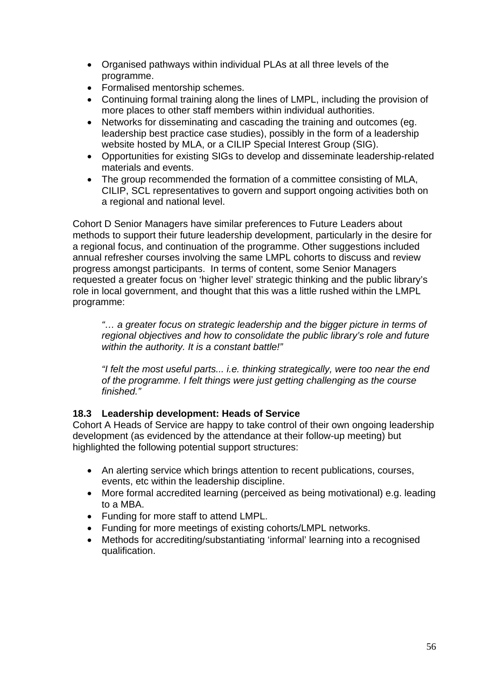- Organised pathways within individual PLAs at all three levels of the programme.
- Formalised mentorship schemes.
- Continuing formal training along the lines of LMPL, including the provision of more places to other staff members within individual authorities.
- Networks for disseminating and cascading the training and outcomes (eg. leadership best practice case studies), possibly in the form of a leadership website hosted by MLA, or a CILIP Special Interest Group (SIG).
- Opportunities for existing SIGs to develop and disseminate leadership-related materials and events.
- The group recommended the formation of a committee consisting of MLA, CILIP, SCL representatives to govern and support ongoing activities both on a regional and national level.

Cohort D Senior Managers have similar preferences to Future Leaders about methods to support their future leadership development, particularly in the desire for a regional focus, and continuation of the programme. Other suggestions included annual refresher courses involving the same LMPL cohorts to discuss and review progress amongst participants. In terms of content, some Senior Managers requested a greater focus on 'higher level' strategic thinking and the public library's role in local government, and thought that this was a little rushed within the LMPL programme:

*"… a greater focus on strategic leadership and the bigger picture in terms of regional objectives and how to consolidate the public library's role and future within the authority. It is a constant battle!"* 

*"I felt the most useful parts... i.e. thinking strategically, were too near the end of the programme. I felt things were just getting challenging as the course finished."* 

# **18.3 Leadership development: Heads of Service**

Cohort A Heads of Service are happy to take control of their own ongoing leadership development (as evidenced by the attendance at their follow-up meeting) but highlighted the following potential support structures:

- An alerting service which brings attention to recent publications, courses, events, etc within the leadership discipline.
- More formal accredited learning (perceived as being motivational) e.g. leading to a MBA.
- Funding for more staff to attend LMPL.
- Funding for more meetings of existing cohorts/LMPL networks.
- Methods for accrediting/substantiating 'informal' learning into a recognised qualification.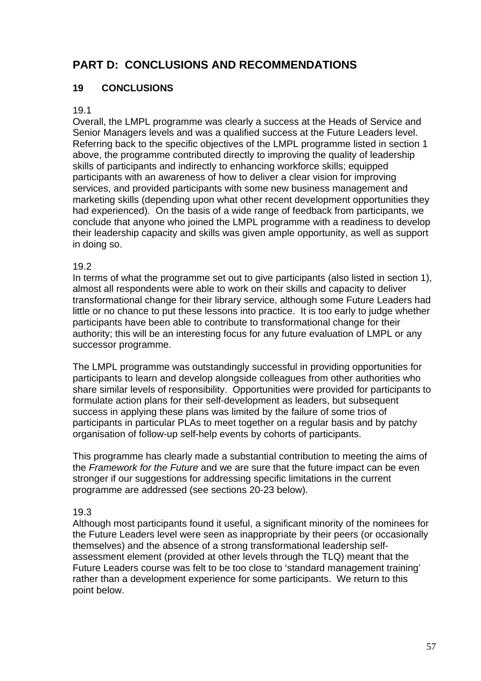# **PART D: CONCLUSIONS AND RECOMMENDATIONS**

# **19 CONCLUSIONS**

### 19.1

Overall, the LMPL programme was clearly a success at the Heads of Service and Senior Managers levels and was a qualified success at the Future Leaders level. Referring back to the specific objectives of the LMPL programme listed in section 1 above, the programme contributed directly to improving the quality of leadership skills of participants and indirectly to enhancing workforce skills; equipped participants with an awareness of how to deliver a clear vision for improving services, and provided participants with some new business management and marketing skills (depending upon what other recent development opportunities they had experienced). On the basis of a wide range of feedback from participants, we conclude that anyone who joined the LMPL programme with a readiness to develop their leadership capacity and skills was given ample opportunity, as well as support in doing so.

### 19.2

In terms of what the programme set out to give participants (also listed in section 1), almost all respondents were able to work on their skills and capacity to deliver transformational change for their library service, although some Future Leaders had little or no chance to put these lessons into practice. It is too early to judge whether participants have been able to contribute to transformational change for their authority; this will be an interesting focus for any future evaluation of LMPL or any successor programme.

The LMPL programme was outstandingly successful in providing opportunities for participants to learn and develop alongside colleagues from other authorities who share similar levels of responsibility. Opportunities were provided for participants to formulate action plans for their self-development as leaders, but subsequent success in applying these plans was limited by the failure of some trios of participants in particular PLAs to meet together on a regular basis and by patchy organisation of follow-up self-help events by cohorts of participants.

This programme has clearly made a substantial contribution to meeting the aims of the *Framework for the Future* and we are sure that the future impact can be even stronger if our suggestions for addressing specific limitations in the current programme are addressed (see sections 20-23 below).

# 19.3

Although most participants found it useful, a significant minority of the nominees for the Future Leaders level were seen as inappropriate by their peers (or occasionally themselves) and the absence of a strong transformational leadership selfassessment element (provided at other levels through the TLQ) meant that the Future Leaders course was felt to be too close to 'standard management training' rather than a development experience for some participants. We return to this point below.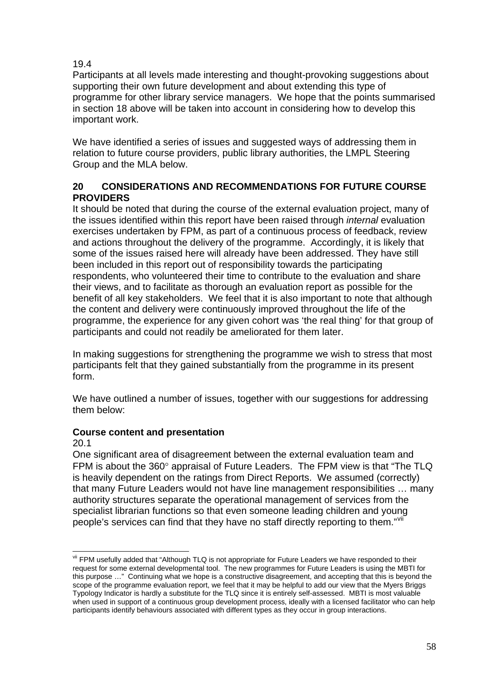### <span id="page-57-0"></span>19.4

Participants at all levels made interesting and thought-provoking suggestions about supporting their own future development and about extending this type of programme for other library service managers. We hope that the points summarised in section 18 above will be taken into account in considering how to develop this important work.

We have identified a series of issues and suggested ways of addressing them in relation to future course providers, public library authorities, the LMPL Steering Group and the MLA below.

# **20 CONSIDERATIONS AND RECOMMENDATIONS FOR FUTURE COURSE PROVIDERS**

It should be noted that during the course of the external evaluation project, many of the issues identified within this report have been raised through *internal* evaluation exercises undertaken by FPM, as part of a continuous process of feedback, review and actions throughout the delivery of the programme. Accordingly, it is likely that some of the issues raised here will already have been addressed. They have still been included in this report out of responsibility towards the participating respondents, who volunteered their time to contribute to the evaluation and share their views, and to facilitate as thorough an evaluation report as possible for the benefit of all key stakeholders. We feel that it is also important to note that although the content and delivery were continuously improved throughout the life of the programme, the experience for any given cohort was 'the real thing' for that group of participants and could not readily be ameliorated for them later.

In making suggestions for strengthening the programme we wish to stress that most participants felt that they gained substantially from the programme in its present form.

We have outlined a number of issues, together with our suggestions for addressing them below:

#### **Course content and presentation**

#### 20.1

1

One significant area of disagreement between the external evaluation team and FPM is about the 360° appraisal of Future Leaders. The FPM view is that "The TLQ is heavily dependent on the ratings from Direct Reports. We assumed (correctly) that many Future Leaders would not have line management responsibilities … many authority structures separate the operational management of services from the specialist librarian functions so that even someone leading children and young people's services can find that they have no staff directly reporting to them."<sup>[vii](#page-57-0)</sup>

vii FPM usefully added that "Although TLQ is not appropriate for Future Leaders we have responded to their request for some external developmental tool. The new programmes for Future Leaders is using the MBTI for this purpose …" Continuing what we hope is a constructive disagreement, and accepting that this is beyond the scope of the programme evaluation report, we feel that it may be helpful to add our view that the Myers Briggs Typology Indicator is hardly a substitute for the TLQ since it is entirely self-assessed. MBTI is most valuable when used in support of a continuous group development process, ideally with a licensed facilitator who can help participants identify behaviours associated with different types as they occur in group interactions.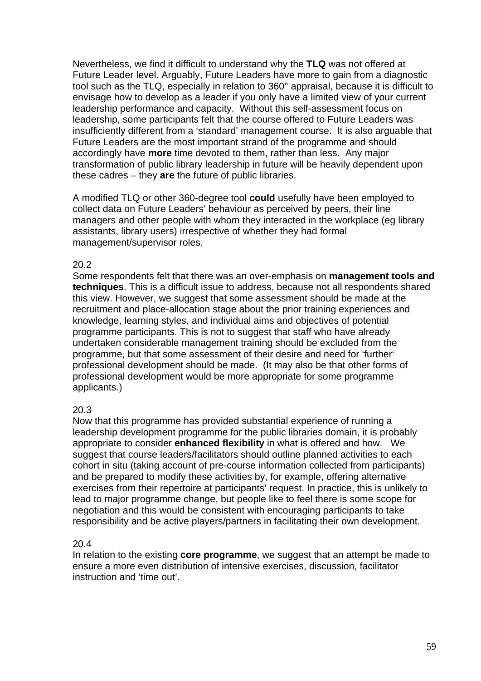Nevertheless, we find it difficult to understand why the **TLQ** was not offered at Future Leader level. Arguably, Future Leaders have more to gain from a diagnostic tool such as the TLQ, especially in relation to 360° appraisal, because it is difficult to envisage how to develop as a leader if you only have a limited view of your current leadership performance and capacity. Without this self-assessment focus on leadership, some participants felt that the course offered to Future Leaders was insufficiently different from a 'standard' management course. It is also arguable that Future Leaders are the most important strand of the programme and should accordingly have **more** time devoted to them, rather than less. Any major transformation of public library leadership in future will be heavily dependent upon these cadres – they **are** the future of public libraries.

A modified TLQ or other 360-degree tool **could** usefully have been employed to collect data on Future Leaders' behaviour as perceived by peers, their line managers and other people with whom they interacted in the workplace (eg library assistants, library users) irrespective of whether they had formal management/supervisor roles.

#### 20.2

Some respondents felt that there was an over-emphasis on **management tools and techniques**. This is a difficult issue to address, because not all respondents shared this view. However, we suggest that some assessment should be made at the recruitment and place-allocation stage about the prior training experiences and knowledge, learning styles, and individual aims and objectives of potential programme participants. This is not to suggest that staff who have already undertaken considerable management training should be excluded from the programme, but that some assessment of their desire and need for 'further' professional development should be made. (It may also be that other forms of professional development would be more appropriate for some programme applicants.)

#### 20.3

Now that this programme has provided substantial experience of running a leadership development programme for the public libraries domain, it is probably appropriate to consider **enhanced flexibility** in what is offered and how. We suggest that course leaders/facilitators should outline planned activities to each cohort in situ (taking account of pre-course information collected from participants) and be prepared to modify these activities by, for example, offering alternative exercises from their repertoire at participants' request. In practice, this is unlikely to lead to major programme change, but people like to feel there is some scope for negotiation and this would be consistent with encouraging participants to take responsibility and be active players/partners in facilitating their own development.

#### 20.4

In relation to the existing **core programme**, we suggest that an attempt be made to ensure a more even distribution of intensive exercises, discussion, facilitator instruction and 'time out'.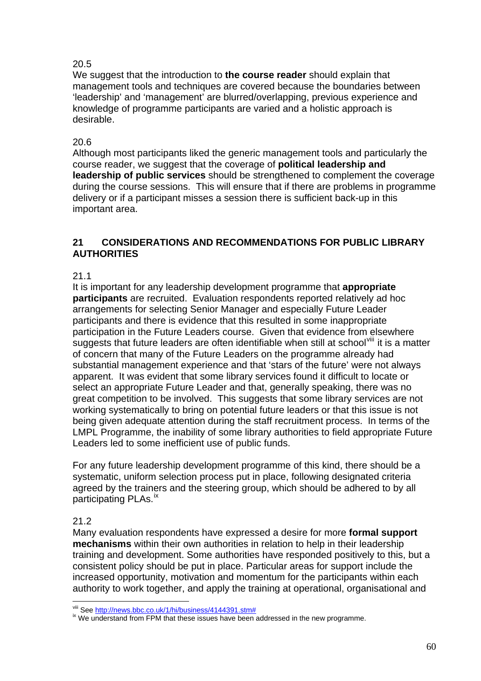# <span id="page-59-0"></span>20.5

We suggest that the introduction to **the course reader** should explain that management tools and techniques are covered because the boundaries between 'leadership' and 'management' are blurred/overlapping, previous experience and knowledge of programme participants are varied and a holistic approach is desirable.

# 20.6

Although most participants liked the generic management tools and particularly the course reader, we suggest that the coverage of **political leadership and leadership of public services** should be strengthened to complement the coverage during the course sessions. This will ensure that if there are problems in programme delivery or if a participant misses a session there is sufficient back-up in this important area.

# **21 CONSIDERATIONS AND RECOMMENDATIONS FOR PUBLIC LIBRARY AUTHORITIES**

### 21.1

It is important for any leadership development programme that **appropriate participants** are recruited. Evaluation respondents reported relatively ad hoc arrangements for selecting Senior Manager and especially Future Leader participants and there is evidence that this resulted in some inappropriate participation in the Future Leaders course. Given that evidence from elsewhere suggests that future leaders are often identifiable when still at school<sup>[viii](#page-59-0)</sup> it is a matter of concern that many of the Future Leaders on the programme already had substantial management experience and that 'stars of the future' were not always apparent. It was evident that some library services found it difficult to locate or select an appropriate Future Leader and that, generally speaking, there was no great competition to be involved. This suggests that some library services are not working systematically to bring on potential future leaders or that this issue is not being given adequate attention during the staff recruitment process. In terms of the LMPL Programme, the inability of some library authorities to field appropriate Future Leaders led to some inefficient use of public funds.

For any future leadership development programme of this kind, there should be a systematic, uniform selection process put in place, following designated criteria agreed by the trainers and the steering group, which should be adhered to by all participating PLAs.<sup>1X</sup>

# 21.2

Many evaluation respondents have expressed a desire for more **formal support mechanisms** within their own authorities in relation to help in their leadership training and development. Some authorities have responded positively to this, but a consistent policy should be put in place. Particular areas for support include the increased opportunity, motivation and momentum for the participants within each authority to work together, and apply the training at operational, organisational and

viii See http://news.bbc.co.uk/1/hi/business/4144391.stm#

<sup>&</sup>lt;sup>ix</sup> We understand from FPM that these issues have been addressed in the new programme.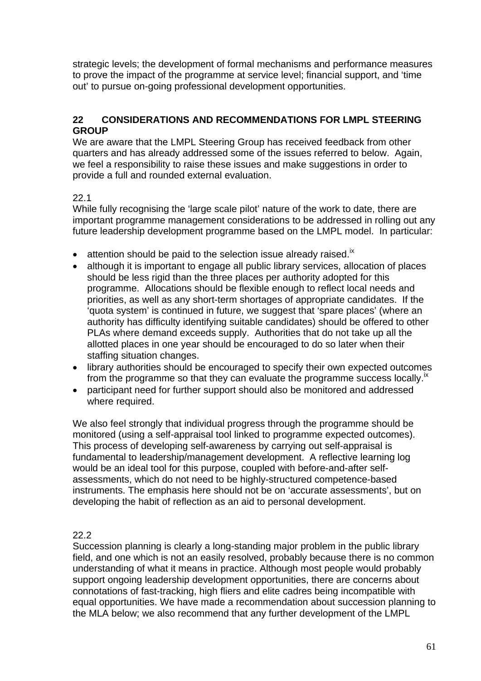strategic levels; the development of formal mechanisms and performance measures to prove the impact of the programme at service level; financial support, and 'time out' to pursue on-going professional development opportunities.

### **22 CONSIDERATIONS AND RECOMMENDATIONS FOR LMPL STEERING GROUP**

We are aware that the LMPL Steering Group has received feedback from other quarters and has already addressed some of the issues referred to below. Again, we feel a responsibility to raise these issues and make suggestions in order to provide a full and rounded external evaluation.

# 22.1

While fully recognising the 'large scale pilot' nature of the work to date, there are important programme management considerations to be addressed in rolling out any future leadership development programme based on the LMPL model. In particular:

- attention should be paid to the selection issue already raised.<sup>ix</sup>
- although it is important to engage all public library services, allocation of places should be less rigid than the three places per authority adopted for this programme. Allocations should be flexible enough to reflect local needs and priorities, as well as any short-term shortages of appropriate candidates. If the 'quota system' is continued in future, we suggest that 'spare places' (where an authority has difficulty identifying suitable candidates) should be offered to other PLAs where demand exceeds supply. Authorities that do not take up all the allotted places in one year should be encouraged to do so later when their staffing situation changes.
- library authorities should be encouraged to specify their own expected outcomes from the programme so that they can evaluate the programme success locally.<sup>ix</sup>
- participant need for further support should also be monitored and addressed where required.

We also feel strongly that individual progress through the programme should be monitored (using a self-appraisal tool linked to programme expected outcomes). This process of developing self-awareness by carrying out self-appraisal is fundamental to leadership/management development. A reflective learning log would be an ideal tool for this purpose, coupled with before-and-after selfassessments, which do not need to be highly-structured competence-based instruments. The emphasis here should not be on 'accurate assessments', but on developing the habit of reflection as an aid to personal development.

# 22.2

Succession planning is clearly a long-standing major problem in the public library field, and one which is not an easily resolved, probably because there is no common understanding of what it means in practice. Although most people would probably support ongoing leadership development opportunities, there are concerns about connotations of fast-tracking, high fliers and elite cadres being incompatible with equal opportunities. We have made a recommendation about succession planning to the MLA below; we also recommend that any further development of the LMPL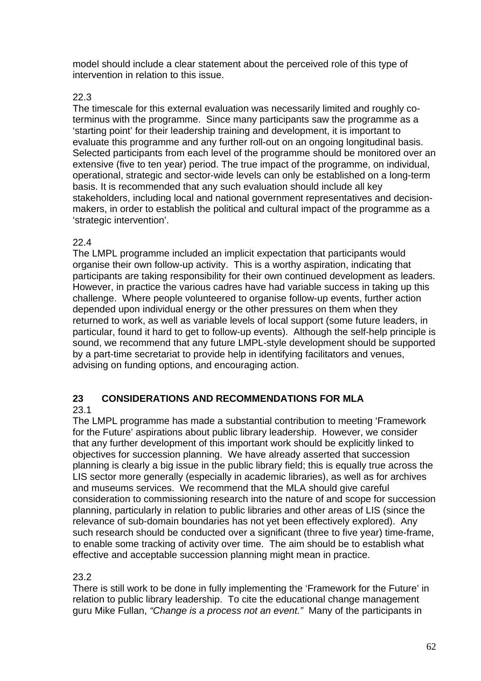model should include a clear statement about the perceived role of this type of intervention in relation to this issue.

# 22.3

The timescale for this external evaluation was necessarily limited and roughly coterminus with the programme. Since many participants saw the programme as a 'starting point' for their leadership training and development, it is important to evaluate this programme and any further roll-out on an ongoing longitudinal basis. Selected participants from each level of the programme should be monitored over an extensive (five to ten year) period. The true impact of the programme, on individual, operational, strategic and sector-wide levels can only be established on a long-term basis. It is recommended that any such evaluation should include all key stakeholders, including local and national government representatives and decisionmakers, in order to establish the political and cultural impact of the programme as a 'strategic intervention'.

# 22.4

The LMPL programme included an implicit expectation that participants would organise their own follow-up activity. This is a worthy aspiration, indicating that participants are taking responsibility for their own continued development as leaders. However, in practice the various cadres have had variable success in taking up this challenge. Where people volunteered to organise follow-up events, further action depended upon individual energy or the other pressures on them when they returned to work, as well as variable levels of local support (some future leaders, in particular, found it hard to get to follow-up events). Although the self-help principle is sound, we recommend that any future LMPL-style development should be supported by a part-time secretariat to provide help in identifying facilitators and venues, advising on funding options, and encouraging action.

# **23 CONSIDERATIONS AND RECOMMENDATIONS FOR MLA**

23.1

The LMPL programme has made a substantial contribution to meeting 'Framework for the Future' aspirations about public library leadership. However, we consider that any further development of this important work should be explicitly linked to objectives for succession planning. We have already asserted that succession planning is clearly a big issue in the public library field; this is equally true across the LIS sector more generally (especially in academic libraries), as well as for archives and museums services. We recommend that the MLA should give careful consideration to commissioning research into the nature of and scope for succession planning, particularly in relation to public libraries and other areas of LIS (since the relevance of sub-domain boundaries has not yet been effectively explored). Any such research should be conducted over a significant (three to five year) time-frame, to enable some tracking of activity over time. The aim should be to establish what effective and acceptable succession planning might mean in practice.

# 23.2

There is still work to be done in fully implementing the 'Framework for the Future' in relation to public library leadership. To cite the educational change management guru Mike Fullan, *"Change is a process not an event."* Many of the participants in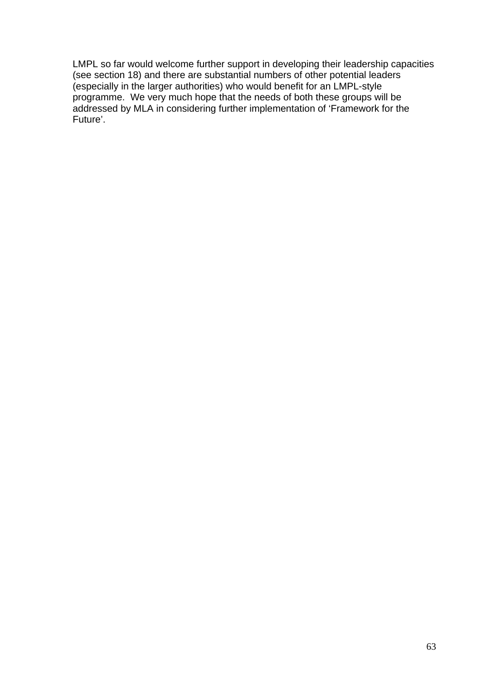LMPL so far would welcome further support in developing their leadership capacities (see section 18) and there are substantial numbers of other potential leaders (especially in the larger authorities) who would benefit for an LMPL-style programme. We very much hope that the needs of both these groups will be addressed by MLA in considering further implementation of 'Framework for the Future'.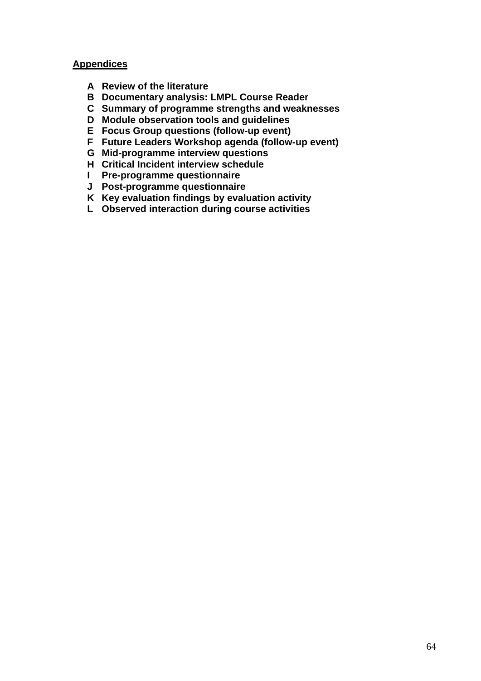### **Appendices**

- **A Review of the literature**
- **B Documentary analysis: LMPL Course Reader**
- **C Summary of programme strengths and weaknesses**
- **D Module observation tools and guidelines**
- **E Focus Group questions (follow-up event)**
- **F Future Leaders Workshop agenda (follow-up event)**
- **G Mid-programme interview questions**
- **H Critical Incident interview schedule**
- **I Pre-programme questionnaire**
- **J Post-programme questionnaire**
- **K Key evaluation findings by evaluation activity**
- **L Observed interaction during course activities**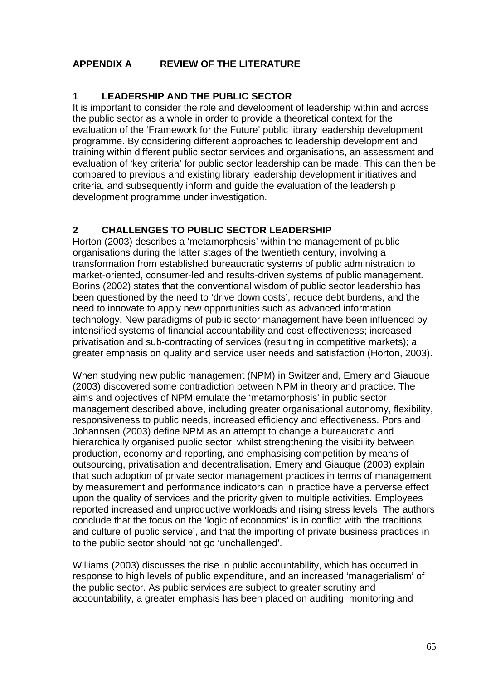# **APPENDIX A REVIEW OF THE LITERATURE**

# **1 LEADERSHIP AND THE PUBLIC SECTOR**

It is important to consider the role and development of leadership within and across the public sector as a whole in order to provide a theoretical context for the evaluation of the 'Framework for the Future' public library leadership development programme. By considering different approaches to leadership development and training within different public sector services and organisations, an assessment and evaluation of 'key criteria' for public sector leadership can be made. This can then be compared to previous and existing library leadership development initiatives and criteria, and subsequently inform and guide the evaluation of the leadership development programme under investigation.

# **2 CHALLENGES TO PUBLIC SECTOR LEADERSHIP**

Horton (2003) describes a 'metamorphosis' within the management of public organisations during the latter stages of the twentieth century, involving a transformation from established bureaucratic systems of public administration to market-oriented, consumer-led and results-driven systems of public management. Borins (2002) states that the conventional wisdom of public sector leadership has been questioned by the need to 'drive down costs', reduce debt burdens, and the need to innovate to apply new opportunities such as advanced information technology. New paradigms of public sector management have been influenced by intensified systems of financial accountability and cost-effectiveness; increased privatisation and sub-contracting of services (resulting in competitive markets); a greater emphasis on quality and service user needs and satisfaction (Horton, 2003).

When studying new public management (NPM) in Switzerland, Emery and Giauque (2003) discovered some contradiction between NPM in theory and practice. The aims and objectives of NPM emulate the 'metamorphosis' in public sector management described above, including greater organisational autonomy, flexibility, responsiveness to public needs, increased efficiency and effectiveness. Pors and Johannsen (2003) define NPM as an attempt to change a bureaucratic and hierarchically organised public sector, whilst strengthening the visibility between production, economy and reporting, and emphasising competition by means of outsourcing, privatisation and decentralisation. Emery and Giauque (2003) explain that such adoption of private sector management practices in terms of management by measurement and performance indicators can in practice have a perverse effect upon the quality of services and the priority given to multiple activities. Employees reported increased and unproductive workloads and rising stress levels. The authors conclude that the focus on the 'logic of economics' is in conflict with 'the traditions and culture of public service', and that the importing of private business practices in to the public sector should not go 'unchallenged'.

Williams (2003) discusses the rise in public accountability, which has occurred in response to high levels of public expenditure, and an increased 'managerialism' of the public sector. As public services are subject to greater scrutiny and accountability, a greater emphasis has been placed on auditing, monitoring and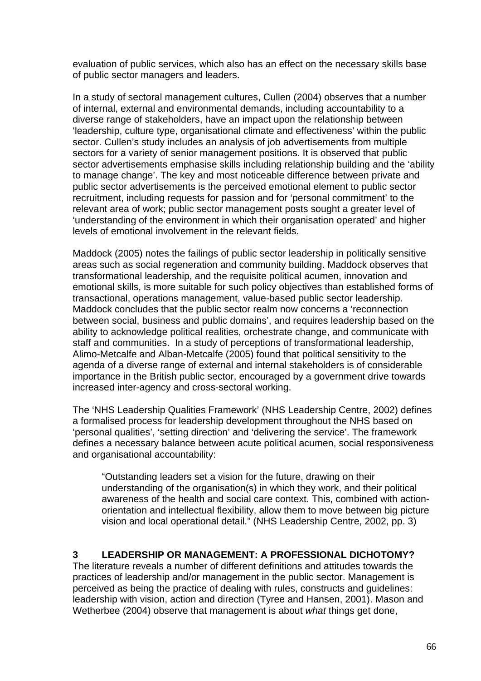evaluation of public services, which also has an effect on the necessary skills base of public sector managers and leaders.

In a study of sectoral management cultures, Cullen (2004) observes that a number of internal, external and environmental demands, including accountability to a diverse range of stakeholders, have an impact upon the relationship between 'leadership, culture type, organisational climate and effectiveness' within the public sector. Cullen's study includes an analysis of job advertisements from multiple sectors for a variety of senior management positions. It is observed that public sector advertisements emphasise skills including relationship building and the 'ability to manage change'. The key and most noticeable difference between private and public sector advertisements is the perceived emotional element to public sector recruitment, including requests for passion and for 'personal commitment' to the relevant area of work; public sector management posts sought a greater level of 'understanding of the environment in which their organisation operated' and higher levels of emotional involvement in the relevant fields.

Maddock (2005) notes the failings of public sector leadership in politically sensitive areas such as social regeneration and community building. Maddock observes that transformational leadership, and the requisite political acumen, innovation and emotional skills, is more suitable for such policy objectives than established forms of transactional, operations management, value-based public sector leadership. Maddock concludes that the public sector realm now concerns a 'reconnection between social, business and public domains', and requires leadership based on the ability to acknowledge political realities, orchestrate change, and communicate with staff and communities. In a study of perceptions of transformational leadership, Alimo-Metcalfe and Alban-Metcalfe (2005) found that political sensitivity to the agenda of a diverse range of external and internal stakeholders is of considerable importance in the British public sector, encouraged by a government drive towards increased inter-agency and cross-sectoral working.

The 'NHS Leadership Qualities Framework' (NHS Leadership Centre, 2002) defines a formalised process for leadership development throughout the NHS based on 'personal qualities', 'setting direction' and 'delivering the service'. The framework defines a necessary balance between acute political acumen, social responsiveness and organisational accountability:

"Outstanding leaders set a vision for the future, drawing on their understanding of the organisation(s) in which they work, and their political awareness of the health and social care context. This, combined with actionorientation and intellectual flexibility, allow them to move between big picture vision and local operational detail." (NHS Leadership Centre, 2002, pp. 3)

# **3 LEADERSHIP OR MANAGEMENT: A PROFESSIONAL DICHOTOMY?**

The literature reveals a number of different definitions and attitudes towards the practices of leadership and/or management in the public sector. Management is perceived as being the practice of dealing with rules, constructs and guidelines: leadership with vision, action and direction (Tyree and Hansen, 2001). Mason and Wetherbee (2004) observe that management is about *what* things get done,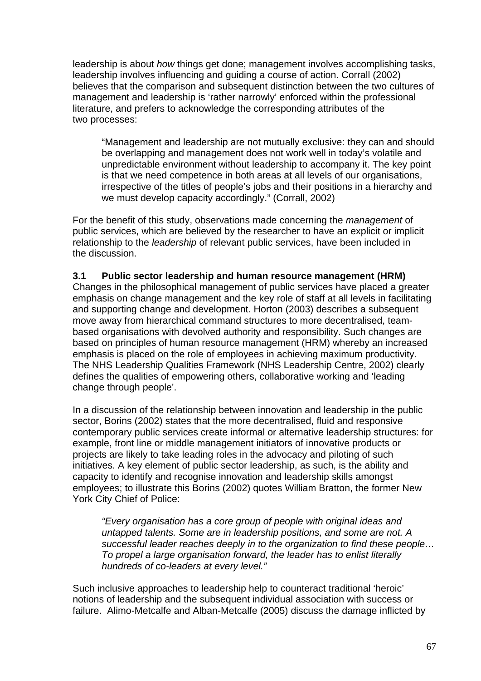leadership is about *how* things get done; management involves accomplishing tasks, leadership involves influencing and guiding a course of action. Corrall (2002) believes that the comparison and subsequent distinction between the two cultures of management and leadership is 'rather narrowly' enforced within the professional literature, and prefers to acknowledge the corresponding attributes of the two processes:

"Management and leadership are not mutually exclusive: they can and should be overlapping and management does not work well in today's volatile and unpredictable environment without leadership to accompany it. The key point is that we need competence in both areas at all levels of our organisations, irrespective of the titles of people's jobs and their positions in a hierarchy and we must develop capacity accordingly." (Corrall, 2002)

For the benefit of this study, observations made concerning the *management* of public services, which are believed by the researcher to have an explicit or implicit relationship to the *leadership* of relevant public services, have been included in the discussion.

#### **3.1 Public sector leadership and human resource management (HRM)**

Changes in the philosophical management of public services have placed a greater emphasis on change management and the key role of staff at all levels in facilitating and supporting change and development. Horton (2003) describes a subsequent move away from hierarchical command structures to more decentralised, teambased organisations with devolved authority and responsibility. Such changes are based on principles of human resource management (HRM) whereby an increased emphasis is placed on the role of employees in achieving maximum productivity. The NHS Leadership Qualities Framework (NHS Leadership Centre, 2002) clearly defines the qualities of empowering others, collaborative working and 'leading change through people'.

In a discussion of the relationship between innovation and leadership in the public sector, Borins (2002) states that the more decentralised, fluid and responsive contemporary public services create informal or alternative leadership structures: for example, front line or middle management initiators of innovative products or projects are likely to take leading roles in the advocacy and piloting of such initiatives. A key element of public sector leadership, as such, is the ability and capacity to identify and recognise innovation and leadership skills amongst employees; to illustrate this Borins (2002) quotes William Bratton, the former New York City Chief of Police:

*"Every organisation has a core group of people with original ideas and untapped talents. Some are in leadership positions, and some are not. A successful leader reaches deeply in to the organization to find these people… To propel a large organisation forward, the leader has to enlist literally hundreds of co-leaders at every level."* 

Such inclusive approaches to leadership help to counteract traditional 'heroic' notions of leadership and the subsequent individual association with success or failure. Alimo-Metcalfe and Alban-Metcalfe (2005) discuss the damage inflicted by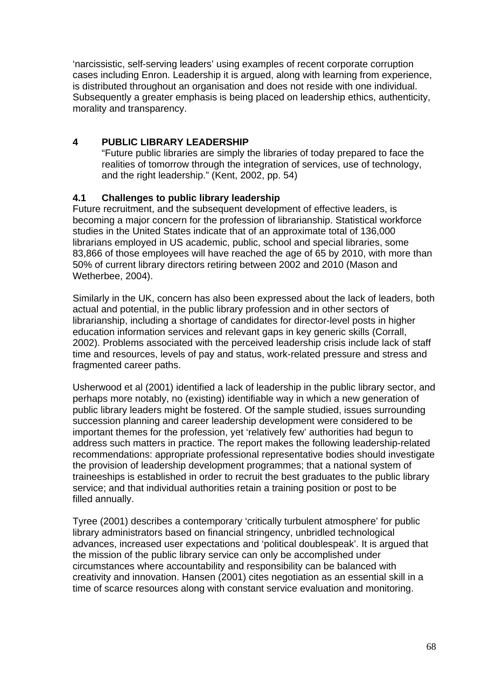'narcissistic, self-serving leaders' using examples of recent corporate corruption cases including Enron. Leadership it is argued, along with learning from experience, is distributed throughout an organisation and does not reside with one individual. Subsequently a greater emphasis is being placed on leadership ethics, authenticity, morality and transparency.

# **4 PUBLIC LIBRARY LEADERSHIP**

"Future public libraries are simply the libraries of today prepared to face the realities of tomorrow through the integration of services, use of technology, and the right leadership." (Kent, 2002, pp. 54)

# **4.1 Challenges to public library leadership**

Future recruitment, and the subsequent development of effective leaders, is becoming a major concern for the profession of librarianship. Statistical workforce studies in the United States indicate that of an approximate total of 136,000 librarians employed in US academic, public, school and special libraries, some 83,866 of those employees will have reached the age of 65 by 2010, with more than 50% of current library directors retiring between 2002 and 2010 (Mason and Wetherbee, 2004).

Similarly in the UK, concern has also been expressed about the lack of leaders, both actual and potential, in the public library profession and in other sectors of librarianship, including a shortage of candidates for director-level posts in higher education information services and relevant gaps in key generic skills (Corrall, 2002). Problems associated with the perceived leadership crisis include lack of staff time and resources, levels of pay and status, work-related pressure and stress and fragmented career paths.

Usherwood et al (2001) identified a lack of leadership in the public library sector, and perhaps more notably, no (existing) identifiable way in which a new generation of public library leaders might be fostered. Of the sample studied, issues surrounding succession planning and career leadership development were considered to be important themes for the profession, yet 'relatively few' authorities had begun to address such matters in practice. The report makes the following leadership-related recommendations: appropriate professional representative bodies should investigate the provision of leadership development programmes; that a national system of traineeships is established in order to recruit the best graduates to the public library service; and that individual authorities retain a training position or post to be filled annually.

Tyree (2001) describes a contemporary 'critically turbulent atmosphere' for public library administrators based on financial stringency, unbridled technological advances, increased user expectations and 'political doublespeak'. It is argued that the mission of the public library service can only be accomplished under circumstances where accountability and responsibility can be balanced with creativity and innovation. Hansen (2001) cites negotiation as an essential skill in a time of scarce resources along with constant service evaluation and monitoring.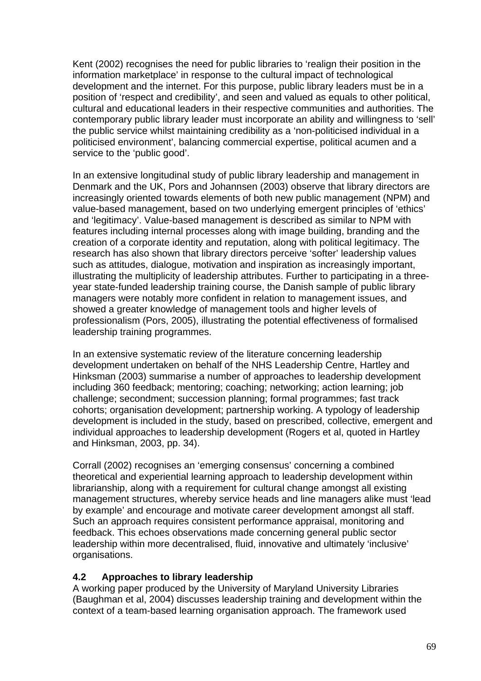Kent (2002) recognises the need for public libraries to 'realign their position in the information marketplace' in response to the cultural impact of technological development and the internet. For this purpose, public library leaders must be in a position of 'respect and credibility', and seen and valued as equals to other political, cultural and educational leaders in their respective communities and authorities. The contemporary public library leader must incorporate an ability and willingness to 'sell' the public service whilst maintaining credibility as a 'non-politicised individual in a politicised environment', balancing commercial expertise, political acumen and a service to the 'public good'.

In an extensive longitudinal study of public library leadership and management in Denmark and the UK, Pors and Johannsen (2003) observe that library directors are increasingly oriented towards elements of both new public management (NPM) and value-based management, based on two underlying emergent principles of 'ethics' and 'legitimacy'. Value-based management is described as similar to NPM with features including internal processes along with image building, branding and the creation of a corporate identity and reputation, along with political legitimacy. The research has also shown that library directors perceive 'softer' leadership values such as attitudes, dialogue, motivation and inspiration as increasingly important, illustrating the multiplicity of leadership attributes. Further to participating in a threeyear state-funded leadership training course, the Danish sample of public library managers were notably more confident in relation to management issues, and showed a greater knowledge of management tools and higher levels of professionalism (Pors, 2005), illustrating the potential effectiveness of formalised leadership training programmes.

In an extensive systematic review of the literature concerning leadership development undertaken on behalf of the NHS Leadership Centre, Hartley and Hinksman (2003) summarise a number of approaches to leadership development including 360 feedback; mentoring; coaching; networking; action learning; job challenge; secondment; succession planning; formal programmes; fast track cohorts; organisation development; partnership working. A typology of leadership development is included in the study, based on prescribed, collective, emergent and individual approaches to leadership development (Rogers et al, quoted in Hartley and Hinksman, 2003, pp. 34).

Corrall (2002) recognises an 'emerging consensus' concerning a combined theoretical and experiential learning approach to leadership development within librarianship, along with a requirement for cultural change amongst all existing management structures, whereby service heads and line managers alike must 'lead by example' and encourage and motivate career development amongst all staff. Such an approach requires consistent performance appraisal, monitoring and feedback. This echoes observations made concerning general public sector leadership within more decentralised, fluid, innovative and ultimately 'inclusive' organisations.

# **4.2 Approaches to library leadership**

A working paper produced by the University of Maryland University Libraries (Baughman et al, 2004) discusses leadership training and development within the context of a team-based learning organisation approach. The framework used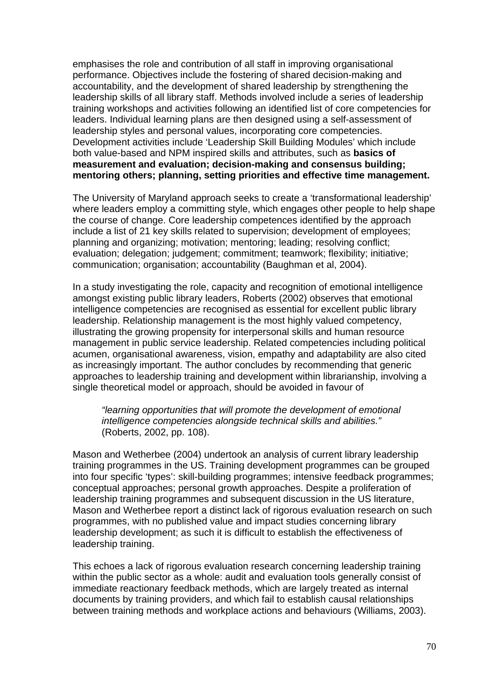emphasises the role and contribution of all staff in improving organisational performance. Objectives include the fostering of shared decision-making and accountability, and the development of shared leadership by strengthening the leadership skills of all library staff. Methods involved include a series of leadership training workshops and activities following an identified list of core competencies for leaders. Individual learning plans are then designed using a self-assessment of leadership styles and personal values, incorporating core competencies. Development activities include 'Leadership Skill Building Modules' which include both value-based and NPM inspired skills and attributes, such as **basics of measurement and evaluation; decision-making and consensus building; mentoring others; planning, setting priorities and effective time management.** 

The University of Maryland approach seeks to create a 'transformational leadership' where leaders employ a committing style, which engages other people to help shape the course of change. Core leadership competences identified by the approach include a list of 21 key skills related to supervision; development of employees; planning and organizing; motivation; mentoring; leading; resolving conflict; evaluation; delegation; judgement; commitment; teamwork; flexibility; initiative; communication; organisation; accountability (Baughman et al, 2004).

In a study investigating the role, capacity and recognition of emotional intelligence amongst existing public library leaders, Roberts (2002) observes that emotional intelligence competencies are recognised as essential for excellent public library leadership. Relationship management is the most highly valued competency, illustrating the growing propensity for interpersonal skills and human resource management in public service leadership. Related competencies including political acumen, organisational awareness, vision, empathy and adaptability are also cited as increasingly important. The author concludes by recommending that generic approaches to leadership training and development within librarianship, involving a single theoretical model or approach, should be avoided in favour of

*"learning opportunities that will promote the development of emotional intelligence competencies alongside technical skills and abilities."*  (Roberts, 2002, pp. 108).

Mason and Wetherbee (2004) undertook an analysis of current library leadership training programmes in the US. Training development programmes can be grouped into four specific 'types': skill-building programmes; intensive feedback programmes; conceptual approaches; personal growth approaches. Despite a proliferation of leadership training programmes and subsequent discussion in the US literature, Mason and Wetherbee report a distinct lack of rigorous evaluation research on such programmes, with no published value and impact studies concerning library leadership development; as such it is difficult to establish the effectiveness of leadership training.

This echoes a lack of rigorous evaluation research concerning leadership training within the public sector as a whole: audit and evaluation tools generally consist of immediate reactionary feedback methods, which are largely treated as internal documents by training providers, and which fail to establish causal relationships between training methods and workplace actions and behaviours (Williams, 2003).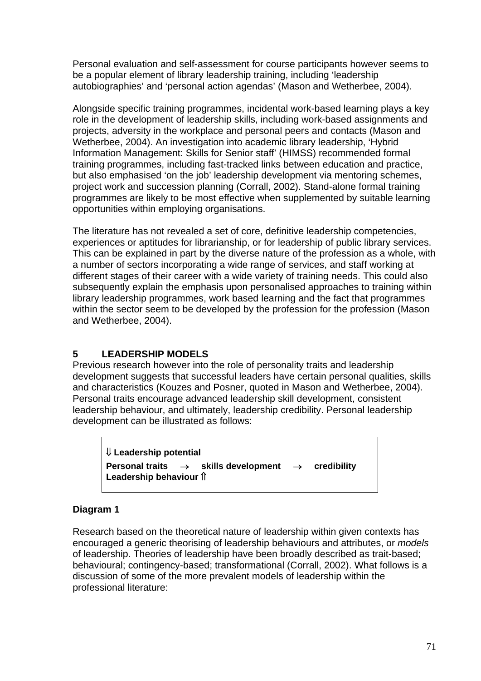Personal evaluation and self-assessment for course participants however seems to be a popular element of library leadership training, including 'leadership autobiographies' and 'personal action agendas' (Mason and Wetherbee, 2004).

Alongside specific training programmes, incidental work-based learning plays a key role in the development of leadership skills, including work-based assignments and projects, adversity in the workplace and personal peers and contacts (Mason and Wetherbee, 2004). An investigation into academic library leadership, 'Hybrid Information Management: Skills for Senior staff' (HIMSS) recommended formal training programmes, including fast-tracked links between education and practice, but also emphasised 'on the job' leadership development via mentoring schemes, project work and succession planning (Corrall, 2002). Stand-alone formal training programmes are likely to be most effective when supplemented by suitable learning opportunities within employing organisations.

The literature has not revealed a set of core, definitive leadership competencies, experiences or aptitudes for librarianship, or for leadership of public library services. This can be explained in part by the diverse nature of the profession as a whole, with a number of sectors incorporating a wide range of services, and staff working at different stages of their career with a wide variety of training needs. This could also subsequently explain the emphasis upon personalised approaches to training within library leadership programmes, work based learning and the fact that programmes within the sector seem to be developed by the profession for the profession (Mason and Wetherbee, 2004).

# **5 LEADERSHIP MODELS**

Previous research however into the role of personality traits and leadership development suggests that successful leaders have certain personal qualities, skills and characteristics (Kouzes and Posner, quoted in Mason and Wetherbee, 2004). Personal traits encourage advanced leadership skill development, consistent leadership behaviour, and ultimately, leadership credibility. Personal leadership development can be illustrated as follows:

⇓ **Leadership potential Personal traits** → **skills development** → **credibility Leadership behaviour î** 

# **Diagram 1**

Research based on the theoretical nature of leadership within given contexts has encouraged a generic theorising of leadership behaviours and attributes, or *models* of leadership. Theories of leadership have been broadly described as trait-based; behavioural; contingency-based; transformational (Corrall, 2002). What follows is a discussion of some of the more prevalent models of leadership within the professional literature: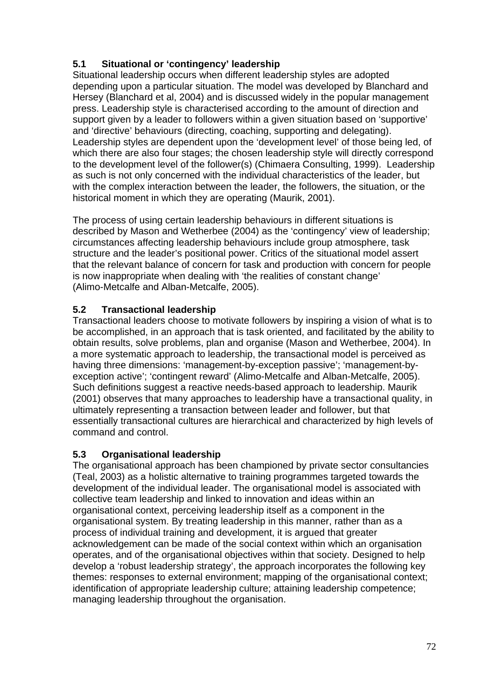# **5.1 Situational or 'contingency' leadership**

Situational leadership occurs when different leadership styles are adopted depending upon a particular situation. The model was developed by Blanchard and Hersey (Blanchard et al, 2004) and is discussed widely in the popular management press. Leadership style is characterised according to the amount of direction and support given by a leader to followers within a given situation based on 'supportive' and 'directive' behaviours (directing, coaching, supporting and delegating). Leadership styles are dependent upon the 'development level' of those being led, of which there are also four stages; the chosen leadership style will directly correspond to the development level of the follower(s) (Chimaera Consulting, 1999). Leadership as such is not only concerned with the individual characteristics of the leader, but with the complex interaction between the leader, the followers, the situation, or the historical moment in which they are operating (Maurik, 2001).

The process of using certain leadership behaviours in different situations is described by Mason and Wetherbee (2004) as the 'contingency' view of leadership; circumstances affecting leadership behaviours include group atmosphere, task structure and the leader's positional power. Critics of the situational model assert that the relevant balance of concern for task and production with concern for people is now inappropriate when dealing with 'the realities of constant change' (Alimo-Metcalfe and Alban-Metcalfe, 2005).

# **5.2 Transactional leadership**

Transactional leaders choose to motivate followers by inspiring a vision of what is to be accomplished, in an approach that is task oriented, and facilitated by the ability to obtain results, solve problems, plan and organise (Mason and Wetherbee, 2004). In a more systematic approach to leadership, the transactional model is perceived as having three dimensions: 'management-by-exception passive'; 'management-byexception active'; 'contingent reward' (Alimo-Metcalfe and Alban-Metcalfe, 2005). Such definitions suggest a reactive needs-based approach to leadership. Maurik (2001) observes that many approaches to leadership have a transactional quality, in ultimately representing a transaction between leader and follower, but that essentially transactional cultures are hierarchical and characterized by high levels of command and control.

# **5.3 Organisational leadership**

The organisational approach has been championed by private sector consultancies (Teal, 2003) as a holistic alternative to training programmes targeted towards the development of the individual leader. The organisational model is associated with collective team leadership and linked to innovation and ideas within an organisational context, perceiving leadership itself as a component in the organisational system. By treating leadership in this manner, rather than as a process of individual training and development, it is argued that greater acknowledgement can be made of the social context within which an organisation operates, and of the organisational objectives within that society. Designed to help develop a 'robust leadership strategy', the approach incorporates the following key themes: responses to external environment; mapping of the organisational context; identification of appropriate leadership culture; attaining leadership competence; managing leadership throughout the organisation.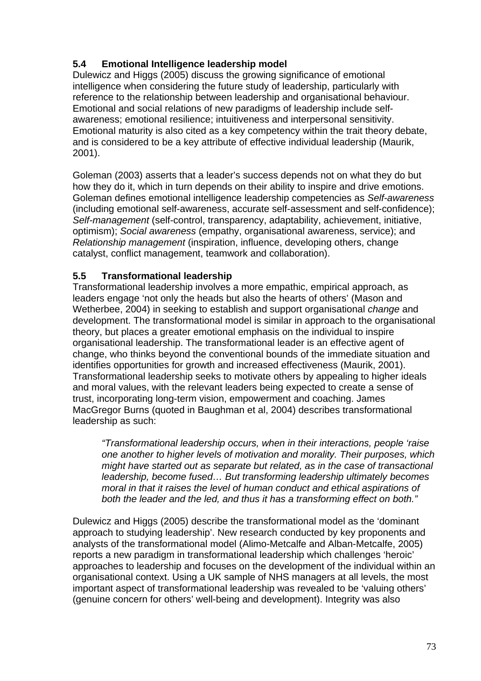# **5.4 Emotional Intelligence leadership model**

Dulewicz and Higgs (2005) discuss the growing significance of emotional intelligence when considering the future study of leadership, particularly with reference to the relationship between leadership and organisational behaviour. Emotional and social relations of new paradigms of leadership include selfawareness; emotional resilience; intuitiveness and interpersonal sensitivity. Emotional maturity is also cited as a key competency within the trait theory debate, and is considered to be a key attribute of effective individual leadership (Maurik, 2001).

Goleman (2003) asserts that a leader's success depends not on what they do but how they do it, which in turn depends on their ability to inspire and drive emotions. Goleman defines emotional intelligence leadership competencies as *Self-awareness*  (including emotional self-awareness, accurate self-assessment and self-confidence); *Self-management* (self-control, transparency, adaptability, achievement, initiative, optimism); *Social awareness* (empathy, organisational awareness, service); and *Relationship management* (inspiration, influence, developing others, change catalyst, conflict management, teamwork and collaboration).

# **5.5 Transformational leadership**

Transformational leadership involves a more empathic, empirical approach, as leaders engage 'not only the heads but also the hearts of others' (Mason and Wetherbee, 2004) in seeking to establish and support organisational *change* and development. The transformational model is similar in approach to the organisational theory, but places a greater emotional emphasis on the individual to inspire organisational leadership. The transformational leader is an effective agent of change, who thinks beyond the conventional bounds of the immediate situation and identifies opportunities for growth and increased effectiveness (Maurik, 2001). Transformational leadership seeks to motivate others by appealing to higher ideals and moral values, with the relevant leaders being expected to create a sense of trust, incorporating long-term vision, empowerment and coaching. James MacGregor Burns (quoted in Baughman et al, 2004) describes transformational leadership as such:

*"Transformational leadership occurs, when in their interactions, people 'raise one another to higher levels of motivation and morality. Their purposes, which might have started out as separate but related, as in the case of transactional leadership, become fused… But transforming leadership ultimately becomes moral in that it raises the level of human conduct and ethical aspirations of both the leader and the led, and thus it has a transforming effect on both."* 

Dulewicz and Higgs (2005) describe the transformational model as the 'dominant approach to studying leadership'. New research conducted by key proponents and analysts of the transformational model (Alimo-Metcalfe and Alban-Metcalfe, 2005) reports a new paradigm in transformational leadership which challenges 'heroic' approaches to leadership and focuses on the development of the individual within an organisational context. Using a UK sample of NHS managers at all levels, the most important aspect of transformational leadership was revealed to be 'valuing others' (genuine concern for others' well-being and development). Integrity was also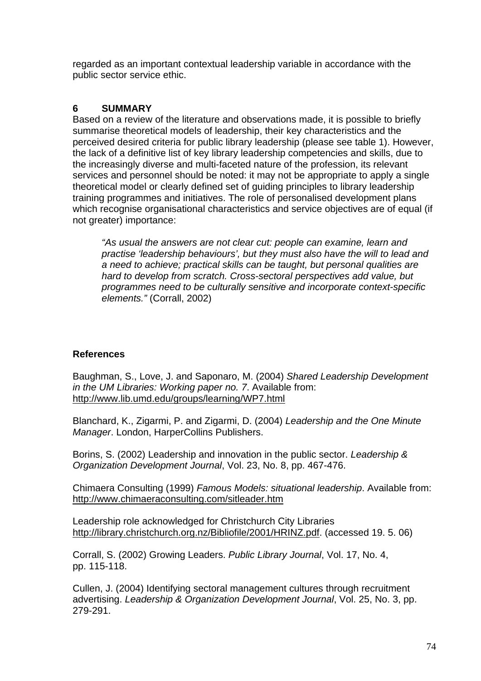regarded as an important contextual leadership variable in accordance with the public sector service ethic.

# **6 SUMMARY**

Based on a review of the literature and observations made, it is possible to briefly summarise theoretical models of leadership, their key characteristics and the perceived desired criteria for public library leadership (please see table 1). However, the lack of a definitive list of key library leadership competencies and skills, due to the increasingly diverse and multi-faceted nature of the profession, its relevant services and personnel should be noted: it may not be appropriate to apply a single theoretical model or clearly defined set of guiding principles to library leadership training programmes and initiatives. The role of personalised development plans which recognise organisational characteristics and service objectives are of equal (if not greater) importance:

*"As usual the answers are not clear cut: people can examine, learn and practise 'leadership behaviours', but they must also have the will to lead and a need to achieve; practical skills can be taught, but personal qualities are hard to develop from scratch. Cross-sectoral perspectives add value, but programmes need to be culturally sensitive and incorporate context-specific elements."* (Corrall, 2002)

# **References**

Baughman, S., Love, J. and Saponaro, M. (2004) *Shared Leadership Development in the UM Libraries: Working paper no. 7*. Available from: <http://www.lib.umd.edu/groups/learning/WP7.html>

Blanchard, K., Zigarmi, P. and Zigarmi, D. (2004) *Leadership and the One Minute Manager*. London, HarperCollins Publishers.

Borins, S. (2002) Leadership and innovation in the public sector. *Leadership & Organization Development Journal*, Vol. 23, No. 8, pp. 467-476.

Chimaera Consulting (1999) *Famous Models: situational leadership*. Available from: <http://www.chimaeraconsulting.com/sitleader.htm>

Leadership role acknowledged for Christchurch City Libraries http://library.christchurch.org.nz/Bibliofile/2001/HRINZ.pdf. (accessed 19. 5. 06)

Corrall, S. (2002) Growing Leaders. *Public Library Journal*, Vol. 17, No. 4, pp. 115-118.

Cullen, J. (2004) Identifying sectoral management cultures through recruitment advertising. *Leadership & Organization Development Journal*, Vol. 25, No. 3, pp. 279-291.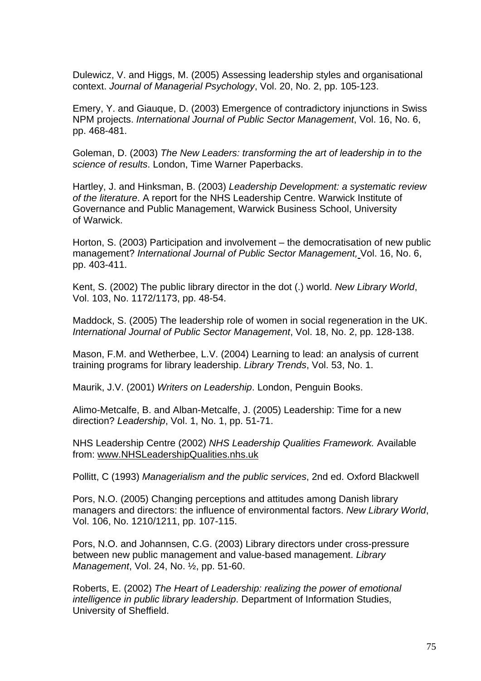Dulewicz, V. and Higgs, M. (2005) Assessing leadership styles and organisational context. *Journal of Managerial Psychology*, Vol. 20, No. 2, pp. 105-123.

Emery, Y. and Giauque, D. (2003) Emergence of contradictory injunctions in Swiss NPM projects. *International Journal of Public Sector Management*, Vol. 16, No. 6, pp. 468-481.

Goleman, D. (2003) *The New Leaders: transforming the art of leadership in to the science of results*. London, Time Warner Paperbacks.

Hartley, J. and Hinksman, B. (2003) *Leadership Development: a systematic review of the literature*. A report for the NHS Leadership Centre. Warwick Institute of Governance and Public Management, Warwick Business School, University of Warwick.

Horton, S. (2003) Participation and involvement – the democratisation of new public management? *International Journal of Public Sector Management,* Vol. 16, No. 6, pp. 403-411.

Kent, S. (2002) The public library director in the dot (.) world. *New Library World*, Vol. 103, No. 1172/1173, pp. 48-54.

Maddock, S. (2005) The leadership role of women in social regeneration in the UK. *International Journal of Public Sector Management*, Vol. 18, No. 2, pp. 128-138.

Mason, F.M. and Wetherbee, L.V. (2004) Learning to lead: an analysis of current training programs for library leadership. *Library Trends*, Vol. 53, No. 1.

Maurik, J.V. (2001) *Writers on Leadership*. London, Penguin Books.

Alimo-Metcalfe, B. and Alban-Metcalfe, J. (2005) Leadership: Time for a new direction? *Leadership*, Vol. 1, No. 1, pp. 51-71.

NHS Leadership Centre (2002) *NHS Leadership Qualities Framework.* Available from: [www.NHSLeadershipQualities.nhs.uk](http://www.nhsleadershipqualities.nhs.uk/)

Pollitt, C (1993) *Managerialism and the public services*, 2nd ed. Oxford Blackwell

Pors, N.O. (2005) Changing perceptions and attitudes among Danish library managers and directors: the influence of environmental factors. *New Library World*, Vol. 106, No. 1210/1211, pp. 107-115.

Pors, N.O. and Johannsen, C.G. (2003) Library directors under cross-pressure between new public management and value-based management. *Library Management*, Vol. 24, No. ½, pp. 51-60.

Roberts, E. (2002) *The Heart of Leadership: realizing the power of emotional intelligence in public library leadership*. Department of Information Studies, University of Sheffield.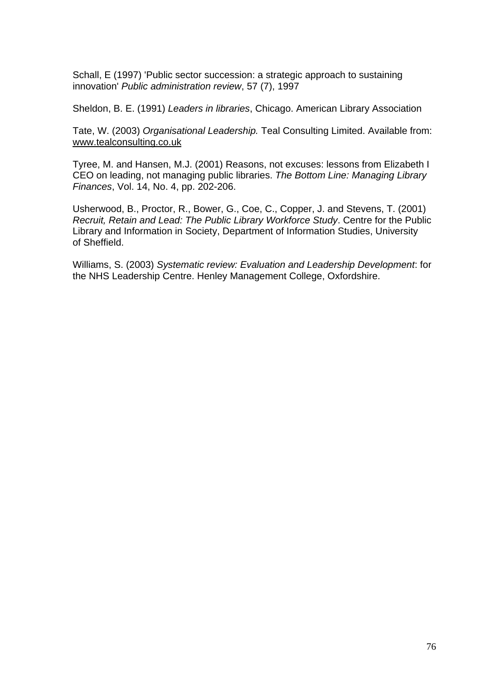Schall, E (1997) 'Public sector succession: a strategic approach to sustaining innovation' *Public administration review*, 57 (7), 1997

Sheldon, B. E. (1991) *Leaders in libraries*, Chicago. American Library Association

Tate, W. (2003) *Organisational Leadership.* Teal Consulting Limited. Available from: [www.tealconsulting.co.uk](http://www.tealconsulting.co.uk/)

Tyree, M. and Hansen, M.J. (2001) Reasons, not excuses: lessons from Elizabeth I CEO on leading, not managing public libraries. *The Bottom Line: Managing Library Finances*, Vol. 14, No. 4, pp. 202-206.

Usherwood, B., Proctor, R., Bower, G., Coe, C., Copper, J. and Stevens, T. (2001) *Recruit, Retain and Lead: The Public Library Workforce Study*. Centre for the Public Library and Information in Society, Department of Information Studies, University of Sheffield.

Williams, S. (2003) *Systematic review: Evaluation and Leadership Development*: for the NHS Leadership Centre. Henley Management College, Oxfordshire.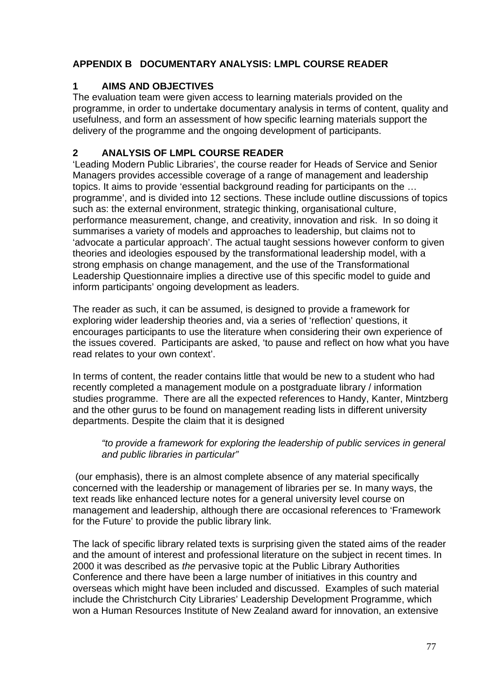# **APPENDIX B DOCUMENTARY ANALYSIS: LMPL COURSE READER**

# **1 AIMS AND OBJECTIVES**

The evaluation team were given access to learning materials provided on the programme, in order to undertake documentary analysis in terms of content, quality and usefulness, and form an assessment of how specific learning materials support the delivery of the programme and the ongoing development of participants.

# **2 ANALYSIS OF LMPL COURSE READER**

'Leading Modern Public Libraries', the course reader for Heads of Service and Senior Managers provides accessible coverage of a range of management and leadership topics. It aims to provide 'essential background reading for participants on the … programme', and is divided into 12 sections. These include outline discussions of topics such as: the external environment, strategic thinking, organisational culture, performance measurement, change, and creativity, innovation and risk. In so doing it summarises a variety of models and approaches to leadership, but claims not to 'advocate a particular approach'. The actual taught sessions however conform to given theories and ideologies espoused by the transformational leadership model, with a strong emphasis on change management, and the use of the Transformational Leadership Questionnaire implies a directive use of this specific model to guide and inform participants' ongoing development as leaders.

The reader as such, it can be assumed, is designed to provide a framework for exploring wider leadership theories and, via a series of 'reflection' questions, it encourages participants to use the literature when considering their own experience of the issues covered. Participants are asked, 'to pause and reflect on how what you have read relates to your own context'.

In terms of content, the reader contains little that would be new to a student who had recently completed a management module on a postgraduate library / information studies programme. There are all the expected references to Handy, Kanter, Mintzberg and the other gurus to be found on management reading lists in different university departments. Despite the claim that it is designed

## *"to provide a framework for exploring the leadership of public services in general and public libraries in particular"*

 (our emphasis), there is an almost complete absence of any material specifically concerned with the leadership or management of libraries per se. In many ways, the text reads like enhanced lecture notes for a general university level course on management and leadership, although there are occasional references to 'Framework for the Future' to provide the public library link.

The lack of specific library related texts is surprising given the stated aims of the reader and the amount of interest and professional literature on the subject in recent times. In 2000 it was described as *the* pervasive topic at the Public Library Authorities Conference and there have been a large number of initiatives in this country and overseas which might have been included and discussed. Examples of such material include the Christchurch City Libraries' Leadership Development Programme, which won a Human Resources Institute of New Zealand award for innovation, an extensive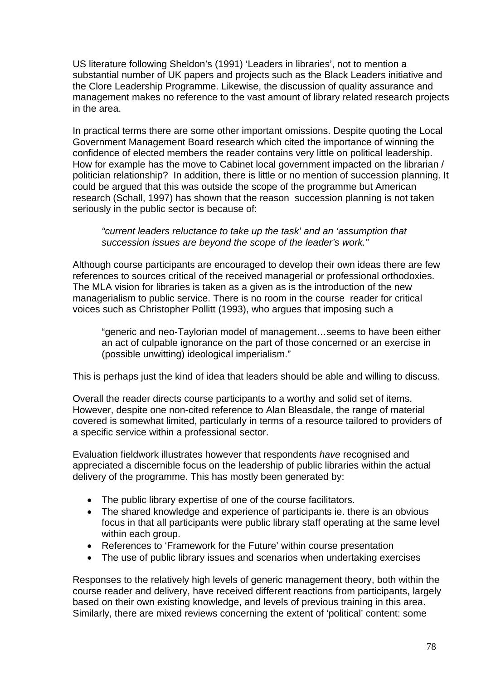US literature following Sheldon's (1991) 'Leaders in libraries', not to mention a substantial number of UK papers and projects such as the Black Leaders initiative and the Clore Leadership Programme. Likewise, the discussion of quality assurance and management makes no reference to the vast amount of library related research projects in the area.

In practical terms there are some other important omissions. Despite quoting the Local Government Management Board research which cited the importance of winning the confidence of elected members the reader contains very little on political leadership. How for example has the move to Cabinet local government impacted on the librarian / politician relationship? In addition, there is little or no mention of succession planning. It could be argued that this was outside the scope of the programme but American research (Schall, 1997) has shown that the reason succession planning is not taken seriously in the public sector is because of:

#### *"current leaders reluctance to take up the task' and an 'assumption that succession issues are beyond the scope of the leader's work."*

Although course participants are encouraged to develop their own ideas there are few references to sources critical of the received managerial or professional orthodoxies. The MLA vision for libraries is taken as a given as is the introduction of the new managerialism to public service. There is no room in the course reader for critical voices such as Christopher Pollitt (1993), who argues that imposing such a

"generic and neo-Taylorian model of management…seems to have been either an act of culpable ignorance on the part of those concerned or an exercise in (possible unwitting) ideological imperialism."

This is perhaps just the kind of idea that leaders should be able and willing to discuss.

Overall the reader directs course participants to a worthy and solid set of items. However, despite one non-cited reference to Alan Bleasdale, the range of material covered is somewhat limited, particularly in terms of a resource tailored to providers of a specific service within a professional sector.

Evaluation fieldwork illustrates however that respondents *have* recognised and appreciated a discernible focus on the leadership of public libraries within the actual delivery of the programme. This has mostly been generated by:

- The public library expertise of one of the course facilitators.
- The shared knowledge and experience of participants ie. there is an obvious focus in that all participants were public library staff operating at the same level within each group.
- References to 'Framework for the Future' within course presentation
- The use of public library issues and scenarios when undertaking exercises

Responses to the relatively high levels of generic management theory, both within the course reader and delivery, have received different reactions from participants, largely based on their own existing knowledge, and levels of previous training in this area. Similarly, there are mixed reviews concerning the extent of 'political' content: some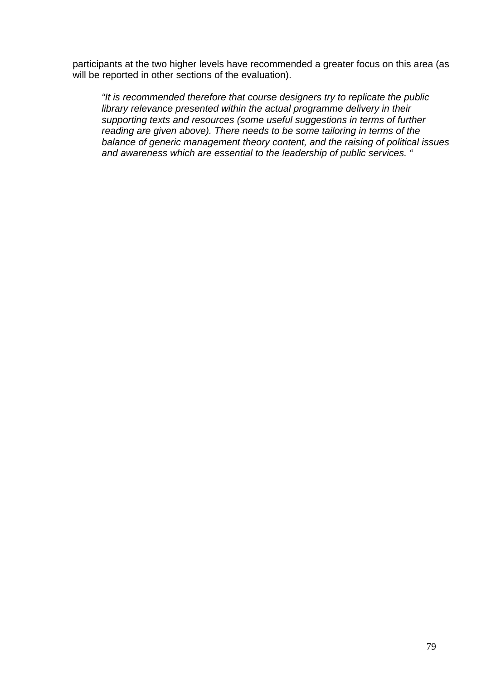participants at the two higher levels have recommended a greater focus on this area (as will be reported in other sections of the evaluation).

*"It is recommended therefore that course designers try to replicate the public library relevance presented within the actual programme delivery in their supporting texts and resources (some useful suggestions in terms of further reading are given above). There needs to be some tailoring in terms of the balance of generic management theory content, and the raising of political issues and awareness which are essential to the leadership of public services. "*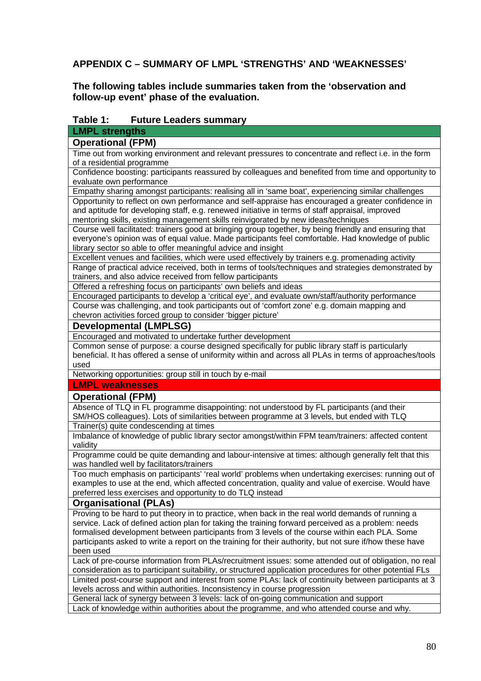# **APPENDIX C – SUMMARY OF LMPL 'STRENGTHS' AND 'WEAKNESSES'**

#### **The following tables include summaries taken from the 'observation and follow-up event' phase of the evaluation.**

#### **Table 1: Future Leaders summary**

## **LMPL strengths**

| <b>Operational (FPM)</b>                                                                             |
|------------------------------------------------------------------------------------------------------|
| Time out from working environment and relevant pressures to concentrate and reflect i.e. in the form |
| of a residential programme                                                                           |
| Confidence boosting: participants reassured by colleagues and benefited from time and opportunity to |
| evaluate own performance                                                                             |
| Empathy sharing amongst participants: realising all in 'same boat', experiencing similar challenges  |
| Opportunity to reflect on own performance and self-appraise has encouraged a greater confidence in   |

and aptitude for developing staff, e.g. renewed initiative in terms of staff appraisal, improved mentoring skills, existing management skills reinvigorated by new ideas/techniques

Course well facilitated: trainers good at bringing group together, by being friendly and ensuring that everyone's opinion was of equal value. Made participants feel comfortable. Had knowledge of public library sector so able to offer meaningful advice and insight

Excellent venues and facilities, which were used effectively by trainers e.g. promenading activity Range of practical advice received, both in terms of tools/techniques and strategies demonstrated by trainers, and also advice received from fellow participants

Offered a refreshing focus on participants' own beliefs and ideas

Encouraged participants to develop a 'critical eye', and evaluate own/staff/authority performance Course was challenging, and took participants out of 'comfort zone' e.g. domain mapping and chevron activities forced group to consider 'bigger picture'

## **Developmental (LMPLSG)**

Encouraged and motivated to undertake further development

Common sense of purpose: a course designed specifically for public library staff is particularly beneficial. It has offered a sense of uniformity within and across all PLAs in terms of approaches/tools used

Networking opportunities: group still in touch by e-mail

## **LMPL weaknesses**

#### **Operational (FPM)**

Absence of TLQ in FL programme disappointing: not understood by FL participants (and their SM/HOS colleagues). Lots of similarities between programme at 3 levels, but ended with TLQ Trainer(s) quite condescending at times

Imbalance of knowledge of public library sector amongst/within FPM team/trainers: affected content validity

Programme could be quite demanding and labour-intensive at times: although generally felt that this was handled well by facilitators/trainers

Too much emphasis on participants' 'real world' problems when undertaking exercises: running out of examples to use at the end, which affected concentration, quality and value of exercise. Would have preferred less exercises and opportunity to do TLQ instead

#### **Organisational (PLAs)**

Proving to be hard to put theory in to practice, when back in the real world demands of running a service. Lack of defined action plan for taking the training forward perceived as a problem: needs formalised development between participants from 3 levels of the course within each PLA. Some participants asked to write a report on the training for their authority, but not sure if/how these have been used

Lack of pre-course information from PLAs/recruitment issues: some attended out of obligation, no real consideration as to participant suitability, or structured application procedures for other potential FLs Limited post-course support and interest from some PLAs: lack of continuity between participants at 3 levels across and within authorities. Inconsistency in course progression

General lack of synergy between 3 levels: lack of on-going communication and support Lack of knowledge within authorities about the programme, and who attended course and why.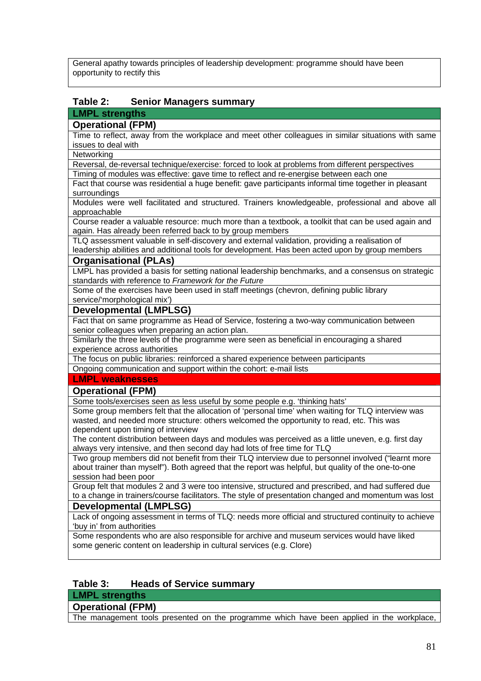General apathy towards principles of leadership development: programme should have been opportunity to rectify this

## **Table 2: Senior Managers summary**

# **LMPL strengths**

# **Operational (FPM)**

Time to reflect, away from the workplace and meet other colleagues in similar situations with same issues to deal with

#### **Networking**

Reversal, de-reversal technique/exercise: forced to look at problems from different perspectives

Timing of modules was effective: gave time to reflect and re-energise between each one

Fact that course was residential a huge benefit: gave participants informal time together in pleasant surroundings

Modules were well facilitated and structured. Trainers knowledgeable, professional and above all approachable

Course reader a valuable resource: much more than a textbook, a toolkit that can be used again and again. Has already been referred back to by group members

TLQ assessment valuable in self-discovery and external validation, providing a realisation of leadership abilities and additional tools for development. Has been acted upon by group members

#### **Organisational (PLAs)**

LMPL has provided a basis for setting national leadership benchmarks, and a consensus on strategic standards with reference to *Framework for the Future*

Some of the exercises have been used in staff meetings (chevron, defining public library service/'morphological mix')

#### **Developmental (LMPLSG)**

Fact that on same programme as Head of Service, fostering a two-way communication between senior colleagues when preparing an action plan.

Similarly the three levels of the programme were seen as beneficial in encouraging a shared experience across authorities

The focus on public libraries: reinforced a shared experience between participants

Ongoing communication and support within the cohort: e-mail lists

#### **LMPL weaknesses**

#### **Operational (FPM)**

Some tools/exercises seen as less useful by some people e.g. 'thinking hats'

Some group members felt that the allocation of 'personal time' when waiting for TLQ interview was wasted, and needed more structure: others welcomed the opportunity to read, etc. This was dependent upon timing of interview

The content distribution between days and modules was perceived as a little uneven, e.g. first day always very intensive, and then second day had lots of free time for TLQ

Two group members did not benefit from their TLQ interview due to personnel involved ("learnt more about trainer than myself"). Both agreed that the report was helpful, but quality of the one-to-one session had been poor

Group felt that modules 2 and 3 were too intensive, structured and prescribed, and had suffered due to a change in trainers/course facilitators. The style of presentation changed and momentum was lost

#### **Developmental (LMPLSG)**

Lack of ongoing assessment in terms of TLQ: needs more official and structured continuity to achieve 'buy in' from authorities

Some respondents who are also responsible for archive and museum services would have liked some generic content on leadership in cultural services (e.g. Clore)

#### **Table 3: Heads of Service summary**

**LMPL strengths** 

# **Operational (FPM)**

The management tools presented on the programme which have been applied in the workplace,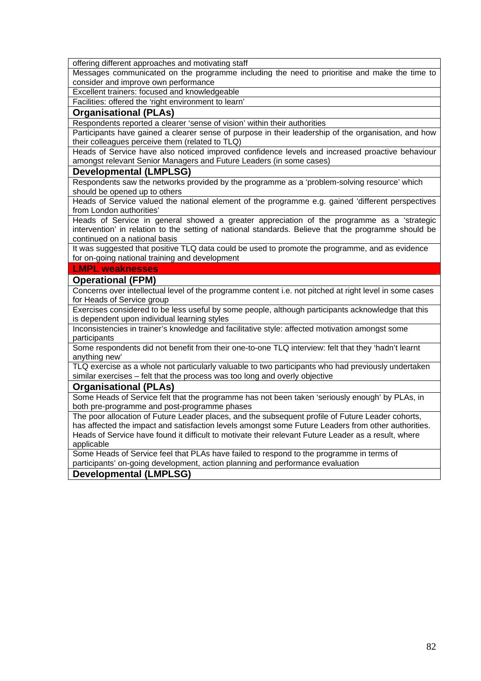offering different approaches and motivating staff

Messages communicated on the programme including the need to prioritise and make the time to consider and improve own performance

Excellent trainers: focused and knowledgeable

Facilities: offered the 'right environment to learn'

#### **Organisational (PLAs)**

Respondents reported a clearer 'sense of vision' within their authorities

Participants have gained a clearer sense of purpose in their leadership of the organisation, and how their colleagues perceive them (related to TLQ)

Heads of Service have also noticed improved confidence levels and increased proactive behaviour amongst relevant Senior Managers and Future Leaders (in some cases)

#### **Developmental (LMPLSG)**

Respondents saw the networks provided by the programme as a 'problem-solving resource' which should be opened up to others

Heads of Service valued the national element of the programme e.g. gained 'different perspectives from London authorities'

Heads of Service in general showed a greater appreciation of the programme as a 'strategic intervention' in relation to the setting of national standards. Believe that the programme should be continued on a national basis

It was suggested that positive TLQ data could be used to promote the programme, and as evidence for on-going national training and development

#### **LMPL weaknesses**

#### **Operational (FPM)**

Concerns over intellectual level of the programme content i.e. not pitched at right level in some cases for Heads of Service group

Exercises considered to be less useful by some people, although participants acknowledge that this is dependent upon individual learning styles

Inconsistencies in trainer's knowledge and facilitative style: affected motivation amongst some participants

Some respondents did not benefit from their one-to-one TLQ interview: felt that they 'hadn't learnt anything new'

TLQ exercise as a whole not particularly valuable to two participants who had previously undertaken similar exercises – felt that the process was too long and overly objective

#### **Organisational (PLAs)**

Some Heads of Service felt that the programme has not been taken 'seriously enough' by PLAs, in both pre-programme and post-programme phases

The poor allocation of Future Leader places, and the subsequent profile of Future Leader cohorts, has affected the impact and satisfaction levels amongst some Future Leaders from other authorities. Heads of Service have found it difficult to motivate their relevant Future Leader as a result, where applicable

Some Heads of Service feel that PLAs have failed to respond to the programme in terms of participants' on-going development, action planning and performance evaluation

**Developmental (LMPLSG)**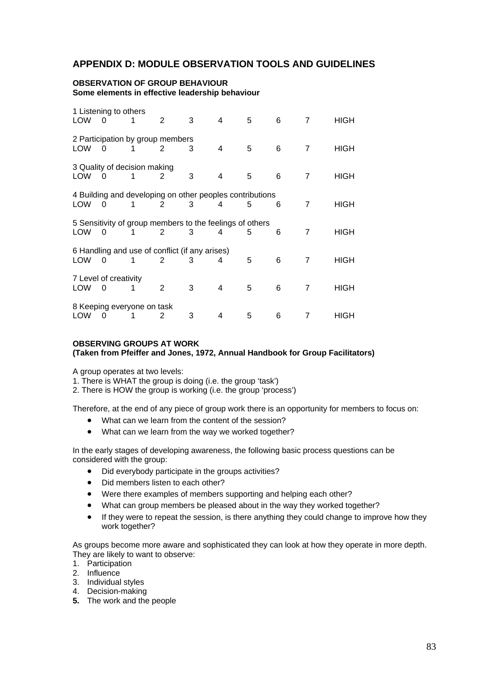## **APPENDIX D: MODULE OBSERVATION TOOLS AND GUIDELINES**

#### **OBSERVATION OF GROUP BEHAVIOUR Some elements in effective leadership behaviour**

| <b>LOW</b> | 1 Listening to others<br>0 | 1                                 | 2                                                             | 3 | 4 | 5 | 6 | 7              | HIGH |
|------------|----------------------------|-----------------------------------|---------------------------------------------------------------|---|---|---|---|----------------|------|
| <b>LOW</b> | 0                          |                                   | 2 Participation by group members<br>2                         | 3 | 4 | 5 | 6 | $\overline{7}$ | HIGH |
| LOW        | 0                          | 3 Quality of decision making<br>1 | 2                                                             | 3 | 4 | 5 | 6 | 7              | HIGH |
| LOW        | 0                          |                                   | 4 Building and developing on other peoples contributions<br>2 | 3 | 4 | 5 | 6 | 7              | HIGH |
| <b>LOW</b> | 0                          |                                   | 5 Sensitivity of group members to the feelings of others<br>2 | 3 | 4 | 5 | 6 | 7              | HIGH |
| <b>LOW</b> | 0                          |                                   | 6 Handling and use of conflict (if any arises)<br>2           | 3 | 4 | 5 | 6 | 7              | HIGH |
| <b>LOW</b> | 7 Level of creativity<br>0 | 1                                 | 2                                                             | 3 | 4 | 5 | 6 | 7              | HIGH |
| LOW        | 0                          | 8 Keeping everyone on task        | 2                                                             | 3 | 4 | 5 | 6 |                | HIGH |

#### **OBSERVING GROUPS AT WORK (Taken from Pfeiffer and Jones, 1972, Annual Handbook for Group Facilitators)**

A group operates at two levels:

1. There is WHAT the group is doing (i.e. the group 'task')

2. There is HOW the group is working (i.e. the group 'process')

Therefore, at the end of any piece of group work there is an opportunity for members to focus on:

- What can we learn from the content of the session?
- What can we learn from the way we worked together?

In the early stages of developing awareness, the following basic process questions can be considered with the group:

- Did everybody participate in the groups activities?
- Did members listen to each other?
- Were there examples of members supporting and helping each other?
- What can group members be pleased about in the way they worked together?
- If they were to repeat the session, is there anything they could change to improve how they work together?

As groups become more aware and sophisticated they can look at how they operate in more depth. They are likely to want to observe:

- 1. Participation
- 2. Influence
- 3. Individual styles
- 4. Decision-making
- **5.** The work and the people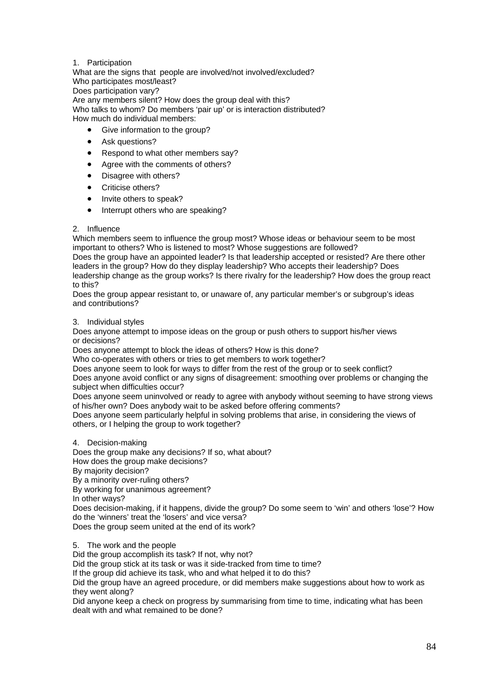#### 1. Participation

What are the signs that people are involved/not involved/excluded? Who participates most/least? Does participation vary? Are any members silent? How does the group deal with this? Who talks to whom? Do members 'pair up' or is interaction distributed?

How much do individual members:

- Give information to the group?
- Ask questions?
- Respond to what other members say?
- Agree with the comments of others?
- Disagree with others?
- Criticise others?
- Invite others to speak?
- Interrupt others who are speaking?

#### 2. Influence

Which members seem to influence the group most? Whose ideas or behaviour seem to be most important to others? Who is listened to most? Whose suggestions are followed? Does the group have an appointed leader? Is that leadership accepted or resisted? Are there other leaders in the group? How do they display leadership? Who accepts their leadership? Does leadership change as the group works? Is there rivalry for the leadership? How does the group react to this?

Does the group appear resistant to, or unaware of, any particular member's or subgroup's ideas and contributions?

#### 3. Individual styles

Does anyone attempt to impose ideas on the group or push others to support his/her views or decisions?

Does anyone attempt to block the ideas of others? How is this done?

Who co-operates with others or tries to get members to work together?

Does anyone seem to look for ways to differ from the rest of the group or to seek conflict?

Does anyone avoid conflict or any signs of disagreement: smoothing over problems or changing the subject when difficulties occur?

Does anyone seem uninvolved or ready to agree with anybody without seeming to have strong views of his/her own? Does anybody wait to be asked before offering comments?

Does anyone seem particularly helpful in solving problems that arise, in considering the views of others, or I helping the group to work together?

4. Decision-making

Does the group make any decisions? If so, what about?

How does the group make decisions?

By majority decision?

By a minority over-ruling others?

By working for unanimous agreement?

In other ways?

Does decision-making, if it happens, divide the group? Do some seem to 'win' and others 'lose'? How do the 'winners' treat the 'losers' and vice versa?

Does the group seem united at the end of its work?

5. The work and the people

Did the group accomplish its task? If not, why not?

Did the group stick at its task or was it side-tracked from time to time?

If the group did achieve its task, who and what helped it to do this?

Did the group have an agreed procedure, or did members make suggestions about how to work as they went along?

Did anyone keep a check on progress by summarising from time to time, indicating what has been dealt with and what remained to be done?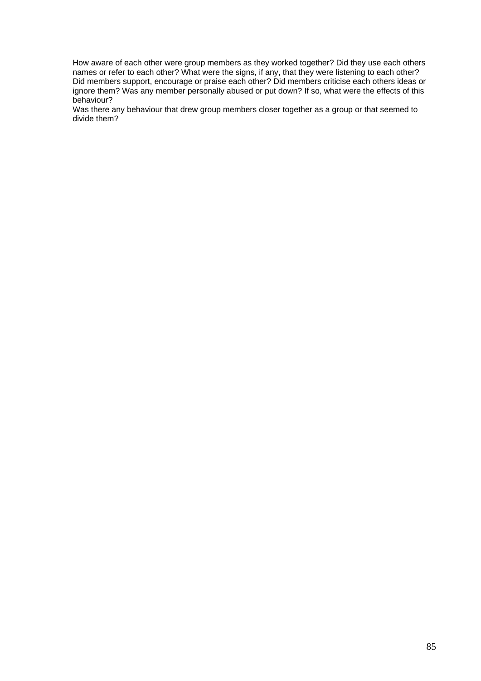How aware of each other were group members as they worked together? Did they use each others names or refer to each other? What were the signs, if any, that they were listening to each other? Did members support, encourage or praise each other? Did members criticise each others ideas or ignore them? Was any member personally abused or put down? If so, what were the effects of this behaviour?

Was there any behaviour that drew group members closer together as a group or that seemed to divide them?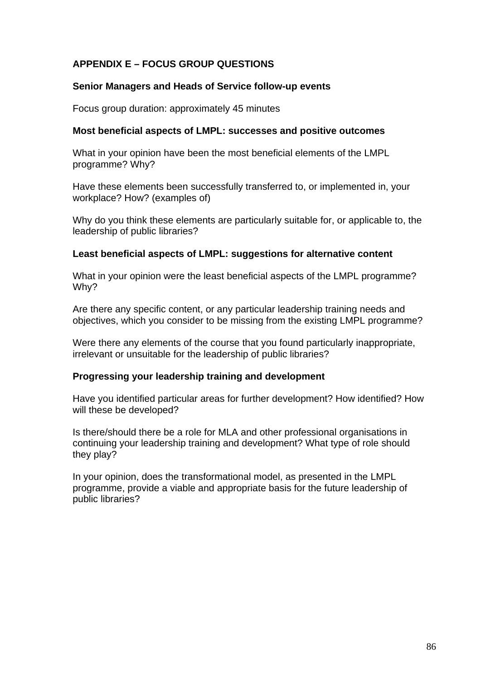# **APPENDIX E – FOCUS GROUP QUESTIONS**

#### **Senior Managers and Heads of Service follow-up events**

Focus group duration: approximately 45 minutes

#### **Most beneficial aspects of LMPL: successes and positive outcomes**

What in your opinion have been the most beneficial elements of the LMPL programme? Why?

Have these elements been successfully transferred to, or implemented in, your workplace? How? (examples of)

Why do you think these elements are particularly suitable for, or applicable to, the leadership of public libraries?

#### **Least beneficial aspects of LMPL: suggestions for alternative content**

What in your opinion were the least beneficial aspects of the LMPL programme? Why?

Are there any specific content, or any particular leadership training needs and objectives, which you consider to be missing from the existing LMPL programme?

Were there any elements of the course that you found particularly inappropriate, irrelevant or unsuitable for the leadership of public libraries?

#### **Progressing your leadership training and development**

Have you identified particular areas for further development? How identified? How will these be developed?

Is there/should there be a role for MLA and other professional organisations in continuing your leadership training and development? What type of role should they play?

In your opinion, does the transformational model, as presented in the LMPL programme, provide a viable and appropriate basis for the future leadership of public libraries?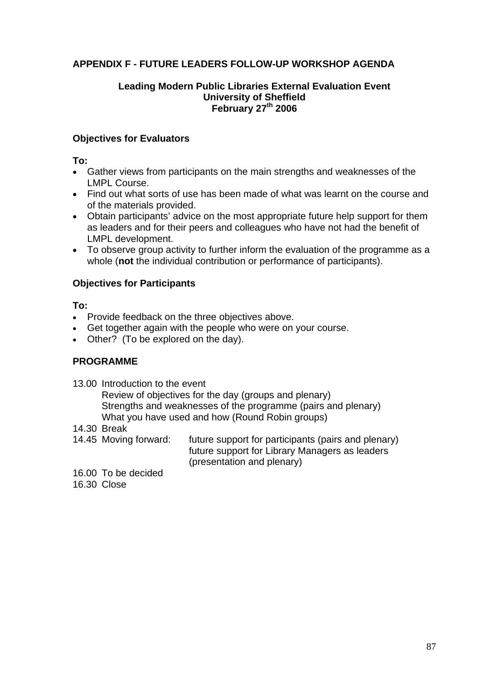# **APPENDIX F - FUTURE LEADERS FOLLOW-UP WORKSHOP AGENDA**

## **Leading Modern Public Libraries External Evaluation Event University of Sheffield February 27<sup>th</sup> 2006**

## **Objectives for Evaluators**

**To:** 

- Gather views from participants on the main strengths and weaknesses of the LMPL Course.
- Find out what sorts of use has been made of what was learnt on the course and of the materials provided.
- Obtain participants' advice on the most appropriate future help support for them as leaders and for their peers and colleagues who have not had the benefit of LMPL development.
- To observe group activity to further inform the evaluation of the programme as a whole (**not** the individual contribution or performance of participants).

# **Objectives for Participants**

**To:** 

- Provide feedback on the three objectives above.
- Get together again with the people who were on your course.
- Other? (To be explored on the day).

# **PROGRAMME**

13.00 Introduction to the event

 Review of objectives for the day (groups and plenary) Strengths and weaknesses of the programme (pairs and plenary) What you have used and how (Round Robin groups)

- 14.30 Break
- 14.45 Moving forward: future support for participants (pairs and plenary) future support for Library Managers as leaders (presentation and plenary)
- 16.00 To be decided

16.30 Close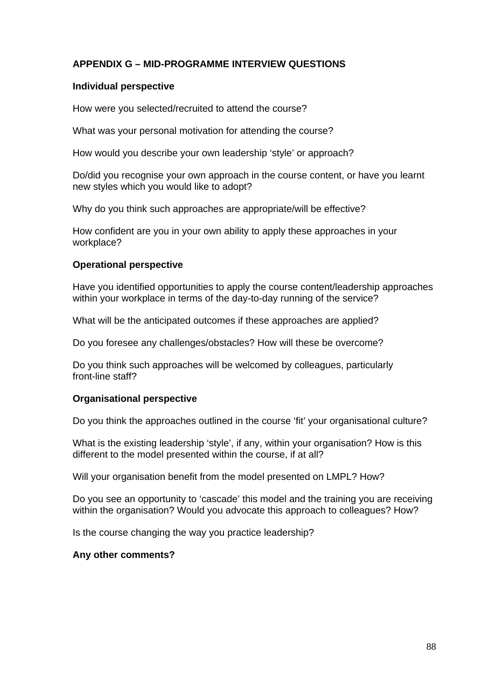# **APPENDIX G – MID-PROGRAMME INTERVIEW QUESTIONS**

## **Individual perspective**

How were you selected/recruited to attend the course?

What was your personal motivation for attending the course?

How would you describe your own leadership 'style' or approach?

Do/did you recognise your own approach in the course content, or have you learnt new styles which you would like to adopt?

Why do you think such approaches are appropriate/will be effective?

How confident are you in your own ability to apply these approaches in your workplace?

# **Operational perspective**

Have you identified opportunities to apply the course content/leadership approaches within your workplace in terms of the day-to-day running of the service?

What will be the anticipated outcomes if these approaches are applied?

Do you foresee any challenges/obstacles? How will these be overcome?

Do you think such approaches will be welcomed by colleagues, particularly front-line staff?

## **Organisational perspective**

Do you think the approaches outlined in the course 'fit' your organisational culture?

What is the existing leadership 'style', if any, within your organisation? How is this different to the model presented within the course, if at all?

Will your organisation benefit from the model presented on LMPL? How?

Do you see an opportunity to 'cascade' this model and the training you are receiving within the organisation? Would you advocate this approach to colleagues? How?

Is the course changing the way you practice leadership?

## **Any other comments?**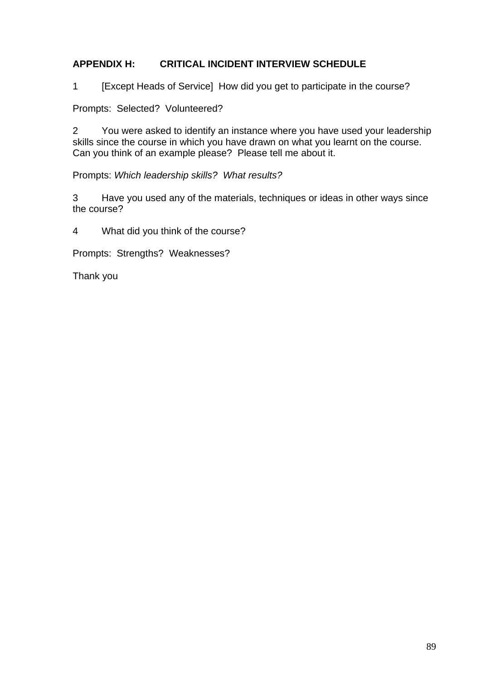# **APPENDIX H: CRITICAL INCIDENT INTERVIEW SCHEDULE**

1 [Except Heads of Service] How did you get to participate in the course?

Prompts: Selected? Volunteered?

2 You were asked to identify an instance where you have used your leadership skills since the course in which you have drawn on what you learnt on the course. Can you think of an example please? Please tell me about it.

Prompts: *Which leadership skills? What results?* 

3 Have you used any of the materials, techniques or ideas in other ways since the course?

4 What did you think of the course?

Prompts: Strengths? Weaknesses?

Thank you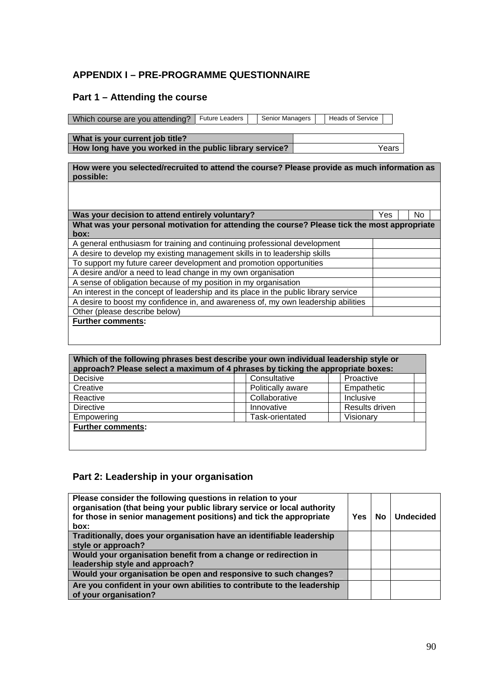# **APPENDIX I – PRE-PROGRAMME QUESTIONNAIRE**

# **Part 1 – Attending the course**

Which course are you attending? | Future Leaders | | Senior Managers | | Heads of Service

**What is your current job title? How long have you worked in the public library service? Years** Years

**How were you selected/recruited to attend the course? Please provide as much information as possible:** 

| Was your decision to attend entirely voluntary?                                              | Yes | No. |  |
|----------------------------------------------------------------------------------------------|-----|-----|--|
| What was your personal motivation for attending the course? Please tick the most appropriate |     |     |  |
| box:                                                                                         |     |     |  |
| A general enthusiasm for training and continuing professional development                    |     |     |  |
| A desire to develop my existing management skills in to leadership skills                    |     |     |  |
| To support my future career development and promotion opportunities                          |     |     |  |
| A desire and/or a need to lead change in my own organisation                                 |     |     |  |
| A sense of obligation because of my position in my organisation                              |     |     |  |
| An interest in the concept of leadership and its place in the public library service         |     |     |  |
| A desire to boost my confidence in, and awareness of, my own leadership abilities            |     |     |  |
| Other (please describe below)                                                                |     |     |  |
| <b>Further comments:</b>                                                                     |     |     |  |
|                                                                                              |     |     |  |

| Which of the following phrases best describe your own individual leadership style or<br>approach? Please select a maximum of 4 phrases by ticking the appropriate boxes: |                   |                |  |  |  |  |
|--------------------------------------------------------------------------------------------------------------------------------------------------------------------------|-------------------|----------------|--|--|--|--|
| Decisive                                                                                                                                                                 | Consultative      | Proactive      |  |  |  |  |
| Creative                                                                                                                                                                 | Politically aware | Empathetic     |  |  |  |  |
| Reactive                                                                                                                                                                 | Collaborative     | Inclusive      |  |  |  |  |
| <b>Directive</b>                                                                                                                                                         | Innovative        | Results driven |  |  |  |  |
| Task-orientated<br>Visionary<br>Empowering                                                                                                                               |                   |                |  |  |  |  |
| <b>Further comments:</b>                                                                                                                                                 |                   |                |  |  |  |  |

# **Part 2: Leadership in your organisation**

| Please consider the following questions in relation to your<br>organisation (that being your public library service or local authority<br>for those in senior management positions) and tick the appropriate<br>box: | Yes | No | <b>Undecided</b> |
|----------------------------------------------------------------------------------------------------------------------------------------------------------------------------------------------------------------------|-----|----|------------------|
| Traditionally, does your organisation have an identifiable leadership                                                                                                                                                |     |    |                  |
| style or approach?                                                                                                                                                                                                   |     |    |                  |
| Would your organisation benefit from a change or redirection in                                                                                                                                                      |     |    |                  |
| leadership style and approach?                                                                                                                                                                                       |     |    |                  |
| Would your organisation be open and responsive to such changes?                                                                                                                                                      |     |    |                  |
| Are you confident in your own abilities to contribute to the leadership<br>of your organisation?                                                                                                                     |     |    |                  |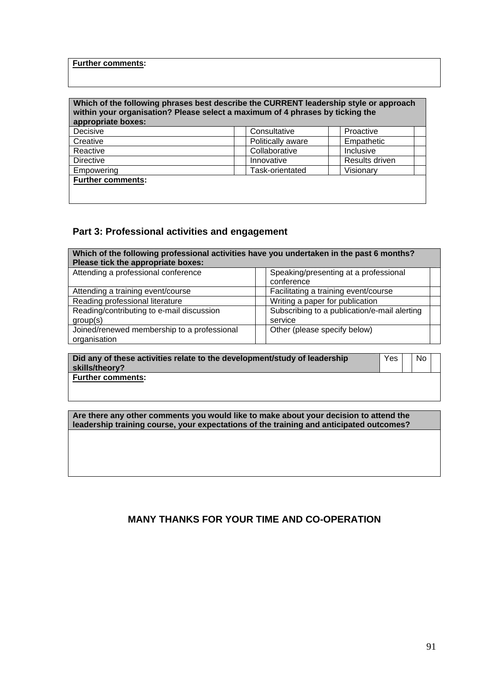#### **Further comments:**

#### **Which of the following phrases best describe the CURRENT leadership style or approach within your organisation? Please select a maximum of 4 phrases by ticking the appropriate boxes:**

| apply up that power.     |                   |                |  |
|--------------------------|-------------------|----------------|--|
| Decisive                 | Consultative      | Proactive      |  |
| Creative                 | Politically aware | Empathetic     |  |
| Reactive                 | Collaborative     | Inclusive      |  |
| <b>Directive</b>         | Innovative        | Results driven |  |
| Empowering               | Task-orientated   | Visionary      |  |
| <b>Further comments:</b> |                   |                |  |
|                          |                   |                |  |
|                          |                   |                |  |

# **Part 3: Professional activities and engagement**

| Which of the following professional activities have you undertaken in the past 6 months? |                                              |  |  |  |  |  |  |
|------------------------------------------------------------------------------------------|----------------------------------------------|--|--|--|--|--|--|
| Please tick the appropriate boxes:                                                       |                                              |  |  |  |  |  |  |
| Attending a professional conference                                                      | Speaking/presenting at a professional        |  |  |  |  |  |  |
|                                                                                          | conference                                   |  |  |  |  |  |  |
| Attending a training event/course                                                        | Facilitating a training event/course         |  |  |  |  |  |  |
| Reading professional literature                                                          | Writing a paper for publication              |  |  |  |  |  |  |
| Reading/contributing to e-mail discussion                                                | Subscribing to a publication/e-mail alerting |  |  |  |  |  |  |
| group(s)                                                                                 | service                                      |  |  |  |  |  |  |
| Joined/renewed membership to a professional                                              | Other (please specify below)                 |  |  |  |  |  |  |
| organisation                                                                             |                                              |  |  |  |  |  |  |

| Did any of these activities relate to the development/study of leadership<br>skills/theory? | Yes | No. |  |
|---------------------------------------------------------------------------------------------|-----|-----|--|
| Further comments:                                                                           |     |     |  |

**Are there any other comments you would like to make about your decision to attend the leadership training course, your expectations of the training and anticipated outcomes?** 

# **MANY THANKS FOR YOUR TIME AND CO-OPERATION**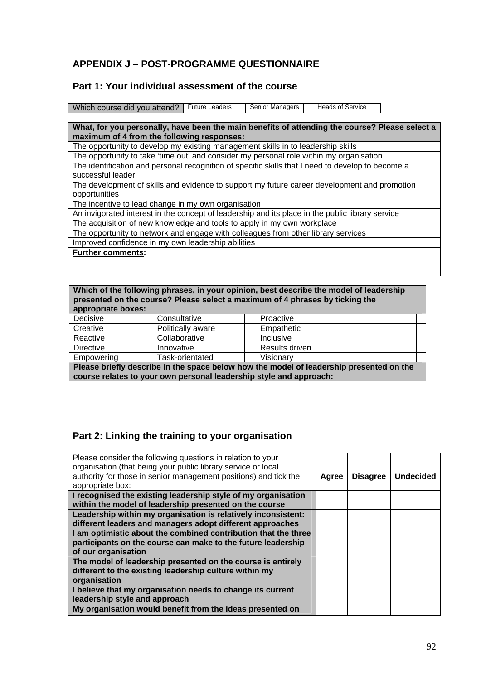# **APPENDIX J – POST-PROGRAMME QUESTIONNAIRE**

## **Part 1: Your individual assessment of the course**

| Which course did you attend?   Future Leaders     Senior Managers     Heads of Service |  |  |  |  |
|----------------------------------------------------------------------------------------|--|--|--|--|

## **What, for you personally, have been the main benefits of attending the course? Please select a maximum of 4 from the following responses:**

The opportunity to develop my existing management skills in to leadership skills

The opportunity to take 'time out' and consider my personal role within my organisation The identification and personal recognition of specific skills that I need to develop to become a successful leader The development of skills and evidence to support my future career development and promotion

opportunities The incentive to lead change in my own organisation

An invigorated interest in the concept of leadership and its place in the public library service

The acquisition of new knowledge and tools to apply in my own workplace

The opportunity to network and engage with colleagues from other library services

Improved confidence in my own leadership abilities

**Further comments:** 

| Which of the following phrases, in your opinion, best describe the model of leadership<br>presented on the course? Please select a maximum of 4 phrases by ticking the<br>appropriate boxes: |                   |                |  |  |  |  |
|----------------------------------------------------------------------------------------------------------------------------------------------------------------------------------------------|-------------------|----------------|--|--|--|--|
| Decisive                                                                                                                                                                                     | Consultative      | Proactive      |  |  |  |  |
| Creative                                                                                                                                                                                     | Politically aware | Empathetic     |  |  |  |  |
| Reactive                                                                                                                                                                                     | Collaborative     | Inclusive      |  |  |  |  |
| Directive                                                                                                                                                                                    | Innovative        | Results driven |  |  |  |  |
| Empowering                                                                                                                                                                                   | Task-orientated   | Visionary      |  |  |  |  |
| Please briefly describe in the space below how the model of leadership presented on the<br>course relates to your own personal leadership style and approach:                                |                   |                |  |  |  |  |
|                                                                                                                                                                                              |                   |                |  |  |  |  |

## **Part 2: Linking the training to your organisation**

| Please consider the following questions in relation to your<br>organisation (that being your public library service or local<br>authority for those in senior management positions) and tick the<br>appropriate box: | Agree | <b>Disagree</b> | <b>Undecided</b> |
|----------------------------------------------------------------------------------------------------------------------------------------------------------------------------------------------------------------------|-------|-----------------|------------------|
| I recognised the existing leadership style of my organisation<br>within the model of leadership presented on the course                                                                                              |       |                 |                  |
| Leadership within my organisation is relatively inconsistent:<br>different leaders and managers adopt different approaches                                                                                           |       |                 |                  |
| I am optimistic about the combined contribution that the three<br>participants on the course can make to the future leadership<br>of our organisation                                                                |       |                 |                  |
| The model of leadership presented on the course is entirely<br>different to the existing leadership culture within my<br>organisation                                                                                |       |                 |                  |
| I believe that my organisation needs to change its current<br>leadership style and approach                                                                                                                          |       |                 |                  |
| My organisation would benefit from the ideas presented on                                                                                                                                                            |       |                 |                  |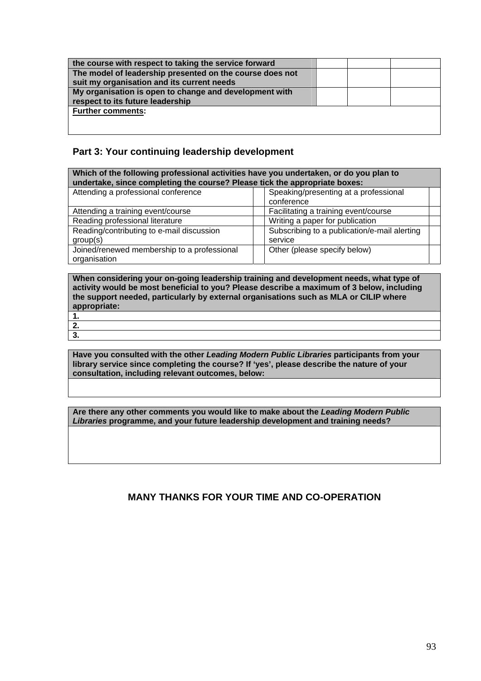| the course with respect to taking the service forward    |  |  |
|----------------------------------------------------------|--|--|
| The model of leadership presented on the course does not |  |  |
| suit my organisation and its current needs               |  |  |
| My organisation is open to change and development with   |  |  |
| respect to its future leadership                         |  |  |
| <b>Further comments:</b>                                 |  |  |
|                                                          |  |  |
|                                                          |  |  |

# **Part 3: Your continuing leadership development**

| Which of the following professional activities have you undertaken, or do you plan to<br>undertake, since completing the course? Please tick the appropriate boxes: |                                                         |  |  |
|---------------------------------------------------------------------------------------------------------------------------------------------------------------------|---------------------------------------------------------|--|--|
| Attending a professional conference                                                                                                                                 | Speaking/presenting at a professional<br>conference     |  |  |
| Attending a training event/course                                                                                                                                   | Facilitating a training event/course                    |  |  |
| Reading professional literature                                                                                                                                     | Writing a paper for publication                         |  |  |
| Reading/contributing to e-mail discussion<br>group(s)                                                                                                               | Subscribing to a publication/e-mail alerting<br>service |  |  |
| Joined/renewed membership to a professional<br>organisation                                                                                                         | Other (please specify below)                            |  |  |

**When considering your on-going leadership training and development needs, what type of activity would be most beneficial to you? Please describe a maximum of 3 below, including the support needed, particularly by external organisations such as MLA or CILIP where appropriate: 1.** 

# **2. 3.**

**Have you consulted with the other** *Leading Modern Public Libraries* **participants from your library service since completing the course? If 'yes', please describe the nature of your consultation, including relevant outcomes, below:** 

**Are there any other comments you would like to make about the** *Leading Modern Public Libraries* **programme, and your future leadership development and training needs?** 

# **MANY THANKS FOR YOUR TIME AND CO-OPERATION**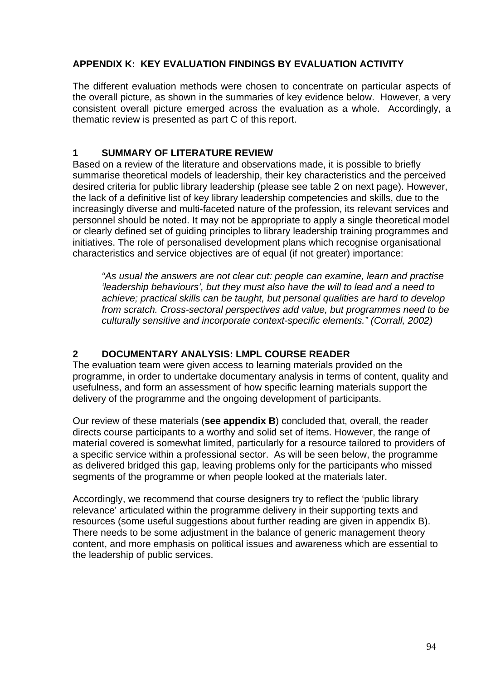# **APPENDIX K: KEY EVALUATION FINDINGS BY EVALUATION ACTIVITY**

The different evaluation methods were chosen to concentrate on particular aspects of the overall picture, as shown in the summaries of key evidence below. However, a very consistent overall picture emerged across the evaluation as a whole. Accordingly, a thematic review is presented as part C of this report.

# **1 SUMMARY OF LITERATURE REVIEW**

Based on a review of the literature and observations made, it is possible to briefly summarise theoretical models of leadership, their key characteristics and the perceived desired criteria for public library leadership (please see table 2 on next page). However, the lack of a definitive list of key library leadership competencies and skills, due to the increasingly diverse and multi-faceted nature of the profession, its relevant services and personnel should be noted. It may not be appropriate to apply a single theoretical model or clearly defined set of guiding principles to library leadership training programmes and initiatives. The role of personalised development plans which recognise organisational characteristics and service objectives are of equal (if not greater) importance:

*"As usual the answers are not clear cut: people can examine, learn and practise 'leadership behaviours', but they must also have the will to lead and a need to achieve; practical skills can be taught, but personal qualities are hard to develop from scratch. Cross-sectoral perspectives add value, but programmes need to be culturally sensitive and incorporate context-specific elements." (Corrall, 2002)* 

# **2 DOCUMENTARY ANALYSIS: LMPL COURSE READER**

The evaluation team were given access to learning materials provided on the programme, in order to undertake documentary analysis in terms of content, quality and usefulness, and form an assessment of how specific learning materials support the delivery of the programme and the ongoing development of participants.

Our review of these materials (**see appendix B**) concluded that, overall, the reader directs course participants to a worthy and solid set of items. However, the range of material covered is somewhat limited, particularly for a resource tailored to providers of a specific service within a professional sector. As will be seen below, the programme as delivered bridged this gap, leaving problems only for the participants who missed segments of the programme or when people looked at the materials later.

Accordingly, we recommend that course designers try to reflect the 'public library relevance' articulated within the programme delivery in their supporting texts and resources (some useful suggestions about further reading are given in appendix B). There needs to be some adjustment in the balance of generic management theory content, and more emphasis on political issues and awareness which are essential to the leadership of public services.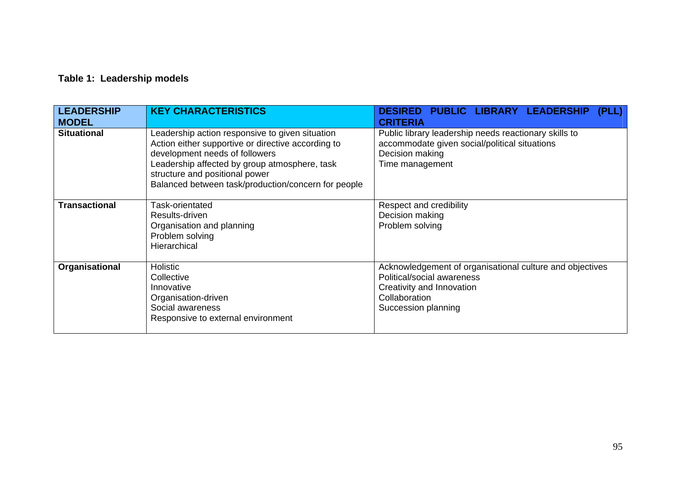# **Table 1: Leadership models**

| <b>LEADERSHIP</b><br><b>MODEL</b> | <b>KEY CHARACTERISTICS</b>                                                                                                                                                                                                                                                        | <b>DESIRED PUBLIC LIBRARY LEADERSHIP</b><br>(PLL)<br><b>CRITERIA</b>                                                                                        |
|-----------------------------------|-----------------------------------------------------------------------------------------------------------------------------------------------------------------------------------------------------------------------------------------------------------------------------------|-------------------------------------------------------------------------------------------------------------------------------------------------------------|
| <b>Situational</b>                | Leadership action responsive to given situation<br>Action either supportive or directive according to<br>development needs of followers<br>Leadership affected by group atmosphere, task<br>structure and positional power<br>Balanced between task/production/concern for people | Public library leadership needs reactionary skills to<br>accommodate given social/political situations<br>Decision making<br>Time management                |
| <b>Transactional</b>              | Task-orientated<br>Results-driven<br>Organisation and planning<br>Problem solving<br>Hierarchical                                                                                                                                                                                 | Respect and credibility<br>Decision making<br>Problem solving                                                                                               |
| Organisational                    | <b>Holistic</b><br>Collective<br>Innovative<br>Organisation-driven<br>Social awareness<br>Responsive to external environment                                                                                                                                                      | Acknowledgement of organisational culture and objectives<br>Political/social awareness<br>Creativity and Innovation<br>Collaboration<br>Succession planning |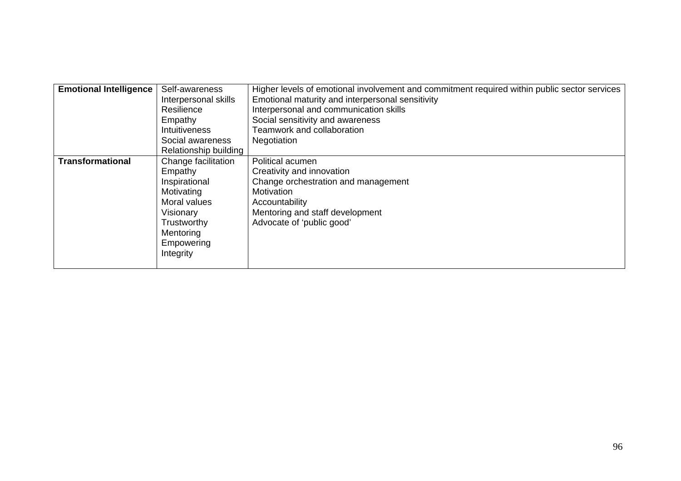| <b>Emotional Intelligence</b> | Self-awareness<br>Interpersonal skills<br>Resilience<br>Empathy<br><b>Intuitiveness</b><br>Social awareness<br>Relationship building              | Higher levels of emotional involvement and commitment required within public sector services<br>Emotional maturity and interpersonal sensitivity<br>Interpersonal and communication skills<br>Social sensitivity and awareness<br>Teamwork and collaboration<br>Negotiation |
|-------------------------------|---------------------------------------------------------------------------------------------------------------------------------------------------|-----------------------------------------------------------------------------------------------------------------------------------------------------------------------------------------------------------------------------------------------------------------------------|
| <b>Transformational</b>       | Change facilitation<br>Empathy<br>Inspirational<br>Motivating<br>Moral values<br>Visionary<br>Trustworthy<br>Mentoring<br>Empowering<br>Integrity | Political acumen<br>Creativity and innovation<br>Change orchestration and management<br><b>Motivation</b><br>Accountability<br>Mentoring and staff development<br>Advocate of 'public good'                                                                                 |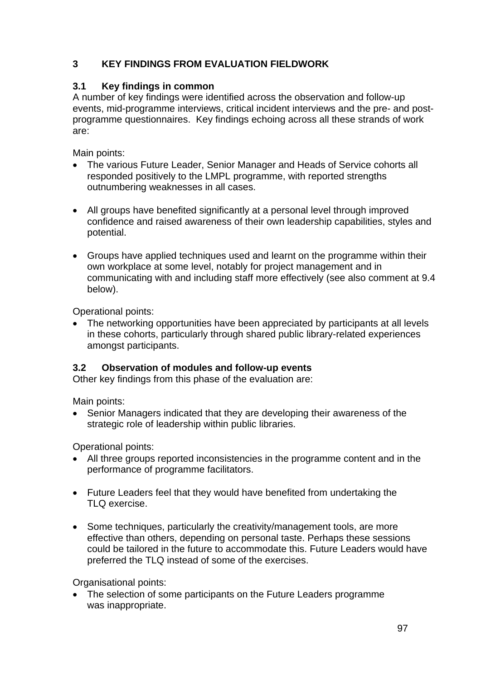# **3 KEY FINDINGS FROM EVALUATION FIELDWORK**

# **3.1 Key findings in common**

A number of key findings were identified across the observation and follow-up events, mid-programme interviews, critical incident interviews and the pre- and postprogramme questionnaires. Key findings echoing across all these strands of work are:

Main points:

- The various Future Leader, Senior Manager and Heads of Service cohorts all responded positively to the LMPL programme, with reported strengths outnumbering weaknesses in all cases.
- All groups have benefited significantly at a personal level through improved confidence and raised awareness of their own leadership capabilities, styles and potential.
- Groups have applied techniques used and learnt on the programme within their own workplace at some level, notably for project management and in communicating with and including staff more effectively (see also comment at 9.4 below).

Operational points:

• The networking opportunities have been appreciated by participants at all levels in these cohorts, particularly through shared public library-related experiences amongst participants.

# **3.2 Observation of modules and follow-up events**

Other key findings from this phase of the evaluation are:

Main points:

• Senior Managers indicated that they are developing their awareness of the strategic role of leadership within public libraries.

Operational points:

- All three groups reported inconsistencies in the programme content and in the performance of programme facilitators.
- Future Leaders feel that they would have benefited from undertaking the TLQ exercise.
- Some techniques, particularly the creativity/management tools, are more effective than others, depending on personal taste. Perhaps these sessions could be tailored in the future to accommodate this. Future Leaders would have preferred the TLQ instead of some of the exercises.

Organisational points:

• The selection of some participants on the Future Leaders programme was inappropriate.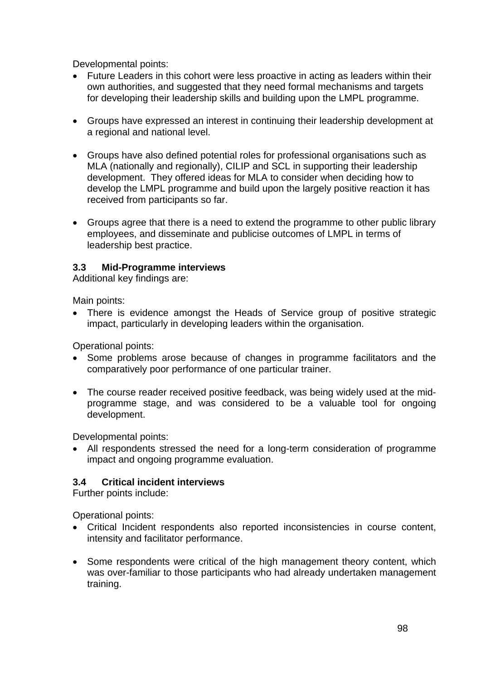Developmental points:

- Future Leaders in this cohort were less proactive in acting as leaders within their own authorities, and suggested that they need formal mechanisms and targets for developing their leadership skills and building upon the LMPL programme.
- Groups have expressed an interest in continuing their leadership development at a regional and national level.
- Groups have also defined potential roles for professional organisations such as MLA (nationally and regionally), CILIP and SCL in supporting their leadership development. They offered ideas for MLA to consider when deciding how to develop the LMPL programme and build upon the largely positive reaction it has received from participants so far.
- Groups agree that there is a need to extend the programme to other public library employees, and disseminate and publicise outcomes of LMPL in terms of leadership best practice.

# **3.3 Mid-Programme interviews**

Additional key findings are:

Main points:

• There is evidence amongst the Heads of Service group of positive strategic impact, particularly in developing leaders within the organisation.

Operational points:

- Some problems arose because of changes in programme facilitators and the comparatively poor performance of one particular trainer.
- The course reader received positive feedback, was being widely used at the midprogramme stage, and was considered to be a valuable tool for ongoing development.

Developmental points:

• All respondents stressed the need for a long-term consideration of programme impact and ongoing programme evaluation.

# **3.4 Critical incident interviews**

Further points include:

Operational points:

- Critical Incident respondents also reported inconsistencies in course content, intensity and facilitator performance.
- Some respondents were critical of the high management theory content, which was over-familiar to those participants who had already undertaken management training.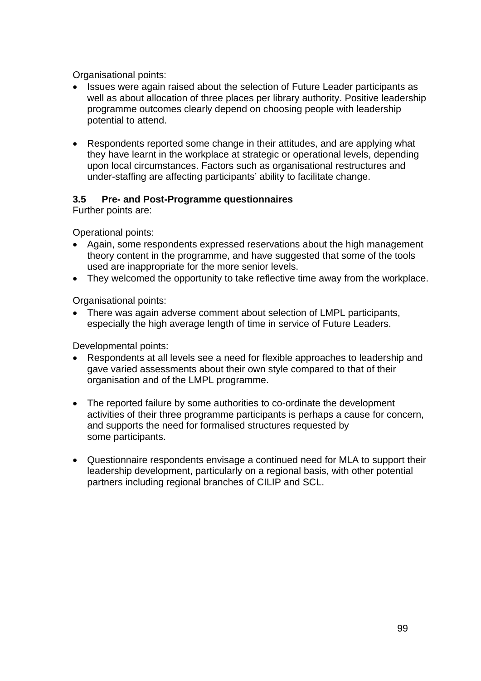Organisational points:

- Issues were again raised about the selection of Future Leader participants as well as about allocation of three places per library authority. Positive leadership programme outcomes clearly depend on choosing people with leadership potential to attend.
- Respondents reported some change in their attitudes, and are applying what they have learnt in the workplace at strategic or operational levels, depending upon local circumstances. Factors such as organisational restructures and under-staffing are affecting participants' ability to facilitate change.

# **3.5 Pre- and Post-Programme questionnaires**

Further points are:

Operational points:

- Again, some respondents expressed reservations about the high management theory content in the programme, and have suggested that some of the tools used are inappropriate for the more senior levels.
- They welcomed the opportunity to take reflective time away from the workplace.

Organisational points:

• There was again adverse comment about selection of LMPL participants, especially the high average length of time in service of Future Leaders.

Developmental points:

- Respondents at all levels see a need for flexible approaches to leadership and gave varied assessments about their own style compared to that of their organisation and of the LMPL programme.
- The reported failure by some authorities to co-ordinate the development activities of their three programme participants is perhaps a cause for concern, and supports the need for formalised structures requested by some participants.
- Questionnaire respondents envisage a continued need for MLA to support their leadership development, particularly on a regional basis, with other potential partners including regional branches of CILIP and SCL.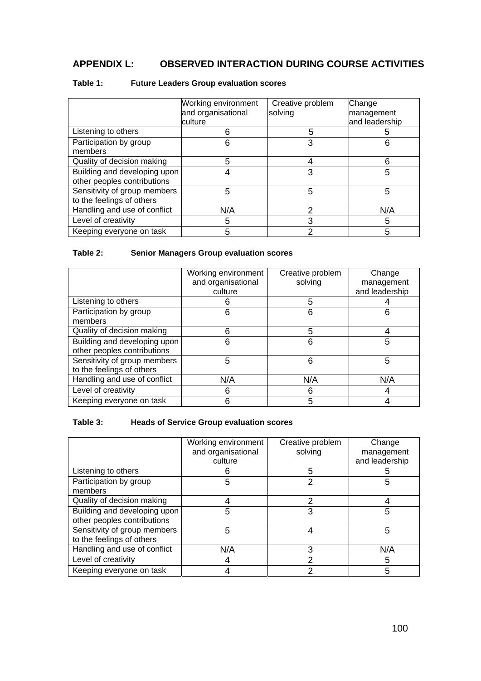# **APPENDIX L: OBSERVED INTERACTION DURING COURSE ACTIVITIES**

|                                                             | Working environment<br>and organisational<br>culture | Creative problem<br>solving | Change<br>management<br>and leadership |
|-------------------------------------------------------------|------------------------------------------------------|-----------------------------|----------------------------------------|
| Listening to others                                         | 6                                                    | 5                           |                                        |
| Participation by group<br>members                           | 6                                                    | 3                           | 6                                      |
| Quality of decision making                                  | 5                                                    | 4                           | 6                                      |
| Building and developing upon<br>other peoples contributions |                                                      | 3                           | 5                                      |
| Sensitivity of group members<br>to the feelings of others   | 5                                                    | 5                           | 5                                      |
| Handling and use of conflict                                | N/A                                                  | 2                           | N/A                                    |
| Level of creativity                                         | 5                                                    | 3                           | 5                                      |
| Keeping everyone on task                                    | 5                                                    | 2                           | 5                                      |

#### **Table 1: Future Leaders Group evaluation scores**

#### **Table 2: Senior Managers Group evaluation scores**

|                                                             | Working environment<br>and organisational | Creative problem<br>solving | Change<br>management |
|-------------------------------------------------------------|-------------------------------------------|-----------------------------|----------------------|
|                                                             | culture                                   |                             | and leadership       |
| Listening to others                                         |                                           | 5                           |                      |
| Participation by group<br>members                           | 6                                         | 6                           | 6                    |
| Quality of decision making                                  | 6                                         | 5                           |                      |
| Building and developing upon<br>other peoples contributions | 6                                         | 6                           | 5                    |
| Sensitivity of group members<br>to the feelings of others   | 5                                         | 6                           | 5                    |
| Handling and use of conflict                                | N/A                                       | N/A                         | N/A                  |
| Level of creativity                                         | 6                                         | 6                           |                      |
| Keeping everyone on task                                    | 6                                         | 5                           |                      |

#### **Table 3: Heads of Service Group evaluation scores**

|                                                             | Working environment<br>and organisational<br>culture | Creative problem<br>solving | Change<br>management<br>and leadership |
|-------------------------------------------------------------|------------------------------------------------------|-----------------------------|----------------------------------------|
| Listening to others                                         | რ                                                    | 5                           | 5                                      |
| Participation by group<br>members                           | 5                                                    | 2                           | 5                                      |
| Quality of decision making                                  |                                                      | 2                           |                                        |
| Building and developing upon<br>other peoples contributions | 5                                                    | 3                           | 5                                      |
| Sensitivity of group members<br>to the feelings of others   | 5                                                    |                             | 5                                      |
| Handling and use of conflict                                | N/A                                                  | 3                           | N/A                                    |
| Level of creativity                                         |                                                      | 2                           | 5                                      |
| Keeping everyone on task                                    |                                                      |                             | 5                                      |